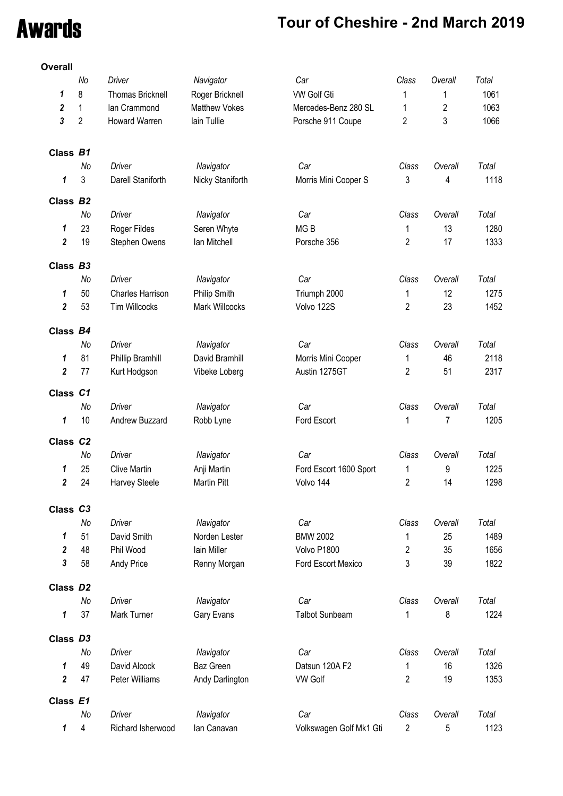## Awards **Tour of Cheshire - 2nd March 2019**

| Overall                 |                |                         |                         |                         |                         |                         |       |
|-------------------------|----------------|-------------------------|-------------------------|-------------------------|-------------------------|-------------------------|-------|
|                         | No             | Driver                  | Navigator               | Car                     | Class                   | Overall                 | Total |
| 1                       | 8              | <b>Thomas Bricknell</b> | Roger Bricknell         | <b>VW Golf Gti</b>      | 1                       | 1                       | 1061  |
| $\boldsymbol{2}$        | 1              | lan Crammond            | Matthew Vokes           | Mercedes-Benz 280 SL    | 1                       | $\overline{\mathbf{c}}$ | 1063  |
| 3                       | $\overline{2}$ | Howard Warren           | lain Tullie             | Porsche 911 Coupe       | 2                       | 3                       | 1066  |
|                         |                |                         |                         |                         |                         |                         |       |
| Class B1                |                |                         |                         |                         |                         |                         |       |
|                         | No             | Driver                  | Navigator               | Car                     | Class                   | Overall                 | Total |
| 1                       | 3              | Darell Staniforth       | Nicky Staniforth        | Morris Mini Cooper S    | 3                       | 4                       | 1118  |
| Class B2                |                |                         |                         |                         |                         |                         |       |
|                         | No             | Driver                  | Navigator               | Car                     | Class                   | Overall                 | Total |
| 1                       | 23             | Roger Fildes            | Seren Whyte             | MG <sub>B</sub>         | 1                       | 13                      | 1280  |
| $\boldsymbol{2}$        | 19             | Stephen Owens           | lan Mitchell            | Porsche 356             | $\overline{2}$          | 17                      | 1333  |
|                         |                |                         |                         |                         |                         |                         |       |
| Class B3                |                |                         |                         |                         |                         |                         |       |
|                         | No             | Driver                  | Navigator               | Car                     | Class                   | Overall                 | Total |
| 1                       | 50             | Charles Harrison        | Philip Smith            | Triumph 2000            | 1                       | 12                      | 1275  |
| $\overline{\mathbf{2}}$ | 53             | <b>Tim Willcocks</b>    | Mark Willcocks          | Volvo 122S              | $\overline{c}$          | 23                      | 1452  |
| Class B4                |                |                         |                         |                         |                         |                         |       |
|                         | No             | Driver                  | Navigator               | Car                     | Class                   | Overall                 | Total |
| 1                       | 81             | Phillip Bramhill        | David Bramhill          | Morris Mini Cooper      | 1                       | 46                      | 2118  |
| $\boldsymbol{2}$        | 77             | Kurt Hodgson            | Vibeke Loberg           | Austin 1275GT           | $\overline{2}$          | 51                      | 2317  |
|                         |                |                         |                         |                         |                         |                         |       |
| Class C1                | No             | Driver                  | Navigator               | Car                     | Class                   | Overall                 | Total |
|                         | 10             |                         |                         |                         |                         |                         |       |
| 1                       |                | Andrew Buzzard          | Robb Lyne               | Ford Escort             | 1                       | 7                       | 1205  |
| Class C2                |                |                         |                         |                         |                         |                         |       |
|                         | No             | Driver                  | Navigator               | Car                     | Class                   | Overall                 | Total |
| 1                       | 25             | <b>Clive Martin</b>     | Anji Martin             | Ford Escort 1600 Sport  | 1                       | 9                       | 1225  |
| $\overline{2}$          | 24             | Harvey Steele           | Martin Pitt             | Volvo 144               | $\overline{\mathbf{c}}$ | 14                      | 1298  |
| Class C3                |                |                         |                         |                         |                         |                         |       |
|                         | No             | Driver                  | Navigator               | Car                     | Class                   | Overall                 | Total |
| 1                       | 51             | David Smith             | Norden Lester           | <b>BMW 2002</b>         | 1                       | 25                      | 1489  |
| $\boldsymbol{2}$        | 48             | Phil Wood               | lain Miller             | Volvo P1800             | 2                       | 35                      | 1656  |
| 3                       | 58             | Andy Price              | Renny Morgan            | Ford Escort Mexico      | 3                       | 39                      | 1822  |
|                         |                |                         |                         |                         |                         |                         |       |
| Class D2                | No             | Driver                  |                         | Car                     | Class                   | Overall                 | Total |
| 1                       | 37             | Mark Turner             | Navigator<br>Gary Evans | <b>Talbot Sunbeam</b>   | 1                       | 8                       | 1224  |
|                         |                |                         |                         |                         |                         |                         |       |
| Class D3                |                |                         |                         |                         |                         |                         |       |
|                         | No             | Driver                  | Navigator               | Car                     | Class                   | Overall                 | Total |
| 1                       | 49             | David Alcock            | Baz Green               | Datsun 120A F2          | 1                       | 16                      | 1326  |
| $\boldsymbol{2}$        | 47             | Peter Williams          | Andy Darlington         | <b>VW Golf</b>          | $\overline{2}$          | 19                      | 1353  |
| Class E1                |                |                         |                         |                         |                         |                         |       |
|                         | No             | Driver                  | Navigator               | Car                     | Class                   | Overall                 | Total |
| 1                       | 4              | Richard Isherwood       | lan Canavan             | Volkswagen Golf Mk1 Gti | $\overline{2}$          | 5                       | 1123  |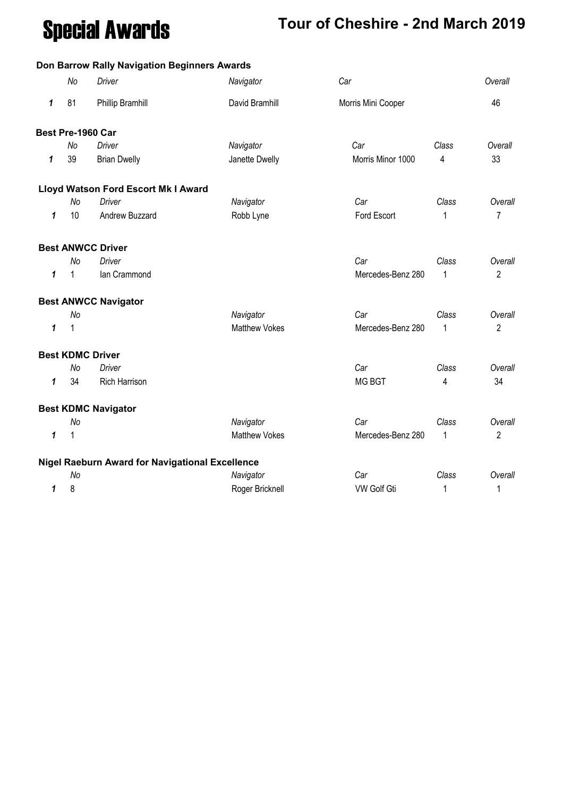# Special Awards **Tour of Cheshire - 2nd March 2019**

#### **Don Barrow Rally Navigation Beginners Awards**

|   | No           | Driver                                          | Navigator            | Car                |              | Overall        |
|---|--------------|-------------------------------------------------|----------------------|--------------------|--------------|----------------|
| 1 | 81           | Phillip Bramhill                                | David Bramhill       | Morris Mini Cooper |              | 46             |
|   |              | Best Pre-1960 Car                               |                      |                    |              |                |
|   | <b>No</b>    | Driver                                          | Navigator            | Car                | Class        | Overall        |
| 1 | 39           | <b>Brian Dwelly</b>                             | Janette Dwelly       | Morris Minor 1000  | 4            | 33             |
|   |              | Lloyd Watson Ford Escort Mk I Award             |                      |                    |              |                |
|   | No           | <b>Driver</b>                                   | Navigator            | Car                | Class        | Overall        |
| 1 | 10           | Andrew Buzzard                                  | Robb Lyne            | Ford Escort        | 1            | 7              |
|   |              | <b>Best ANWCC Driver</b>                        |                      |                    |              |                |
|   | No           | <b>Driver</b>                                   |                      | Car                | Class        | Overall        |
| 1 | $\mathbf{1}$ | lan Crammond                                    |                      | Mercedes-Benz 280  | $\mathbf{1}$ | $\overline{2}$ |
|   |              | <b>Best ANWCC Navigator</b>                     |                      |                    |              |                |
|   | No           |                                                 | Navigator            | Car                | Class        | Overall        |
| 1 | 1            |                                                 | <b>Matthew Vokes</b> | Mercedes-Benz 280  | $\mathbf{1}$ | $\overline{2}$ |
|   |              | <b>Best KDMC Driver</b>                         |                      |                    |              |                |
|   | No           | Driver                                          |                      | Car                | Class        | Overall        |
| 1 | 34           | <b>Rich Harrison</b>                            |                      | <b>MG BGT</b>      | 4            | 34             |
|   |              | <b>Best KDMC Navigator</b>                      |                      |                    |              |                |
|   | No           |                                                 | Navigator            | Car                | Class        | Overall        |
| 1 | 1            |                                                 | <b>Matthew Vokes</b> | Mercedes-Benz 280  | 1            | $\overline{2}$ |
|   |              | Nigel Raeburn Award for Navigational Excellence |                      |                    |              |                |
|   | No           |                                                 | Navigator            | Car                | Class        | Overall        |
| 1 | 8            |                                                 | Roger Bricknell      | <b>VW Golf Gti</b> | 1            | 1              |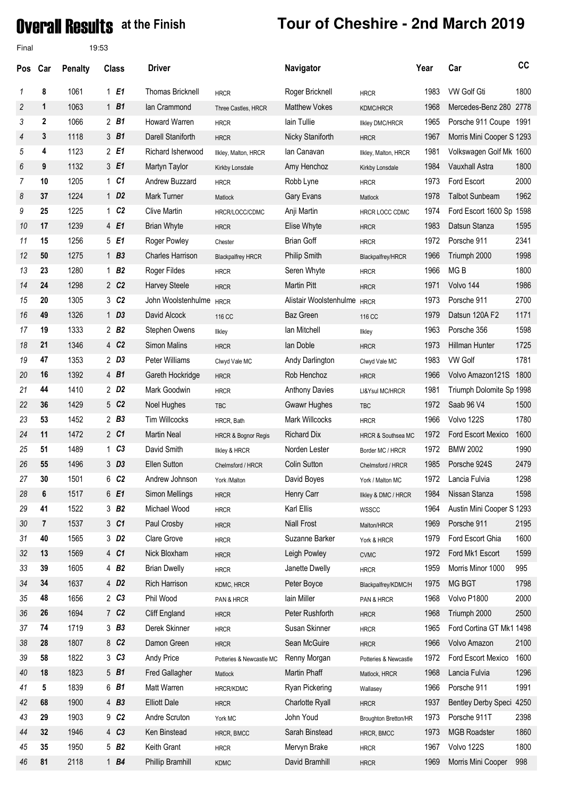### **Overal Results** at the Finish

| Final          |             | 19:53          |              |                    |                         |                                |                             |                             |      |                            |      |
|----------------|-------------|----------------|--------------|--------------------|-------------------------|--------------------------------|-----------------------------|-----------------------------|------|----------------------------|------|
| <b>Pos</b>     | Car         | <b>Penalty</b> |              | <b>Class</b>       | <b>Driver</b>           |                                | Navigator                   |                             | Year | Car                        | cc   |
| 1              | 8           | 1061           |              | 1E1                | <b>Thomas Bricknell</b> | <b>HRCR</b>                    | Roger Bricknell             | <b>HRCR</b>                 | 1983 | VW Golf Gti                | 1800 |
| 2              | 1           | 1063           |              | $1\quad B1$        | lan Crammond            | Three Castles, HRCR            | <b>Matthew Vokes</b>        | <b>KDMC/HRCR</b>            | 1968 | Mercedes-Benz 280          | 2778 |
| 3              | $\mathbf 2$ | 1066           |              | $2$ B1             | <b>Howard Warren</b>    | <b>HRCR</b>                    | lain Tullie                 | <b>Ilkley DMC/HRCR</b>      | 1965 | Porsche 911 Coupe 1991     |      |
| 4              | 3           | 1118           |              | 3 <sub>B1</sub>    | Darell Staniforth       | <b>HRCR</b>                    | Nicky Staniforth            | <b>HRCR</b>                 | 1967 | Morris Mini Cooper S 1293  |      |
| 5              | 4           | 1123           |              | 2E1                | Richard Isherwood       | Ilkley, Malton, HRCR           | lan Canavan                 | Ilkley, Malton, HRCR        | 1981 | Volkswagen Golf Mk 1600    |      |
| 6              | 9           | 1132           |              | 3 E1               | Martyn Taylor           | Kirkby Lonsdale                | Amy Henchoz                 | Kirkby Lonsdale             | 1984 | <b>Vauxhall Astra</b>      | 1800 |
| $\overline{7}$ | 10          | 1205           |              | 1 <sub>C1</sub>    | Andrew Buzzard          | <b>HRCR</b>                    | Robb Lyne                   | <b>HRCR</b>                 | 1973 | Ford Escort                | 2000 |
| 8              | 37          | 1224           |              | $1$ D <sub>2</sub> | Mark Turner             | Matlock                        | Gary Evans                  | Matlock                     | 1978 | <b>Talbot Sunbeam</b>      | 1962 |
| 9              | 25          | 1225           | $\mathbf{1}$ | C <sub>2</sub>     | <b>Clive Martin</b>     | HRCR/LOCC/CDMC                 | Anji Martin                 | <b>HRCR LOCC CDMC</b>       | 1974 | Ford Escort 1600 Sp 1598   |      |
| 10             | 17          | 1239           |              | 4 E1               | <b>Brian Whyte</b>      | <b>HRCR</b>                    | Elise Whyte                 | <b>HRCR</b>                 | 1983 | Datsun Stanza              | 1595 |
| 11             | 15          | 1256           |              | 5 E1               | Roger Powley            | Chester                        | <b>Brian Goff</b>           | <b>HRCR</b>                 | 1972 | Porsche 911                | 2341 |
| 12             | 50          | 1275           |              | $1$ B <sub>3</sub> | <b>Charles Harrison</b> | <b>Blackpalfrey HRCR</b>       | Philip Smith                | Blackpalfrey/HRCR           | 1966 | Triumph 2000               | 1998 |
| 13             | 23          | 1280           |              | 1B2                | Roger Fildes            | <b>HRCR</b>                    | Seren Whyte                 | <b>HRCR</b>                 | 1966 | MG <sub>B</sub>            | 1800 |
| 14             | 24          | 1298           |              | 2 C <sub>2</sub>   | <b>Harvey Steele</b>    | <b>HRCR</b>                    | <b>Martin Pitt</b>          | <b>HRCR</b>                 | 1971 | Volvo 144                  | 1986 |
| 15             | 20          | 1305           |              | 3 C <sub>2</sub>   | John Woolstenhulme      | <b>HRCR</b>                    | Alistair Woolstenhulme HRCR |                             | 1973 | Porsche 911                | 2700 |
| 16             | 49          | 1326           |              | $1$ D <sub>3</sub> | David Alcock            | 116 CC                         | Baz Green                   | 116 CC                      | 1979 | Datsun 120A F2             | 1171 |
| 17             | 19          | 1333           |              | $2$ $B2$           | Stephen Owens           | Ilkley                         | lan Mitchell                | Ilkley                      | 1963 | Porsche 356                | 1598 |
| 18             | 21          | 1346           |              | 4 C <sub>2</sub>   | Simon Malins            | <b>HRCR</b>                    | lan Doble                   | <b>HRCR</b>                 | 1973 | Hillman Hunter             | 1725 |
| 19             | 47          | 1353           |              | $2$ D <sub>3</sub> | Peter Williams          | Clwyd Vale MC                  | Andy Darlington             | Clwyd Vale MC               | 1983 | <b>VW Golf</b>             | 1781 |
| 20             | 16          | 1392           |              | $4\quad B1$        | Gareth Hockridge        | <b>HRCR</b>                    | Rob Henchoz                 | <b>HRCR</b>                 | 1966 | Volvo Amazon121S           | 1800 |
| 21             | 44          | 1410           |              | 2 D <sub>2</sub>   | Mark Goodwin            | <b>HRCR</b>                    | <b>Anthony Davies</b>       | LI&Ysul MC/HRCR             | 1981 | Triumph Dolomite Sp 1998   |      |
| 22             | 36          | 1429           |              | 5 C <sub>2</sub>   | Noel Hughes             | <b>TBC</b>                     | <b>Gwawr Hughes</b>         | <b>TBC</b>                  | 1972 | Saab 96 V4                 | 1500 |
| 23             | 53          | 1452           |              | $2$ $B3$           | Tim Willcocks           | HRCR, Bath                     | Mark Willcocks              | <b>HRCR</b>                 | 1966 | Volvo 122S                 | 1780 |
| 24             | 11          | 1472           |              | 2 C1               | <b>Martin Neal</b>      | <b>HRCR &amp; Bognor Regis</b> | <b>Richard Dix</b>          | HRCR & Southsea MC          | 1972 | Ford Escort Mexico         | 1600 |
| 25             | 51          | 1489           | $\mathbf 1$  | C <sub>3</sub>     | David Smith             | <b>Ilkley &amp; HRCR</b>       | Norden Lester               | Border MC / HRCR            | 1972 | <b>BMW 2002</b>            | 1990 |
| 26             | 55          | 1496           |              | $3$ $D3$           | <b>Ellen Sutton</b>     | Chelmsford / HRCR              | <b>Colin Sutton</b>         | Chelmsford / HRCR           | 1985 | Porsche 924S               | 2479 |
| 27             | 30          | 1501           |              | 6 C <sub>2</sub>   | Andrew Johnson          | York /Malton                   | David Boyes                 | York / Malton MC            | 1972 | Lancia Fulvia              | 1298 |
| 28             | 6           | 1517           |              | 6 E1               | Simon Mellings          | <b>HRCR</b>                    | Henry Carr                  | Ilkley & DMC / HRCR         | 1984 | Nissan Stanza              | 1598 |
| 29             | 41          | 1522           |              | 3 B <sub>2</sub>   | Michael Wood            | <b>HRCR</b>                    | Karl Ellis                  | WSSCC                       | 1964 | Austin Mini Cooper S 1293  |      |
| 30             | 7           | 1537           |              | 3 C1               | Paul Crosby             | <b>HRCR</b>                    | <b>Niall Frost</b>          | Malton/HRCR                 | 1969 | Porsche 911                | 2195 |
| 31             | 40          | 1565           |              | 3 D <sub>2</sub>   | Clare Grove             | <b>HRCR</b>                    | Suzanne Barker              | York & HRCR                 | 1979 | Ford Escort Ghia           | 1600 |
| 32             | 13          | 1569           |              | 4 C1               | Nick Bloxham            | <b>HRCR</b>                    | Leigh Powley                | <b>CVMC</b>                 | 1972 | Ford Mk1 Escort            | 1599 |
| 33             | 39          | 1605           |              | 4 B <sub>2</sub>   | <b>Brian Dwelly</b>     | <b>HRCR</b>                    | Janette Dwelly              | <b>HRCR</b>                 | 1959 | Morris Minor 1000          | 995  |
| 34             | 34          | 1637           |              | 4 D <sub>2</sub>   | <b>Rich Harrison</b>    | KDMC, HRCR                     | Peter Boyce                 | Blackpalfrey/KDMC/H         | 1975 | MG BGT                     | 1798 |
| 35             | 48          | 1656           |              | $2$ $C3$           | Phil Wood               | PAN & HRCR                     | lain Miller                 | PAN & HRCR                  | 1968 | Volvo P1800                | 2000 |
| 36             | 26          | 1694           |              | 7 C <sub>2</sub>   | Cliff England           | <b>HRCR</b>                    | Peter Rushforth             | <b>HRCR</b>                 | 1968 | Triumph 2000               | 2500 |
| 37             | 74          | 1719           |              | $3$ $B3$           | Derek Skinner           | <b>HRCR</b>                    | Susan Skinner               | <b>HRCR</b>                 | 1965 | Ford Cortina GT Mk1 1498   |      |
| 38             | 28          | 1807           |              | 8 C <sub>2</sub>   | Damon Green             | <b>HRCR</b>                    | Sean McGuire                | <b>HRCR</b>                 | 1966 | Volvo Amazon               | 2100 |
| 39             | 58          | 1822           |              | 3 <sub>c3</sub>    | Andy Price              | Potteries & Newcastle MC       | Renny Morgan                | Potteries & Newcastle       | 1972 | Ford Escort Mexico         | 1600 |
| 40             | 18          | 1823           |              | $5\text{ }B1$      | Fred Gallagher          | Matlock                        | Martin Phaff                | Matlock, HRCR               | 1968 | Lancia Fulvia              | 1296 |
| 41             | 5           | 1839           |              | 6 B1               | Matt Warren             | HRCR/KDMC                      | Ryan Pickering              | Wallasey                    | 1966 | Porsche 911                | 1991 |
| 42             | 68          | 1900           |              | $4$ $B3$           | <b>Elliott Dale</b>     | <b>HRCR</b>                    | Charlotte Ryall             | <b>HRCR</b>                 | 1937 | <b>Bentley Derby Speci</b> | 4250 |
| 43             | 29          | 1903           |              | 9 C <sub>2</sub>   | Andre Scruton           | York MC                        | John Youd                   | <b>Broughton Bretton/HR</b> | 1973 | Porsche 911T               | 2398 |
| 44             | 32          | 1946           |              | 4 C <sub>3</sub>   | Ken Binstead            | HRCR, BMCC                     | Sarah Binstead              | HRCR, BMCC                  | 1973 | <b>MGB Roadster</b>        | 1860 |
| 45             | 35          | 1950           |              | 5 B <sub>2</sub>   | Keith Grant             | <b>HRCR</b>                    | Mervyn Brake                | <b>HRCR</b>                 | 1967 | Volvo 122S                 | 1800 |
| 46             | 81          | 2118           |              | 1 $B4$             | Phillip Bramhill        | <b>KDMC</b>                    | David Bramhill              | <b>HRCR</b>                 | 1969 | Morris Mini Cooper         | 998  |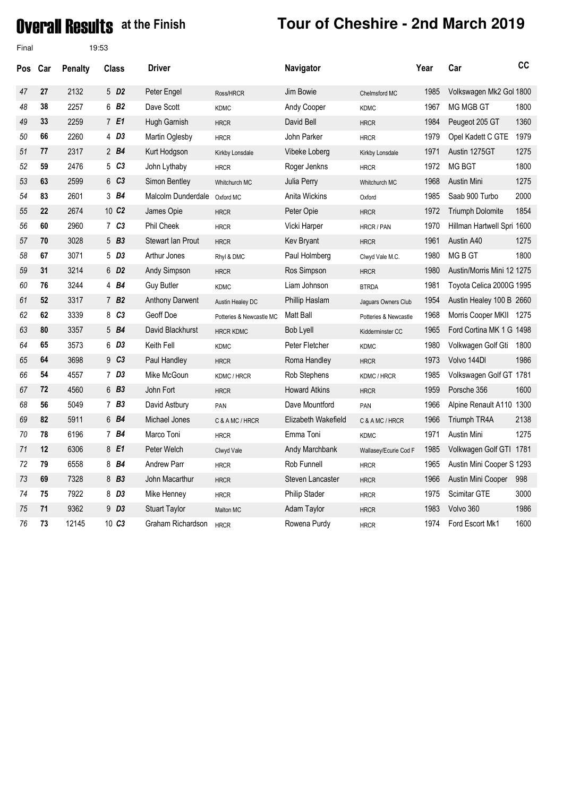### **Overal Results** at the Finish

| Final      |     |                | 19:53               |                        |                          |                      |                       |      |                            |      |
|------------|-----|----------------|---------------------|------------------------|--------------------------|----------------------|-----------------------|------|----------------------------|------|
| <b>Pos</b> | Car | <b>Penalty</b> | <b>Class</b>        | <b>Driver</b>          |                          | Navigator            |                       | Year | Car                        | cc   |
| 47         | 27  | 2132           | 5 D <sub>2</sub>    | Peter Engel            | Ross/HRCR                | Jim Bowie            | Chelmsford MC         | 1985 | Volkswagen Mk2 Gol 1800    |      |
| 48         | 38  | 2257           | 6 B <sub>2</sub>    | Dave Scott             | <b>KDMC</b>              | Andy Cooper          | <b>KDMC</b>           | 1967 | MG MGB GT                  | 1800 |
| 49         | 33  | 2259           | 7 E1                | Hugh Garnish           | <b>HRCR</b>              | David Bell           | <b>HRCR</b>           | 1984 | Peugeot 205 GT             | 1360 |
| 50         | 66  | 2260           | 4 D <sub>3</sub>    | Martin Oglesby         | <b>HRCR</b>              | John Parker          | <b>HRCR</b>           | 1979 | Opel Kadett C GTE          | 1979 |
| 51         | 77  | 2317           | 2 B4                | Kurt Hodgson           | Kirkby Lonsdale          | Vibeke Loberg        | Kirkby Lonsdale       | 1971 | Austin 1275GT              | 1275 |
| 52         | 59  | 2476           | 5 C3                | John Lythaby           | <b>HRCR</b>              | Roger Jenkns         | <b>HRCR</b>           | 1972 | <b>MG BGT</b>              | 1800 |
| 53         | 63  | 2599           | 6 C3                | Simon Bentley          | Whitchurch MC            | Julia Perry          | Whitchurch MC         | 1968 | Austin Mini                | 1275 |
| 54         | 83  | 2601           | 3 B4                | Malcolm Dunderdale     | Oxford MC                | Anita Wickins        | Oxford                | 1985 | Saab 900 Turbo             | 2000 |
| 55         | 22  | 2674           | 10 C <sub>2</sub>   | James Opie             | <b>HRCR</b>              | Peter Opie           | <b>HRCR</b>           | 1972 | Triumph Dolomite           | 1854 |
| 56         | 60  | 2960           | 7 C3                | Phil Cheek             | <b>HRCR</b>              | Vicki Harper         | HRCR / PAN            | 1970 | Hillman Hartwell Spri 1600 |      |
| 57         | 70  | 3028           | $5$ $B3$            | Stewart Ian Prout      | <b>HRCR</b>              | Kev Bryant           | <b>HRCR</b>           | 1961 | Austin A40                 | 1275 |
| 58         | 67  | 3071           | 5 D <sub>3</sub>    | Arthur Jones           | Rhyl & DMC               | Paul Holmberg        | Clwyd Vale M.C.       | 1980 | MG B GT                    | 1800 |
| 59         | 31  | 3214           | 6 D <sub>2</sub>    | Andy Simpson           | <b>HRCR</b>              | Ros Simpson          | <b>HRCR</b>           | 1980 | Austin/Morris Mini 12 1275 |      |
| 60         | 76  | 3244           | 4 B4                | <b>Guy Butler</b>      | <b>KDMC</b>              | Liam Johnson         | <b>BTRDA</b>          | 1981 | Toyota Celica 2000G 1995   |      |
| 61         | 52  | 3317           | 7B2                 | <b>Anthony Darwent</b> | Austin Healey DC         | Phillip Haslam       | Jaguars Owners Club   | 1954 | Austin Healey 100 B 2660   |      |
| 62         | 62  | 3339           | C <sub>3</sub><br>8 | Geoff Doe              | Potteries & Newcastle MC | Matt Ball            | Potteries & Newcastle | 1968 | Morris Cooper MKII 1275    |      |
| 63         | 80  | 3357           | 5 B4                | David Blackhurst       | <b>HRCR KDMC</b>         | Bob Lyell            | Kidderminster CC      | 1965 | Ford Cortina MK 1 G 1498   |      |
| 64         | 65  | 3573           | 6 D3                | Keith Fell             | <b>KDMC</b>              | Peter Fletcher       | <b>KDMC</b>           | 1980 | Volkwagen Golf Gti         | 1800 |
| 65         | 64  | 3698           | 9 <sub>C3</sub>     | Paul Handley           | <b>HRCR</b>              | Roma Handley         | <b>HRCR</b>           | 1973 | Volvo 144DI                | 1986 |
| 66         | 54  | 4557           | 7 <sub>D3</sub>     | Mike McGoun            | KDMC / HRCR              | Rob Stephens         | KDMC / HRCR           | 1985 | Volkswagen Golf GT 1781    |      |
| 67         | 72  | 4560           | 6 B3                | John Fort              | <b>HRCR</b>              | <b>Howard Atkins</b> | <b>HRCR</b>           | 1959 | Porsche 356                | 1600 |
| 68         | 56  | 5049           | $7$ $B3$            | David Astbury          | PAN                      | Dave Mountford       | PAN                   | 1966 | Alpine Renault A110 1300   |      |
| 69         | 82  | 5911           | 6 B4                | Michael Jones          | C & A MC / HRCR          | Elizabeth Wakefield  | C & A MC / HRCR       | 1966 | Triumph TR4A               | 2138 |
| 70         | 78  | 6196           | 7 B4                | Marco Toni             | <b>HRCR</b>              | Emma Toni            | <b>KDMC</b>           | 1971 | Austin Mini                | 1275 |
| 71         | 12  | 6306           | 8 E1                | Peter Welch            | Clwyd Vale               | Andy Marchbank       | Wallasey/Ecurie Cod F | 1985 | Volkwagen Golf GTI 1781    |      |
| 72         | 79  | 6558           | 8 B4                | <b>Andrew Parr</b>     | <b>HRCR</b>              | Rob Funnell          | <b>HRCR</b>           | 1965 | Austin Mini Cooper S 1293  |      |
| 73         | 69  | 7328           | 8 B <sub>3</sub>    | John Macarthur         | <b>HRCR</b>              | Steven Lancaster     | <b>HRCR</b>           | 1966 | Austin Mini Cooper         | 998  |
| 74         | 75  | 7922           | 8 D3                | Mike Henney            | <b>HRCR</b>              | Philip Stader        | <b>HRCR</b>           | 1975 | Scimitar GTE               | 3000 |
| 75         | 71  | 9362           | 9 D <sub>3</sub>    | <b>Stuart Taylor</b>   | Malton MC                | Adam Taylor          | <b>HRCR</b>           | 1983 | Volvo 360                  | 1986 |
| 76         | 73  | 12145          | 10 C <sub>3</sub>   | Graham Richardson      | <b>HRCR</b>              | Rowena Purdy         | <b>HRCR</b>           | 1974 | Ford Escort Mk1            | 1600 |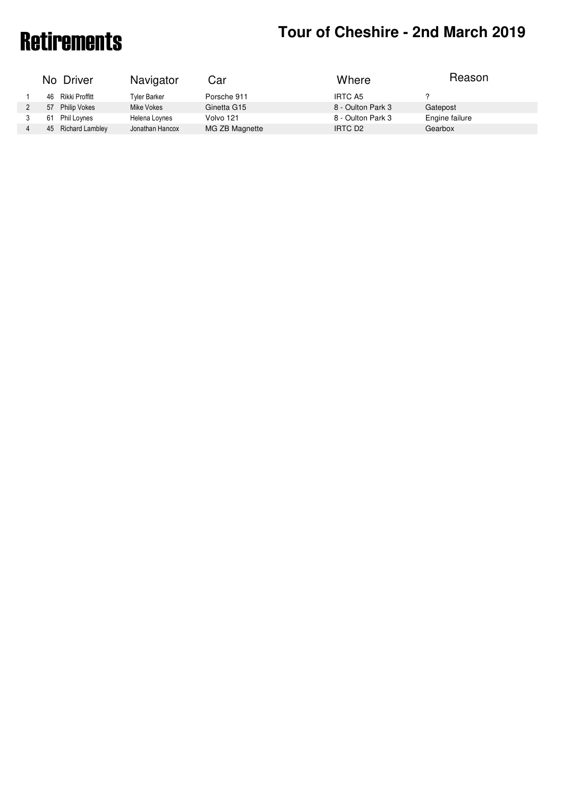# Retirements **Tour of Cheshire - 2nd March 2019**

| Where<br>No Driver<br>Navigator<br>Car                                                              |  |
|-----------------------------------------------------------------------------------------------------|--|
| Porsche 911<br>IRTC A5<br>Rikki Proffitt<br>46<br><b>Tyler Barker</b>                               |  |
| 8 - Oulton Park 3<br>Ginetta G15<br>Gatepost<br><b>Philip Vokes</b><br>Mike Vokes<br>57             |  |
| 8 - Oulton Park 3<br>Engine failure<br>Phil Loynes<br>Volvo 121<br>61<br>Helena Loynes              |  |
| <b>Richard Lambley</b><br>MG ZB Magnette<br>Jonathan Hancox<br>IRTC D <sub>2</sub><br>Gearbox<br>45 |  |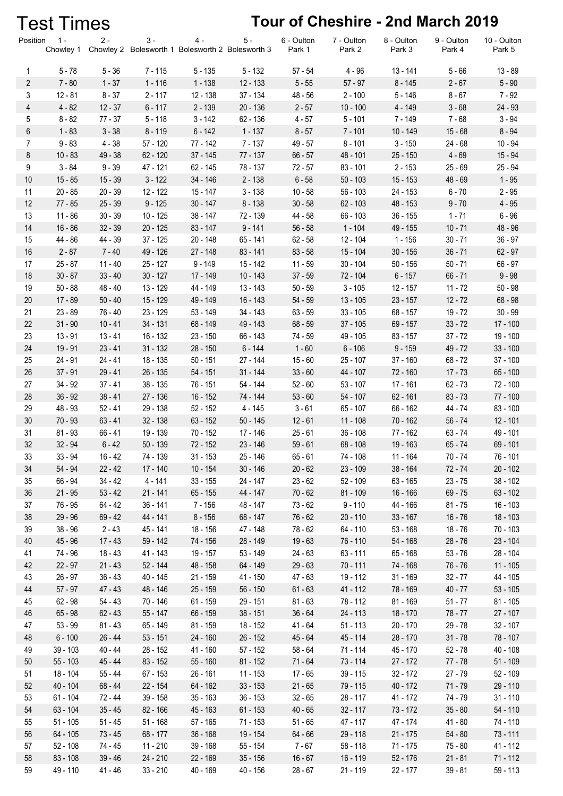|                | <b>Test Times</b>      |                        |                        |                                                           |                         |                       | Tour of Cheshire - 2nd March 2019 |                        |                      |                          |
|----------------|------------------------|------------------------|------------------------|-----------------------------------------------------------|-------------------------|-----------------------|-----------------------------------|------------------------|----------------------|--------------------------|
| Position       | $1 -$<br>Chowley 1     | $2 -$                  | $3 -$                  | $4 -$<br>Chowley 2 Bolesworth 1 Bolesworth 2 Bolesworth 3 | $5 -$                   | 6 - Oulton<br>Park 1  | 7 - Oulton<br>Park 2              | 8 - Oulton<br>Park 3   | 9 - Oulton<br>Park 4 | 10 - Oulton<br>Park 5    |
| $\mathbf{1}$   | $5 - 78$               | $5 - 36$               | $7 - 115$              | $5 - 135$                                                 | $5 - 132$               | $57 - 54$             | $4 - 96$                          | $13 - 141$             | $5 - 66$             | $13 - 89$                |
| $\overline{2}$ | $7 - 80$               | $1 - 37$               | $1 - 116$              | $1 - 138$                                                 | $12 - 133$              | $5 - 55$              | $57 - 97$                         | $8 - 145$              | $2 - 67$             | $5 - 90$                 |
| 3              | $12 - 81$              | $8 - 37$               | $2 - 117$              | 12 - 138                                                  | 37 - 134                | $48 - 56$             | $2 - 100$                         | $5 - 146$              | $8 - 67$             | $7 - 92$                 |
| 4              | $4 - 82$               | $12 - 37$              | $6 - 117$              | $2 - 139$                                                 | $20 - 136$              | $2 - 57$              | $10 - 100$                        | 4 - 149                | $3 - 68$             | 24 - 93                  |
| 5              | $8 - 82$               | $77 - 37$              | $5 - 118$              | $3 - 142$                                                 | 62 - 136                | $4 - 57$              | $5 - 101$                         | 7 - 149                | $7 - 68$             | $3 - 94$                 |
| 6              | $1 - 83$               | $3 - 38$               | $8 - 119$              | $6 - 142$                                                 | $1 - 137$               | $8 - 57$              | $7 - 101$                         | 10 - 149               | $15 - 68$            | $8 - 94$                 |
| $\overline{7}$ | $9 - 83$               | $4 - 38$               | $57 - 120$             | 77 - 142                                                  | $7 - 137$               | $49 - 57$             | $8 - 101$                         | $3 - 150$              | $24 - 68$            | $10 - 94$                |
| 8              | $10 - 83$              | 49 - 38                | $62 - 120$             | 37 - 145                                                  | $77 - 137$              | $66 - 57$             | 48 - 101                          | $25 - 150$             | $4 - 69$             | $15 - 94$                |
| 9              | $3 - 84$               | $9 - 39$               | 47 - 121               | 62 - 145                                                  | 78 - 137                | $72 - 57$             | $83 - 101$                        | $2 - 153$              | $25 - 69$            | $25 - 94$                |
| 10             | $15 - 85$              | $15 - 39$              | $3 - 122$              | 34 - 146                                                  | $2 - 138$               | $6 - 58$              | $50 - 103$                        | $15 - 153$             | $48 - 69$            | $1 - 95$                 |
| 11             | $20 - 85$              | $20 - 39$              | 12 - 122               | $15 - 147$                                                | $3 - 138$               | $10 - 58$             | $56 - 103$                        | 24 - 153               | $6 - 70$             | $2 - 95$                 |
| 12             | $77 - 85$              | $25 - 39$              | $9 - 125$              | $30 - 147$                                                | $8 - 138$               | $30 - 58$             | $62 - 103$                        | 48 - 153               | $9 - 70$             | $4 - 95$                 |
| 13             | $11 - 86$              | $30 - 39$              | $10 - 125$             | $38 - 147$                                                | 72 - 139                | 44 - 58               | $66 - 103$                        | $36 - 155$             | $1 - 71$             | $6 - 96$                 |
| 14             | $16 - 86$              | $32 - 39$              | $20 - 125$             | $83 - 147$                                                | $9 - 141$               | $56 - 58$             | $1 - 104$                         | 49 - 155               | $10 - 71$            | 48 - 96                  |
| 15             | 44 - 86                | 44 - 39                | $37 - 125$             | 20 - 148                                                  | 65 - 141                | $62 - 58$             | 12 - 104                          | $1 - 156$              | $30 - 71$            | $36 - 97$                |
| 16             | $2 - 87$               | $7 - 40$               | 49 - 126               | 27 - 148                                                  | $83 - 141$              | $83 - 58$             | 15 - 104                          | $30 - 156$             | $36 - 71$            | $62 - 97$                |
| 17             | $25 - 87$              | $11 - 40$              | 25 - 127               | $9 - 149$                                                 | 15 - 142                | $11 - 59$             | $30 - 104$                        | $50 - 156$             | $50 - 71$            | $66 - 97$                |
| 18             | $30 - 87$              | $33 - 40$              | $30 - 127$             | 17 - 149                                                  | $10 - 143$              | $37 - 59$             | 72 - 104                          | $6 - 157$              | $66 - 71$            | $9 - 98$                 |
| 19             | $50 - 88$              | 48 - 40                | 13 - 129               | 44 - 149                                                  | $13 - 143$              | $50 - 59$             | $3 - 105$                         | $12 - 157$             | $11 - 72$            | $50 - 98$                |
| 20             | $17 - 89$              | $50 - 40$              | 15 - 129               | 49 - 149                                                  | $16 - 143$              | $54 - 59$             | $13 - 105$                        | $23 - 157$             | $12 - 72$            | $68 - 98$                |
| 21             | $23 - 89$              | 76 - 40                | 23 - 129               | $53 - 149$                                                | 34 - 143                | $63 - 59$             | $33 - 105$                        | 68 - 157               | $19 - 72$            | $30 - 99$                |
| 22             | $31 - 90$              | $10 - 41$              | 34 - 131               | 68 - 149                                                  | 49 - 143                | $68 - 59$             | $37 - 105$                        | $69 - 157$             | $33 - 72$            | $17 - 100$               |
| 23             | $13 - 91$              | $13 - 41$              | 16 - 132               | $23 - 150$                                                | 66 - 143                | 74 - 59               | 49 - 105                          | $83 - 157$             | $37 - 72$            | 19 - 100                 |
| 24             | $19 - 91$              | $23 - 41$              | $31 - 132$             | $28 - 150$                                                | $6 - 144$               | $1 - 60$              | $6 - 106$                         | $9 - 159$              | $49 - 72$            | $33 - 100$               |
| 25             | $24 - 91$              | $24 - 41$              | 18 - 135               | $50 - 151$                                                | 27 - 144                | $15 - 60$             | $25 - 107$                        | $37 - 160$             | $68 - 72$            | $37 - 100$               |
| 26             | $37 - 91$              | $29 - 41$              | 26 - 135               | $54 - 151$                                                | $31 - 144$              | $33 - 60$             | 44 - 107                          | 72 - 160               | $17 - 73$            | $65 - 100$               |
| 27             | $34 - 92$              | $37 - 41$              | $38 - 135$             | 76 - 151                                                  | 54 - 144                | $52 - 60$             | $53 - 107$                        | 17 - 161               | $62 - 73$            | 72 - 100                 |
| 28             | $36 - 92$              | $38 - 41$              | 27 - 136               | 16 - 152                                                  | 74 - 144                | $53 - 60$             | $54 - 107$<br>$65 - 107$          | $62 - 161$             | $83 - 73$            | $77 - 100$               |
| 29<br>30       | 48 - 93<br>$70 - 93$   | $52 - 41$<br>$63 - 41$ | 29 - 138<br>$32 - 138$ | $52 - 152$<br>$63 - 152$                                  | $4 - 145$<br>$50 - 145$ | $3 - 61$<br>$12 - 61$ | $11 - 108$                        | 66 - 162<br>$70 - 162$ | 44 - 74<br>$56 - 74$ | $83 - 100$<br>$12 - 101$ |
| 31             | $81 - 93$              | $66 - 41$              | 19 - 139               | $70 - 152$                                                | $17 - 146$              | $25 - 61$             | $36 - 108$                        | 77 - 162               | $63 - 74$            | 49 - 101                 |
| 32             | $32 - 94$              | $6 - 42$               | $50 - 139$             | 72 - 152                                                  | $23 - 146$              | $59 - 61$             | $68 - 108$                        | 19 - 163               | $65 - 74$            | $69 - 101$               |
| 33             | $33 - 94$              | $16 - 42$              | 74 - 139               | $31 - 153$                                                | 25 - 146                | $65 - 61$             | 74 - 108                          | 11 - 164               | $70 - 74$            | 76 - 101                 |
| 34             | 54 - 94                | $22 - 42$              | 17 - 140               | $10 - 154$                                                | $30 - 146$              | $20 - 62$             | $23 - 109$                        | $38 - 164$             | $72 - 74$            | $20 - 102$               |
| 35             | 66 - 94                | $34 - 42$              | $4 - 141$              | $33 - 155$                                                | 24 - 147                | $23 - 62$             | 52 - 109                          | $63 - 165$             | $23 - 75$            | $38 - 102$               |
| 36             | $21 - 95$              | $53 - 42$              | $21 - 141$             | $65 - 155$                                                | 44 - 147                | $70 - 62$             | $81 - 109$                        | $16 - 166$             | $69 - 75$            | $63 - 102$               |
| 37             | 76 - 95                | $64 - 42$              | 36 - 141               | $7 - 156$                                                 | 48 - 147                | $73 - 62$             | $9 - 110$                         | 44 - 166               | $81 - 75$            | $16 - 103$               |
| 38             | $29 - 96$              | $69 - 42$              | 44 - 141               | $8 - 156$                                                 | 68 - 147                | $76 - 62$             | $20 - 110$                        | $33 - 167$             | $16 - 76$            | $18 - 103$               |
| 39             | $38 - 96$              | $2 - 43$               | 45 - 141               | 18 - 156                                                  | 47 - 148                | 78 - 62               | 64 - 110                          | $53 - 168$             | $18 - 76$            | $70 - 103$               |
| 40             | 45 - 96                | $17 - 43$              | 59 - 142               | 74 - 156                                                  | 28 - 149                | $19 - 63$             | 76 - 110                          | $54 - 168$             | $28 - 76$            | $23 - 104$               |
| 41             | 74 - 96                | 18 - 43                | 41 - 143               | 19 - 157                                                  | 53 - 149                | $24 - 63$             | $63 - 111$                        | 65 - 168               | $53 - 76$            | 28 - 104                 |
| 42             | $22 - 97$              | $21 - 43$              | 52 - 144               | 48 - 158                                                  | 64 - 149                | $29 - 63$             | $70 - 111$                        | 74 - 168               | $76 - 76$            | $11 - 105$               |
| 43             | $26 - 97$              | $36 - 43$              | 40 - 145               | $21 - 159$                                                | 41 - 150                | $47 - 63$             | 19 - 112                          | $31 - 169$             | $32 - 77$            | 44 - 105                 |
| 44             | $57 - 97$              | $47 - 43$              | 48 - 146               | 25 - 159                                                  | $56 - 150$              | $61 - 63$             | 41 - 112                          | 78 - 169               | $40 - 77$            | $53 - 105$               |
| 45             | $62 - 98$              | $54 - 43$              | 70 - 146               | $61 - 159$                                                | 29 - 151                | $81 - 63$             | 78 - 112                          | 81 - 169               | $51 - 77$            | 81 - 105                 |
| 46             | $65 - 98$              | $62 - 43$              | $55 - 147$             | 66 - 159                                                  | $38 - 151$              | $36 - 64$             | 24 - 113                          | $18 - 170$             | $78 - 77$            | $27 - 107$               |
| 47             | $53 - 99$              | $81 - 43$              | 65 - 149               | 81 - 159                                                  | 18 - 152                | 41 - 64               | $51 - 113$                        | $20 - 170$             | $29 - 78$            | $32 - 107$               |
| 48             | $6 - 100$              | $26 - 44$              | $53 - 151$             | 24 - 160                                                  | $26 - 152$              | $45 - 64$             | 45 - 114                          | 28 - 170               | $31 - 78$            | 78 - 107                 |
| 49             | $39 - 103$             | 40 - 44                | 28 - 152               | 41 - 160                                                  | $57 - 152$              | $58 - 64$             | 71 - 114                          | 45 - 170               | $52 - 78$            | 40 - 108                 |
| 50             | $55 - 103$             | 45 - 44                | $83 - 152$             | $55 - 160$                                                | $81 - 152$              | $71 - 64$             | $73 - 114$                        | $27 - 172$             | $77 - 78$            | $51 - 109$               |
| 51             | 18 - 104               | 55 - 44                | $67 - 153$             | $26 - 161$                                                | $11 - 153$              | $17 - 65$             | 39 - 115                          | $32 - 172$             | $27 - 79$            | 52 - 109                 |
| 52             | 40 - 104               | $68 - 44$              | 22 - 154               | 64 - 162                                                  | $33 - 153$              | $21 - 65$             | 79 - 115                          | 40 - 172               | $71 - 79$            | 29 - 110                 |
| 53             | $61 - 104$             | 72 - 44                | 39 - 158               | $35 - 163$                                                | $36 - 153$              | $32 - 65$             | 28 - 117                          | 41 - 172               | 74 - 79              | $31 - 110$               |
| 54             | $63 - 104$             | $35 - 45$              | 82 - 166               | 45 - 163                                                  | $61 - 153$              | $40 - 65$             | $32 - 117$                        | 73 - 172               | $35 - 80$            | 54 - 110                 |
| 55             | $51 - 105$             | $51 - 45$              | $51 - 168$             | $57 - 165$                                                | 71 - 153                | $51 - 65$             | 47 - 117                          | 47 - 174               | 41 - 80              | 74 - 110                 |
| 56<br>57       | 64 - 105<br>$52 - 108$ | 73 - 45<br>74 - 45     | 68 - 177<br>11 - 210   | $36 - 168$<br>39 - 168                                    | 19 - 154<br>55 - 154    | $64 - 66$<br>$7 - 67$ | 29 - 118<br>58 - 118              | $21 - 175$<br>71 - 175 | $54 - 80$<br>75 - 80 | $73 - 111$<br>41 - 112   |
| 58             | $83 - 108$             | $39 - 46$              | 24 - 210               | 22 - 169                                                  | $35 - 156$              | $16 - 67$             | 16 - 119                          | $52 - 176$             | $21 - 81$            | $71 - 112$               |
| 59             | 49 - 110               | $41 - 46$              | $33 - 210$             | $40 - 169$                                                | $40 - 156$              | $28 - 67$             | $21 - 119$                        | $22 - 177$             | $39 - 81$            | $59 - 113$               |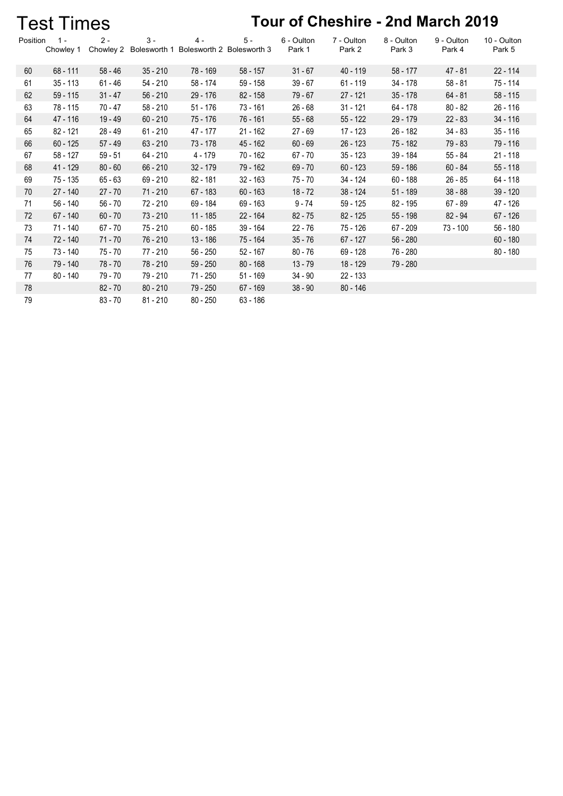| Tour of Cheshire - 2nd March 2019<br><b>Test Times</b> |                  |                    |                       |                                    |            |                      |                      |                      |                      |                       |  |  |  |
|--------------------------------------------------------|------------------|--------------------|-----------------------|------------------------------------|------------|----------------------|----------------------|----------------------|----------------------|-----------------------|--|--|--|
| Position                                               | 1 -<br>Chowley 1 | $2 -$<br>Chowley 2 | $3 -$<br>Bolesworth 1 | $4 -$<br>Bolesworth 2 Bolesworth 3 | $5 -$      | 6 - Oulton<br>Park 1 | 7 - Oulton<br>Park 2 | 8 - Oulton<br>Park 3 | 9 - Oulton<br>Park 4 | 10 - Oulton<br>Park 5 |  |  |  |
| 60                                                     | $68 - 111$       | $58 - 46$          | $35 - 210$            | 78 - 169                           | $58 - 157$ | $31 - 67$            | $40 - 119$           | $58 - 177$           | $47 - 81$            | $22 - 114$            |  |  |  |
| 61                                                     | $35 - 113$       | $61 - 46$          | 54 - 210              | 58 - 174                           | 59 - 158   | $39 - 67$            | $61 - 119$           | 34 - 178             | $58 - 81$            | 75 - 114              |  |  |  |
| 62                                                     | $59 - 115$       | $31 - 47$          | $56 - 210$            | 29 - 176                           | $82 - 158$ | $79 - 67$            | $27 - 121$           | $35 - 178$           | $64 - 81$            | $58 - 115$            |  |  |  |
| 63                                                     | 78 - 115         | 70 - 47            | $58 - 210$            | $51 - 176$                         | $73 - 161$ | $26 - 68$            | $31 - 121$           | $64 - 178$           | $80 - 82$            | $26 - 116$            |  |  |  |
| 64                                                     | 47 - 116         | 19 - 49            | $60 - 210$            | 75 - 176                           | 76 - 161   | $55 - 68$            | $55 - 122$           | $29 - 179$           | $22 - 83$            | $34 - 116$            |  |  |  |
| 65                                                     | $82 - 121$       | $28 - 49$          | $61 - 210$            | 47 - 177                           | $21 - 162$ | $27 - 69$            | $17 - 123$           | $26 - 182$           | $34 - 83$            | $35 - 116$            |  |  |  |
| 66                                                     | $60 - 125$       | $57 - 49$          | $63 - 210$            | $73 - 178$                         | 45 - 162   | $60 - 69$            | $26 - 123$           | 75 - 182             | $79 - 83$            | 79 - 116              |  |  |  |
| 67                                                     | $58 - 127$       | $59 - 51$          | $64 - 210$            | $4 - 179$                          | 70 - 162   | $67 - 70$            | $35 - 123$           | 39 - 184             | $55 - 84$            | $21 - 118$            |  |  |  |
| 68                                                     | 41 - 129         | $80 - 60$          | $66 - 210$            | 32 - 179                           | 79 - 162   | $69 - 70$            | $60 - 123$           | $59 - 186$           | $60 - 84$            | $55 - 118$            |  |  |  |
| 69                                                     | 75 - 135         | $65 - 63$          | $69 - 210$            | $82 - 181$                         | $32 - 163$ | $75 - 70$            | 34 - 124             | $60 - 188$           | $26 - 85$            | $64 - 118$            |  |  |  |
| 70                                                     | $27 - 140$       | $27 - 70$          | $71 - 210$            | $67 - 183$                         | $60 - 163$ | $18 - 72$            | 38 - 124             | $51 - 189$           | $38 - 88$            | $39 - 120$            |  |  |  |
| 71                                                     | $56 - 140$       | $56 - 70$          | $72 - 210$            | 69 - 184                           | $69 - 163$ | $9 - 74$             | $59 - 125$           | 82 - 195             | $67 - 89$            | 47 - 126              |  |  |  |
| 72                                                     | 67 - 140         | $60 - 70$          | $73 - 210$            | $11 - 185$                         | 22 - 164   | $82 - 75$            | $82 - 125$           | $55 - 198$           | $82 - 94$            | $67 - 126$            |  |  |  |
| 73                                                     | 71 - 140         | $67 - 70$          | $75 - 210$            | $60 - 185$                         | $39 - 164$ | $22 - 76$            | 75 - 126             | $67 - 209$           | $73 - 100$           | $56 - 180$            |  |  |  |
| 74                                                     | 72 - 140         | $71 - 70$          | 76 - 210              | 13 - 186                           | 75 - 164   | $35 - 76$            | $67 - 127$           | $56 - 280$           |                      | $60 - 180$            |  |  |  |
| 75                                                     | 73 - 140         | $75 - 70$          | 77 - 210              | $56 - 250$                         | $52 - 167$ | $80 - 76$            | 69 - 128             | 76 - 280             |                      | $80 - 180$            |  |  |  |
| 76                                                     | 79 - 140         | 78 - 70            | 78 - 210              | $59 - 250$                         | $80 - 168$ | $13 - 79$            | 18 - 129             | 79 - 280             |                      |                       |  |  |  |
| 77                                                     | 80 - 140         | 79 - 70            | 79 - 210              | 71 - 250                           | $51 - 169$ | $34 - 90$            | 22 - 133             |                      |                      |                       |  |  |  |
| 78                                                     |                  | $82 - 70$          | $80 - 210$            | 79 - 250                           | $67 - 169$ | $38 - 90$            | $80 - 146$           |                      |                      |                       |  |  |  |
| 79                                                     |                  | $83 - 70$          | $81 - 210$            | $80 - 250$                         | $63 - 186$ |                      |                      |                      |                      |                       |  |  |  |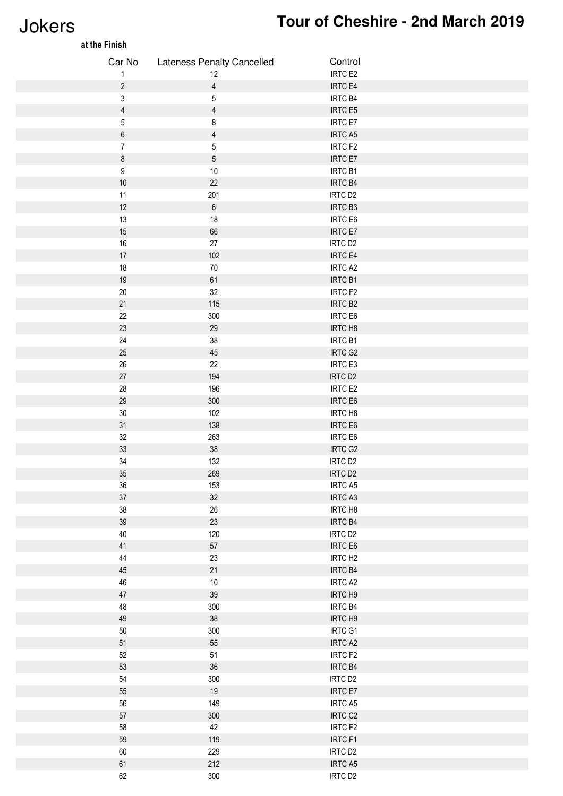## Jokers **Tour of Cheshire - 2nd March 2019**

| at the Finish  |                            |                     |  |
|----------------|----------------------------|---------------------|--|
| Car No         | Lateness Penalty Cancelled | Control             |  |
| 1              | 12                         | IRTC E2             |  |
| $\overline{c}$ | $\overline{4}$             | IRTC E4             |  |
| 3              | $\overline{5}$             | IRTC B4             |  |
| $\overline{4}$ | $\overline{4}$             | IRTC E5             |  |
| 5              | 8                          | <b>IRTC E7</b>      |  |
| 6              | $\overline{4}$             | IRTC A5             |  |
| $\overline{7}$ | $\mathbf 5$                | IRTC F2             |  |
| 8              | $\mathbf 5$                | <b>IRTC E7</b>      |  |
| 9              | $10$                       | IRTC B1             |  |
| $10\,$         | 22                         | IRTC B4             |  |
| 11             | 201                        | IRTC D <sub>2</sub> |  |
| $12$           | $\,6\,$                    | IRTC B3             |  |
| 13             | 18                         | IRTC E6             |  |
| 15             | 66                         | IRTC E7             |  |
| $16\,$         | $27\,$                     | IRTC D <sub>2</sub> |  |
| $17\,$         | 102                        | IRTC E4             |  |
| $18\,$         | $70\,$                     | IRTC A2             |  |
| $19$           | 61                         | IRTC B1             |  |
| $20\,$         | 32                         | IRTC F2             |  |
| $21$           | 115                        | IRTC B <sub>2</sub> |  |
| 22             | 300                        | IRTC E6             |  |
| 23             | 29                         | IRTC H8             |  |
| $24\,$         | $38\,$                     | IRTC B1             |  |
| $25\,$         | 45                         | IRTC G2             |  |
| $26\,$         | 22                         | IRTC E3             |  |
| $27\,$         | 194                        | IRTC D <sub>2</sub> |  |
| 28             | 196                        | IRTC E2             |  |
| 29             | 300                        | IRTC E6             |  |
| $30\,$         | 102                        | IRTC H8             |  |
| 31             | 138                        | IRTC E6             |  |
| 32             | 263                        | IRTC E6             |  |
| 33             | $38\,$                     | IRTC G2             |  |
| 34             | 132                        | IRTC D <sub>2</sub> |  |
| $35\,$         | 269                        | IRTC D <sub>2</sub> |  |
| 36             | 153                        | IRTC A5             |  |
| $37\,$         | 32                         | IRTC A3             |  |
| 38             | 26                         | IRTC H8             |  |
| $39\,$         | 23                         | IRTC B4             |  |
| $40\,$         | 120                        | IRTC D <sub>2</sub> |  |
| $41$           | $57\,$                     | IRTC E6             |  |
| $44\,$         | 23                         | IRTC H <sub>2</sub> |  |
| $45\,$         | 21                         | IRTC B4             |  |
| 46             | $10\,$                     | IRTC A2             |  |
| $47\,$         | $39\,$                     | IRTC H9             |  |
| 48             | 300                        | IRTC B4             |  |
| 49             | 38                         | IRTC H9             |  |
| $50\,$         | 300                        | IRTC G1             |  |
| 51             | 55                         | IRTC A2             |  |
| 52             | 51                         | IRTC F2             |  |
| 53             | $36\,$                     | IRTC B4             |  |
| 54             | 300                        | IRTC D <sub>2</sub> |  |
| 55             | 19                         | IRTC E7             |  |
| 56             | 149                        | IRTC A5             |  |
| $57\,$         | 300                        | IRTC C <sub>2</sub> |  |
| 58             | 42                         | IRTC F2             |  |
| 59             | 119                        | IRTC F1             |  |
| 60             | 229                        | IRTC D <sub>2</sub> |  |
| 61             | 212                        | IRTC A5             |  |
| 62             | 300                        | IRTC D <sub>2</sub> |  |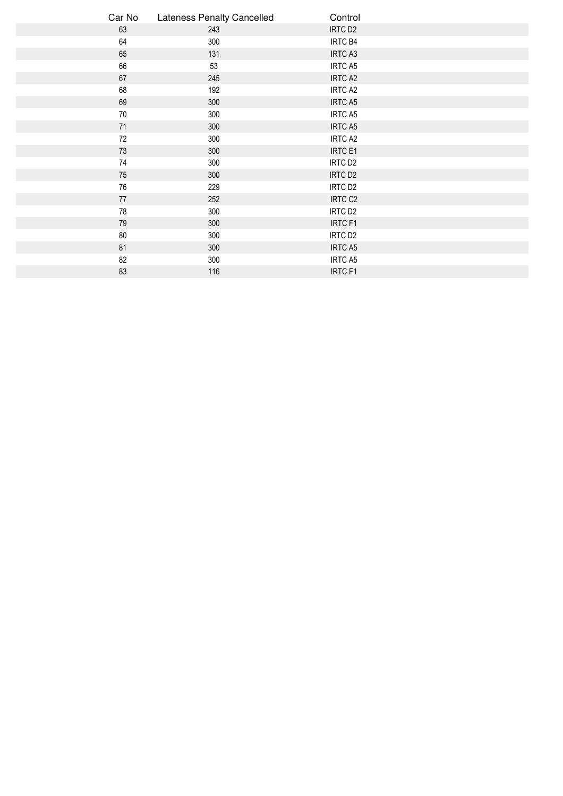| Car No | <b>Lateness Penalty Cancelled</b> | Control             |  |
|--------|-----------------------------------|---------------------|--|
| 63     | 243                               | IRTC D <sub>2</sub> |  |
| 64     | 300                               | IRTC B4             |  |
| 65     | 131                               | IRTC A3             |  |
| 66     | 53                                | IRTC A5             |  |
| 67     | 245                               | IRTC A2             |  |
| 68     | 192                               | IRTC A2             |  |
| 69     | 300                               | <b>IRTC A5</b>      |  |
| $70\,$ | 300                               | IRTC A5             |  |
| 71     | 300                               | <b>IRTC A5</b>      |  |
| 72     | 300                               | IRTC A2             |  |
| 73     | 300                               | IRTC E1             |  |
| 74     | 300                               | IRTC D <sub>2</sub> |  |
| 75     | 300                               | IRTC D <sub>2</sub> |  |
| 76     | 229                               | IRTC D <sub>2</sub> |  |
| 77     | 252                               | IRTC C <sub>2</sub> |  |
| 78     | 300                               | IRTC D <sub>2</sub> |  |
| 79     | 300                               | IRTC F1             |  |
| 80     | 300                               | IRTC D <sub>2</sub> |  |
| 81     | 300                               | <b>IRTC A5</b>      |  |
| 82     | 300                               | IRTC A5             |  |
| 83     | 116                               | <b>IRTCF1</b>       |  |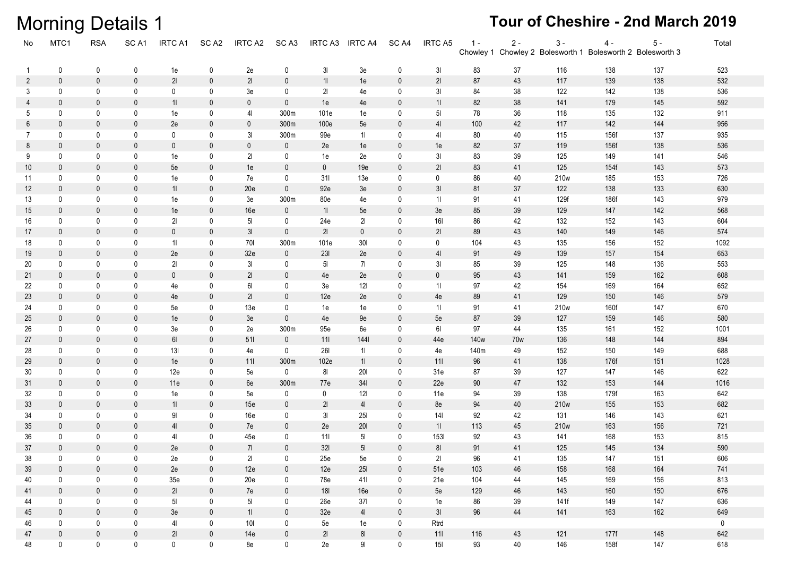## **Morning Details 1**

| No                | MTC1         | <b>RSA</b>   | SC <sub>A1</sub> | <b>IRTC A1</b> | SC <sub>A2</sub> | IRTC A2         | SC <sub>A3</sub> | IRTC A3        | <b>IRTC A4</b> | SC <sub>A4</sub> | IRTC A5         | $1 -$<br>Chowley 1 | $2 -$ | $3 -$ | $4 -$<br>Chowley 2 Bolesworth 1 Bolesworth 2 Bolesworth 3 | $5 -$ | Total       |
|-------------------|--------------|--------------|------------------|----------------|------------------|-----------------|------------------|----------------|----------------|------------------|-----------------|--------------------|-------|-------|-----------------------------------------------------------|-------|-------------|
| -1                | 0            | 0            | 0                | 1e             | 0                | 2e              | 0                | 3 <sub>l</sub> | 3e             | 0                | 31              | 83                 | 37    | 116   | 138                                                       | 137   | 523         |
| 2                 | 0            | 0            | $\mathbf{0}$     | 21             | $\mathbf 0$      | 21              | $\mathbf 0$      | 11             | 1e             | $\mathbf 0$      | 21              | 87                 | 43    | 117   | 139                                                       | 138   | 532         |
| 3                 | 0            | 0            | $\mathbf{0}$     | 0              | 0                | 3e              | 0                | 21             | 4e             | 0                | 3 <sub>l</sub>  | 84                 | 38    | 122   | 142                                                       | 138   | 536         |
| 4                 | $\mathbf 0$  | 0            | $\mathbf{0}$     | 11             | $\mathbf{0}$     | $\mathbf 0$     | $\mathbf 0$      | 1e             | 4e             | $\mathbf 0$      | 11              | 82                 | 38    | 141   | 179                                                       | 145   | 592         |
| 5                 | 0            | $\mathbf 0$  | 0                | 1e             | 0                | 41              | 300m             | 101e           | 1e             | 0                | 5 <sub>l</sub>  | 78                 | 36    | 118   | 135                                                       | 132   | 911         |
| 6                 | $\mathbf 0$  | $\mathbf{0}$ | $\mathbf{0}$     | 2e             | $\mathbf{0}$     | $\mathbf 0$     | 300m             | 100e           | 5e             | $\mathbf 0$      | 4 <sub>l</sub>  | 100                | 42    | 117   | 142                                                       | 144   | 956         |
| 7                 | $\mathbf 0$  | 0            | 0                | 0              | 0                | 31              | 300m             | 99e            | 11             | 0                | 41              | 80                 | 40    | 115   | 156f                                                      | 137   | 935         |
| 8                 | $\mathbf 0$  | 0            | $\mathbf 0$      | $\mathbf 0$    | $\mathbf 0$      | $\mathbf 0$     | $\mathbf 0$      | 2e             | 1e             | $\mathbf 0$      | 1e              | 82                 | 37    | 119   | 156f                                                      | 138   | 536         |
| 9                 | $\mathbf 0$  | 0            | 0                | 1e             | 0                | 21              | $\mathbf 0$      | 1e             | 2e             | 0                | 3I              | 83                 | 39    | 125   | 149                                                       | 141   | 546         |
| 10                | $\mathbf 0$  | $\mathbf{0}$ | $\mathbf 0$      | 5e             | $\mathbf 0$      | 1e              | $\mathbf 0$      | $\mathbf 0$    | 19e            | $\mathbf 0$      | 21              | 83                 | 41    | 125   | 154f                                                      | 143   | 573         |
| 11                | $\mathbf 0$  | 0            | 0                | 1e             | 0                | 7e              | $\mathbf 0$      | 311            | 13e            | 0                | 0               | 86                 | 40    | 210w  | 185                                                       | 153   | 726         |
| $12 \overline{ }$ | $\mathbf 0$  | $\mathbf 0$  | $\mathbf{0}$     | 11             | $\mathbf 0$      | 20e             | $\mathbf 0$      | 92e            | 3e             | $\mathbf 0$      | 3 <sub>l</sub>  | 81                 | 37    | 122   | 138                                                       | 133   | 630         |
| 13                | 0            | 0            | 0                | 1e             | 0                | 3e              | 300m             | 80e            | 4e             | 0                | 11              | 91                 | 41    | 129f  | 186f                                                      | 143   | 979         |
| 15                | $\mathbf 0$  | $\mathbf 0$  | $\mathbf{0}$     | 1e             | $\mathbf{0}$     | 16e             | $\mathbf 0$      | 11             | 5e             | $\mathbf 0$      | 3e              | 85                 | 39    | 129   | 147                                                       | 142   | 568         |
| 16                | 0            | $\mathbf 0$  | 0                | 21             | 0                | 5 <sub>l</sub>  | $\mathbf 0$      | 24e            | 21             | 0                | 161             | 86                 | 42    | 132   | 152                                                       | 143   | 604         |
| 17                | $\mathbf 0$  | $\mathbf 0$  | $\mathbf{0}$     | $\mathbf 0$    | $\mathbf 0$      | 3 <sub>l</sub>  | $\mathbf 0$      | 21             | $\mathbf 0$    | $\mathbf 0$      | 21              | 89                 | 43    | 140   | 149                                                       | 146   | 574         |
| 18                | 0            | 0            | 0                | 11             | 0                | 701             | 300m             | 101e           | 301            | 0                | $\mathbf 0$     | 104                | 43    | 135   | 156                                                       | 152   | 1092        |
| 19                | $\mathbf 0$  | $\mathbf 0$  | $\mathbf 0$      | 2e             | $\mathbf 0$      | 32e             | $\mathbf 0$      | 231            | 2e             | $\mathbf 0$      | 4 <sub>l</sub>  | 91                 | 49    | 139   | 157                                                       | 154   | 653         |
| 20                | 0            | 0            | 0                | 21             | 0                | 31              | $\mathbf 0$      | 5 <sub>l</sub> | 71             | 0                | 3 <sub>l</sub>  | 85                 | 39    | 125   | 148                                                       | 136   | 553         |
| 21                | $\mathbf 0$  | $\mathbf{0}$ | $\mathbf{0}$     | $\pmb{0}$      | $\mathbf 0$      | 21              | $\mathbf 0$      | 4e             | 2e             | $\mathbf 0$      | $\mathbf 0$     | 95                 | 43    | 141   | 159                                                       | 162   | 608         |
| 22                | $\mathbf 0$  | 0            | 0                | 4e             | 0                | 61              | 0                | 3e             | 121            | 0                | 11              | 97                 | 42    | 154   | 169                                                       | 164   | 652         |
| 23                | $\mathbf 0$  | $\mathbf{0}$ | $\mathbf{0}$     | 4e             | $\mathbf 0$      | 21              | $\mathbf 0$      | 12e            | 2e             | $\mathbf 0$      | 4e              | 89                 | 41    | 129   | 150                                                       | 146   | 579         |
| 24                | 0            | 0            | $\mathbf{0}$     | 5e             | 0                | 13 <sub>e</sub> | 0                | 1e             | 1e             | 0                | 11              | 91                 | 41    | 210w  | 160f                                                      | 147   | 670         |
| 25                | $\mathbf 0$  | $\mathbf{0}$ | $\mathbf{0}$     | 1e             | $\mathbf{0}$     | 3e              | $\mathbf{0}$     | 4e             | 9e             | $\mathbf 0$      | 5e              | 87                 | 39    | 127   | 159                                                       | 146   | 580         |
| 26                | 0            | 0            | 0                | 3e             | 0                | 2e              | 300m             | 95e            | 6e             | 0                | 61              | 97                 | 44    | 135   | 161                                                       | 152   | 1001        |
| 27                | $\mathbf 0$  | $\mathbf{0}$ | $\mathbf{0}$     | 61             | $\mathbf 0$      | 511             | $\mathbf{0}$     | 111            | 1441           | $\mathbf 0$      | 44e             | 140w               | 70w   | 136   | 148                                                       | 144   | 894         |
| 28                | 0            | 0            | 0                | 13I            | 0                | 4e              | $\mathbf{0}$     | <b>261</b>     | 11             | 0                | 4e              | 140m               | 49    | 152   | 150                                                       | 149   | 688         |
| 29                | $\mathbf 0$  | 0            | $\mathbf 0$      | 1e             | $\mathbf 0$      | 111             | 300m             | 102e           | 11             | $\mathbf 0$      | 111             | 96                 | 41    | 138   | 176f                                                      | 151   | 1028        |
| 30                | 0            | 0            | 0                | 12e            | 0                | 5e              | $\mathbf 0$      | 81             | 201            | 0                | 31e             | 87                 | 39    | 127   | 147                                                       | 146   | 622         |
| 31                | $\mathbf 0$  | $\mathbf{0}$ | $\mathbf{0}$     | 11e            | $\mathbf 0$      | 6e              | 300m             | 77e            | 341            | $\mathbf 0$      | 22e             | 90                 | 47    | 132   | 153                                                       | 144   | 1016        |
| 32                | $\mathsf{O}$ | 0            | 0                | 1e             | 0                | 5e              | 0                | 0              | 121            | 0                | 11e             | 94                 | 39    | 138   | 179f                                                      | 163   | 642         |
| 33                | $\mathbf 0$  | $\mathbf 0$  | $\mathbf{0}$     | 11             | $\mathbf 0$      | 15e             | $\mathbf 0$      | 21             | 4 <sub>l</sub> | $\mathbf 0$      | 8e              | 94                 | 40    | 210w  | 155                                                       | 153   | 682         |
| 34                | $\mathbf 0$  | $\mathbf 0$  | 0                | 91             | 0                | 16e             | 0                | 31             | <b>25I</b>     | 0                | 14 <sub>l</sub> | 92                 | 42    | 131   | 146                                                       | 143   | 621         |
| 35                | $\mathbf 0$  | $\mathbf 0$  | $\mathbf 0$      | 4 <sub>l</sub> | $\mathbf 0$      | 7e              | $\mathbf 0$      | 2e             | 201            | $\mathbf 0$      | 11              | 113                | 45    | 210w  | 163                                                       | 156   | 721         |
| 36                | 0            | 0            | 0                | 41             | 0                | 45e             | 0                | 111            | 5 <sub>l</sub> | 0                | 1531            | 92                 | 43    | 141   | 168                                                       | 153   | 815         |
| 37                | 0            | $\mathbf{0}$ | $\mathbf{0}$     | 2e             | $\mathbf 0$      | 71              | $\mathbf{0}$     | 321            | 5 <sub>l</sub> | $\mathbf 0$      | 81              | 91                 | 41    | 125   | 145                                                       | 134   | 590         |
| 38                | 0            | $\mathbf{0}$ | $\mathbf{0}$     | 2e             | 0                | 21              | $\mathbf{0}$     | 25e            | 5e             | $\mathbf 0$      | 21              | 96                 | 41    | 135   | 147                                                       | 151   | 606         |
| 39                | $\mathbf 0$  | $\mathbf 0$  | $\mathbf 0$      | 2e             | $\mathbf 0$      | 12e             | $\mathbf 0$      | 12e            | 251            | $\mathbf 0$      | 51e             | 103                | 46    | 158   | 168                                                       | 164   | 741         |
| 40                | $\mathsf{O}$ | 0            | 0                | 35e            | $\mathbf 0$      | 20e             | $\mathbf 0$      | 78e            | 411            | 0                | 21e             | 104                | 44    | 145   | 169                                                       | 156   | 813         |
| 41                | $\mathbf 0$  | $\mathbf 0$  | $\mathbf 0$      | 21             | $\mathbf 0$      | 7e              | $\mathbf 0$      | 18I            | 16e            | $\mathbf 0$      | 5e              | 129                | 46    | 143   | 160                                                       | 150   | 676         |
| 44                | 0            | 0            | 0                | 5 <sub>l</sub> | 0                | 5 <sub>l</sub>  | $\mathbf 0$      | 26e            | 371            | 0                | 1e              | 86                 | 39    | 141f  | 149                                                       | 147   | 636         |
| 45                | $\mathbf 0$  | $\mathbf 0$  | $\mathbf 0$      | 3e             | $\mathbf 0$      | 11              | $\mathbf 0$      | 32e            | 4 <sup>1</sup> | $\pmb{0}$        | 3 <sub>l</sub>  | 96                 | 44    | 141   | 163                                                       | 162   | 649         |
| 46                | 0            | 0            | 0                | 41             | $\mathbf 0$      | 10 <sub>l</sub> | $\mathbf 0$      | 5e             | 1e             | 0                | Rtrd            |                    |       |       |                                                           |       | $\mathbf 0$ |
| 47                | $\mathbf 0$  | $\mathbf 0$  | $\mathbf 0$      | 21             | $\mathbf 0$      | 14e             | $\mathbf 0$      | 21             | $8\mathsf{l}$  | $\pmb{0}$        | 111             | 116                | 43    | 121   | 177f                                                      | 148   | 642         |
| 48                | $\mathsf{0}$ | $\mathbf 0$  | $\mathbf 0$      | 0              | $\mathbf 0$      | 8e              | $\mathbf 0$      | 2e             | $9\mathsf{l}$  | $\mathbf 0$      | 15I             | 93                 | 40    | 146   | 158f                                                      | 147   | 618         |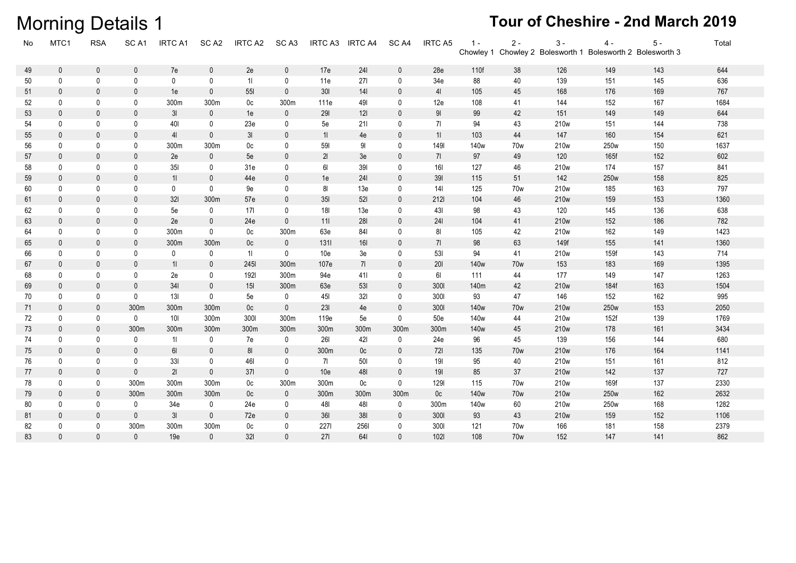83

 $\mathbf 0$ 

 $\mathbf 0$ 

 $\mathbb O$ 

19e

 $\mathbf 0$ 

 $321$ 

|    | <b>Morning Details 1</b> |              |                  |                |                  |                 |                  |                 |                 |                  |                 |                  |                 |                  |                                                                     | Tour of Cheshire - 2nd March 2019 |       |  |
|----|--------------------------|--------------|------------------|----------------|------------------|-----------------|------------------|-----------------|-----------------|------------------|-----------------|------------------|-----------------|------------------|---------------------------------------------------------------------|-----------------------------------|-------|--|
| No | MTC1                     | <b>RSA</b>   | SC <sub>A1</sub> | <b>IRTC A1</b> | SC <sub>A2</sub> | IRTC A2         | SC <sub>A3</sub> | IRTC A3         | <b>IRTC A4</b>  | SC <sub>A4</sub> | <b>IRTC A5</b>  | $1 -$            | $2 -$           | $3 -$            | $4 -$<br>Chowley 1 Chowley 2 Bolesworth 1 Bolesworth 2 Bolesworth 3 | $5 -$                             | Total |  |
| 49 | $\mathbf 0$              | $\mathbf 0$  | $\mathbf{0}$     | 7e             | $\mathbf 0$      | 2e              | 0                | 17e             | 241             | $\mathbf 0$      | 28e             | 110f             | 38              | 126              | 149                                                                 | 143                               | 644   |  |
| 50 | 0                        | $\mathbf{0}$ | 0                | $\mathbf{0}$   | $\mathbf 0$      | 11              | 0                | 11e             | 271             | 0                | 34e             | 88               | 40              | 139              | 151                                                                 | 145                               | 636   |  |
| 51 | $\mathbf{0}$             | $\mathbf{0}$ | $\mathbf{0}$     | 1e             | $\mathbf{0}$     | 551             | $\mathbf{0}$     | 30 <sub>l</sub> | 14 <sup>1</sup> | $\mathbf{0}$     | 4 <sub>l</sub>  | 105              | 45              | 168              | 176                                                                 | 169                               | 767   |  |
| 52 | 0                        | 0            | 0                | 300m           | 300m             | 0 <sup>c</sup>  | 300m             | 111e            | 491             | 0                | 12e             | 108              | 41              | 144              | 152                                                                 | 167                               | 1684  |  |
| 53 | $\mathbf{0}$             | $\mathbf{0}$ | $\mathbf{0}$     | 3 <sub>l</sub> | $\mathbf 0$      | 1e              | $\mathbf{0}$     | 291             | 121             | $\mathbf{0}$     | 91              | 99               | 42              | 151              | 149                                                                 | 149                               | 644   |  |
| 54 | $\mathbf 0$              | 0            | 0                | 401            | $\mathbf{0}$     | 23e             | 0                | 5e              | 211             | 0                | 71              | 94               | 43              | 210 <sub>w</sub> | 151                                                                 | 144                               | 738   |  |
| 55 | $\mathbf 0$              | $\mathbf{0}$ | $\mathbf{0}$     | 41             | $\mathbf 0$      | 3 <sub>l</sub>  | $\mathbf{0}$     | 11              | 4e              | 0                | 11              | 103              | 44              | 147              | 160                                                                 | 154                               | 621   |  |
| 56 | $\mathbf 0$              | 0            | $\Omega$         | 300m           | 300m             | 0c              | 0                | 591             | 91              | 0                | 1491            | 140 <sub>w</sub> | 70w             | 210w             | 250w                                                                | 150                               | 1637  |  |
| 57 | $\mathbf{0}$             | $\Omega$     | $\mathbf{0}$     | 2e             | $\mathbf{0}$     | 5e              | $\Omega$         | 21              | 3e              | $\mathbf{0}$     | 71              | 97               | 49              | 120              | 165f                                                                | 152                               | 602   |  |
| 58 | $\mathbf 0$              | 0            | $\mathbf{0}$     | 351            | $\mathbf 0$      | 31e             | 0                | 61              | 391             | $\mathbf 0$      | 161             | 127              | 46              | 210w             | 174                                                                 | 157                               | 841   |  |
| 59 | $\mathbf{0}$             | $\Omega$     | $\Omega$         | 11             | $\mathbf{0}$     | 44e             | $\Omega$         | 1e              | 241             | $\mathbf{0}$     | 391             | 115              | 51              | 142              | 250w                                                                | 158                               | 825   |  |
| 60 | $\mathbf 0$              | $\mathbf{0}$ | $\mathbf{0}$     | 0              | $\mathbf{0}$     | 9e              | $\mathbf{0}$     | 81              | 13e             | $\mathbf 0$      | 14 <sub>l</sub> | 125              | 70 <sub>w</sub> | 210 <sub>w</sub> | 185                                                                 | 163                               | 797   |  |
| 61 | $\mathbf 0$              | $\mathbf{0}$ | $\mathbf{0}$     | 321            | 300m             | 57e             | $\mathbf{0}$     | 35I             | 521             | 0                | 2121            | 104              | 46              | 210 <sub>w</sub> | 159                                                                 | 153                               | 1360  |  |
| 62 | $\mathbf 0$              | 0            | $\mathbf 0$      | 5e             | $\mathbf 0$      | 171             | 0                | 181             | 13 <sub>e</sub> | $\mathbf 0$      | 431             | 98               | 43              | 120              | 145                                                                 | 136                               | 638   |  |
| 63 | $\mathbf 0$              | $\mathbf{0}$ | $\mathbf{0}$     | 2e             | $\mathbf{0}$     | 24e             | $\mathbf{0}$     | 11              | 281             | $\mathbf 0$      | 241             | 104              | 41              | 210w             | 152                                                                 | 186                               | 782   |  |
| 64 | 0                        | 0            | 0                | 300m           | $\mathbf 0$      | 0 <sub>c</sub>  | 300m             | 63e             | 841             | 0                | 81              | 105              | 42              | 210w             | 162                                                                 | 149                               | 1423  |  |
| 65 | $\mathbf 0$              | $\mathbf{0}$ | $\mathbf{0}$     | 300m           | 300m             | 0 <sub>c</sub>  | 0                | 1311            | 16I             | 0                | 71              | 98               | 63              | 149f             | 155                                                                 | 141                               | 1360  |  |
| 66 | 0                        | 0            | $\mathbf{0}$     | 0              | 0                | 11              | 0                | 10e             | 3e              | $\mathbf 0$      | 531             | 94               | 41              | 210w             | 159f                                                                | 143                               | 714   |  |
| 67 | $\mathbf 0$              | $\mathbf{0}$ | $\mathbf{0}$     | 11             | $\mathbf 0$      | 2451            | 300m             | 107e            | 71              | $\mathbf 0$      | 201             | 140 <sub>w</sub> | 70w             | 153              | 183                                                                 | 169                               | 1395  |  |
| 68 | $\pmb{0}$                | $\mathbf{0}$ | 0                | 2e             | 0                | 1921            | 300m             | 94e             | 411             | 0                | 61              | 111              | 44              | 177              | 149                                                                 | 147                               | 1263  |  |
| 69 | $\mathbf{0}$             | $\mathbf{0}$ | $\mathbf{0}$     | 34             | $\mathbf{0}$     | 15 <sub>l</sub> | 300m             | 63e             | 531             | $\mathbf{0}$     | 3001            | 140m             | 42              | 210 <sub>w</sub> | 184f                                                                | 163                               | 1504  |  |
| 70 | $\pmb{0}$                | 0            | 0                | 13I            | $\pmb{0}$        | 5e              | 0                | 451             | 32 <sub>l</sub> | 0                | 3001            | 93               | 47              | 146              | 152                                                                 | 162                               | 995   |  |
| 71 | $\mathbf 0$              | 0            | 300m             | 300m           | 300m             | 0 <sub>c</sub>  | $\mathbf{0}$     | 231             | 4e              | $\mathbf 0$      | 3001            | 140 <sub>w</sub> | 70w             | 210w             | 250w                                                                | 153                               | 2050  |  |
| 72 | $\mathbf 0$              | 0            | 0                | 10I            | 300m             | 3001            | 300m             | 119e            | 5e              | 0                | 50e             | 140 <sub>w</sub> | 44              | 210w             | 152f                                                                | 139                               | 1769  |  |
| 73 | $\mathbf 0$              | $\mathbf{0}$ | 300m             | 300m           | 300m             | 300m            | 300m             | 300m            | 300m            | 300m             | 300m            | 140 <sub>w</sub> | 45              | 210w             | 178                                                                 | 161                               | 3434  |  |
| 74 | 0                        | 0            | 0                | 11             | 0                | 7e              | 0                | 261             | 421             | $\mathbf 0$      | 24e             | 96               | 45              | 139              | 156                                                                 | 144                               | 680   |  |
| 75 | $\mathbf{0}$             | $\mathbf{0}$ | $\mathbf{0}$     | 61             | $\mathbf{0}$     | 81              | $\Omega$         | 300m            | 0 <sub>c</sub>  | $\mathbf{0}$     | 721             | 135              | 70w             | 210 <sub>w</sub> | 176                                                                 | 164                               | 1141  |  |
| 76 | 0                        | 0            | 0                | 331            | 0                | 461             | 0                | 71              | 501             | 0                | 191             | 95               | 40              | 210w             | 151                                                                 | 161                               | 812   |  |
| 77 | $\mathbf 0$              | $\mathbf{0}$ | $\Omega$         | 21             | $\mathbf{0}$     | 37 <sub>l</sub> | $\mathbf{0}$     | 10e             | 481             | $\mathbf{0}$     | 191             | 85               | 37              | 210 <sub>w</sub> | 142                                                                 | 137                               | 727   |  |
| 78 | 0                        | 0            | 300m             | 300m           | 300m             | 0c              | 300m             | 300m            | 0 <sup>c</sup>  | 0                | 1291            | 115              | 70w             | 210w             | 169f                                                                | 137                               | 2330  |  |
| 79 | $\pmb{0}$                | 0            | 300m             | 300m           | 300m             | 0 <sub>c</sub>  | $\mathbf 0$      | 300m            | 300m            | 300m             | 0c              | 140w             | 70w             | 210w             | 250w                                                                | 162                               | 2632  |  |
| 80 | 0                        | 0            | 0                | 34e            | $\mathbf 0$      | 24e             | 0                | 481             | 481             | 0                | 300m            | 140w             | 60              | 210w             | 250w                                                                | 168                               | 1282  |  |
| 81 | $\mathbf 0$              | $\mathbf{0}$ | $\mathbf{0}$     | 3 <sub>l</sub> | $\mathbf 0$      | 72e             | $\mathbf 0$      | 361             | 381             | $\mathbf 0$      | 3001            | 93               | 43              | 210w             | 159                                                                 | 152                               | 1106  |  |
| 82 | $\mathbf 0$              | 0            | 300m             | 300m           | 300m             | 0c              | 0                | 2271            | 2561            | 0                | 3001            | 121              | 70w             | 166              | 181                                                                 | 158                               | 2379  |  |

 $\overline{0}$ 

271

641

 $\mathbf 0$ 

 $102I$ 

108

70w

152

147

141

862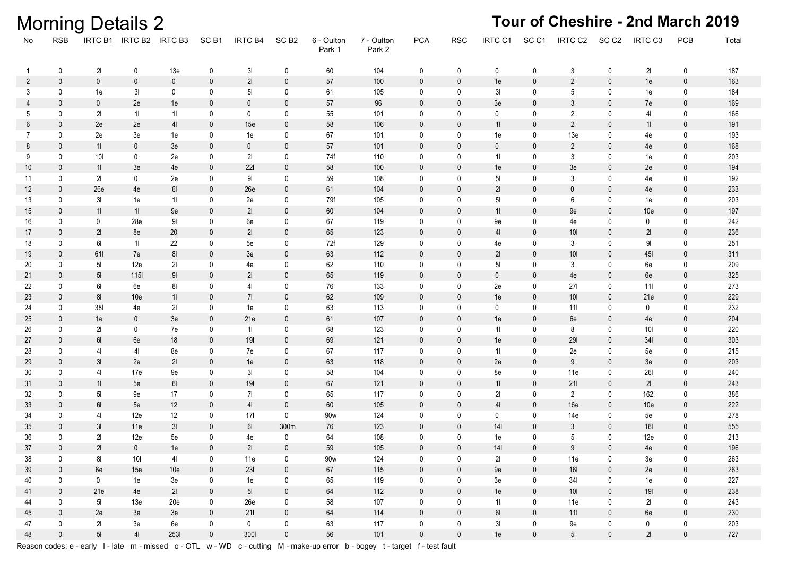|                |                            | <b>ב בוואסים ומונחים של המ</b> |                         |                 |                            |                 |                         |                      |                      |                            |                            |                |                  |                     |                            |             |                         |            |
|----------------|----------------------------|--------------------------------|-------------------------|-----------------|----------------------------|-----------------|-------------------------|----------------------|----------------------|----------------------------|----------------------------|----------------|------------------|---------------------|----------------------------|-------------|-------------------------|------------|
| No             | RSB                        |                                | IRTC B1 IRTC B2 IRTC B3 |                 | SC <sub>B1</sub>           | IRTC B4         | SC <sub>B2</sub>        | 6 - Oulton<br>Park 1 | 7 - Oulton<br>Park 2 | <b>PCA</b>                 | <b>RSC</b>                 | IRTC C1        | SC <sub>C1</sub> | IRTC C <sub>2</sub> | SC <sub>C2</sub>           | IRTC C3     | PCB                     | Total      |
| 1              | 0                          | 21                             | 0                       | 13e             | 0                          | 3I              | $\mathbf 0$             | 60                   | 104                  | 0                          | 0                          | 0              | 0                | 3 <sub>l</sub>      | 0                          | 21          | $\mathbf 0$             | 187        |
| $\overline{2}$ | $\mathbf 0$                | $\mathbf 0$                    | $\mathbf 0$             | $\mathbf 0$     | $\mathbf 0$                | $2\mathsf{l}$   | $\mathbf 0$             | 57                   | 100                  | $\mathbf 0$                | $\mathbf 0$                | 1e             | $\mathbf{0}$     | 21                  | $\mathbf 0$                | 1e          | $\mathbf 0$             | 163        |
| 3              | 0                          | 1e                             | 3I                      | 0               | 0                          | $5\mathsf{l}$   | 0                       | 61                   | 105                  | 0                          | 0                          | 3I             | 0                | 5 <sub>l</sub>      | 0                          | 1e          | $\mathbf 0$             | 184        |
| 4              | $\mathbf 0$                | $\mathbf 0$                    | 2e                      | 1e              | $\mathbf{0}$               | $\mathbf 0$     | $\mathbf 0$             | $57\,$               | $96\,$               | $\mathbf{0}$               | $\mathbf 0$                | 3e             | $\mathbf{0}$     | 3I                  | 0                          | 7e          | $\mathbf 0$             | 169        |
| 5              | 0                          | 21                             | 11                      | 11              | 0                          | 0               | 0                       | 55                   | 101                  | 0                          | 0                          | 0              | 0                | 21                  | 0                          | 41          | 0                       | 166        |
| 6              | $\pmb{0}$                  | 2e                             | 2e                      | 4 <sub>l</sub>  | $\mathbf{0}$               | 15e             | $\mathbf 0$             | 58                   | 106                  | $\mathbf 0$                | $\mathbf{0}$               | 11             | $\mathbf{0}$     | 21                  | $\mathbf 0$                | 11          | $\mathbf 0$             | 191        |
| 7              | 0                          | 2e                             | 3e                      | 1e              | 0                          | 1e              | 0                       | 67                   | 101                  | 0                          | 0                          | 1e             | 0                | 13e                 | 0                          | 4e          | 0                       | 193        |
| 8              | $\pmb{0}$                  | 11                             | $\mathbf 0$             | 3e              | $\mathbf{0}$               | 0               | 0                       | 57                   | 101                  | $\mathbf 0$                | $\mathbf 0$                | $\mathbf 0$    | $\mathbf{0}$     | 21                  | $\mathbf 0$                | 4e          | $\mathbf 0$             | 168        |
| 9              | $\mathbf 0$                | $101$                          | 0                       | 2e              | 0                          | 21              | $\mathbf 0$             | 74f                  | 110                  | 0                          | $\mathbf 0$                | 11             | 0                | 3I                  | 0                          | 1e          | $\mathbf 0$             | 203        |
| 10             | $\mathbf 0$                | 11                             | 3e                      | 4e              | 0                          | 221             | $\mathbf 0$             | 58                   | 100                  | $\mathbf 0$                | $\pmb{0}$                  | 1e             | $\mathbf 0$      | 3e                  | $\mathbf 0$                | 2e          | $\pmb{0}$               | 194        |
| 11             | $\mathbf 0$                | 21                             | 0                       | 2e              | 0                          | 91              | 0                       | 59                   | 108                  | 0                          | 0                          | 5 <sub>l</sub> | 0                | 3I                  | 0                          | 4e          | $\mathbf 0$             | 192        |
| 12             | $\mathbf 0$                | 26e                            | 4e                      | 61              | $\mathbf 0$                | 26e             | $\mathbf 0$             | 61                   | 104                  | $\mathbf{0}$               | $\mathbf 0$                | 21             | $\mathbf{0}$     | $\pmb{0}$           | $\mathbf 0$                | 4e          | $\mathbf 0$             | 233        |
| 13             | $\mathbf 0$                | 3 <sub>l</sub>                 | 1e                      | 11              | 0                          | 2e              | 0                       | 79f                  | 105                  | 0                          | 0                          | 5 <sub>l</sub> | 0                | 6I                  | 0                          | 1e          | $\mathbf 0$             | 203        |
| 15             | $\mathbf 0$                | 11                             | 11                      | $9\mathrm{e}$   | 0                          | 21              | $\mathbf 0$             | $60\,$               | 104                  | $\mathbf 0$                | $\pmb{0}$                  | 11             | $\mathbf 0$      | 9e                  | $\mathbf 0$                | 10e         | $\mathbf 0$             | 197        |
| 16             | $\mathbf 0$                | $\mathbf 0$                    | 28e                     | 91              | 0                          | 6e              | 0                       | 67                   | 119                  | 0                          | 0                          | 9e             | 0                | 4e                  | 0                          | 0           | $\mathsf{O}$            | 242        |
| 17             | $\mathbf 0$                | 21                             | 8e                      | 201             | 0                          | 21              | $\mathbf 0$             | 65                   | 123                  | $\mathbf 0$                | $\mathbf 0$                | 4 <sub>l</sub> | $\mathbf{0}$     | 10I                 | $\mathbf 0$                | 21          | $\mathbf 0$             | 236        |
| 18             | 0                          | 61                             | 11                      | 221             | 0                          | 5e              | 0                       | 72f                  | 129                  | 0                          | 0                          | 4e             | 0                | 31                  | 0                          | 91          | $\mathbf 0$             | 251        |
| 19             | $\pmb{0}$                  | 611                            | 7e                      | $8\mathsf{l}$   | 0                          | 3e              | $\mathbf 0$             | 63                   | 112                  | $\mathbf 0$                | $\pmb{0}$                  | 21             | $\mathbf{0}$     | 101                 | $\mathbf 0$                | 45          | $\mathbf 0$             | 311        |
| 20             | $\mathbf 0$                | 5 <sub>l</sub>                 | 12e                     | 21              | 0                          | 4e              | $\mathbf 0$             | 62                   | 110                  | 0                          | 0                          | 5 <sub>l</sub> | 0                | 3I                  | 0                          | 6e          | $\bm{0}$                | 209        |
| 21             | $\pmb{0}$                  | 5 <sub>l</sub>                 | <b>1151</b>             | $9\mathsf{l}$   | 0                          | 21              | $\mathbf 0$             | 65                   | 119                  | $\mathbf 0$                | $\pmb{0}$                  | $\mathbf 0$    | $\mathbf 0$      | 4e                  | $\mathbf 0$                | $6e$        | $\pmb{0}$               | 325        |
| 22             | $\mathbf 0$                | 61                             | 6e                      | 81              | 0                          | 41              | 0                       | 76                   | 133                  | 0                          | 0                          | 2e             | 0                | 271                 | 0                          | 111         | $\mathbf 0$             | 273        |
| 23             | $\pmb{0}$                  | 81                             | 10e                     | 11              | $\mathbf 0$                | 71              | $\mathbf 0$             | 62                   | 109                  | $\mathbf 0$                | $\mathbf 0$                | 1e             | $\mathbf{0}$     | 10I                 | $\mathbf 0$                | 21e         | $\mathbf 0$             | 229        |
| 24             | $\pmb{0}$                  | 381                            | 4e                      | 21              | 0                          | 1e              | 0                       | 63                   | 113                  | 0                          | 0                          | 0              | 0                | 111                 | 0                          | 0           | $\mathbf 0$             | 232        |
| 25             | $\mathbf 0$                | 1e                             | $\mathbf 0$             | 3e              | $\mathbf 0$                | 21e             | $\mathbf 0$             | 61                   | 107                  | $\mathbf 0$                | $\mathbf 0$                | 1e             | $\mathbf 0$      | 6e                  | $\mathbf 0$                | 4e          | $\mathbf 0$             | 204        |
| 26             | $\mathbf 0$                | 21                             | 0                       | 7e              | 0                          | 11              | 0                       | 68                   | 123                  | 0                          | 0                          | 11             | 0                | 81                  | 0                          | 10I         | 0                       | 220        |
| 27             | $\mathbf 0$                | 61                             | 6e                      | 18I             | $\mathbf{0}$               | 191             | $\mathbf 0$             | 69                   | 121                  | $\mathbf{0}$               | $\mathbf{0}$               | 1e             | $\mathbf{0}$     | 291                 | $\mathbf 0$                | 341         | $\mathbf 0$             | 303        |
| 28             | 0                          | 41                             | 41                      | 8e              | 0                          | 7e              | 0                       | 67                   | 117                  | 0                          | 0                          | 11             | 0                | 2e                  | 0                          | 5e          | 0                       | 215        |
| 29             | $\pmb{0}$                  | 3I                             | 2e                      | 21              | $\mathbf{0}$               | 1e              | 0                       | 63                   | 118                  | $\mathbf 0$                | $\mathbf 0$                | 2e             | $\mathbf 0$      | 9 <sub>l</sub>      | $\mathbf 0$                | 3e          | $\mathbf 0$             | 203        |
| 30             | $\mathbf 0$                | 41                             | 17e                     | $9\mathrm{e}$   | 0                          | 3I              | 0                       | 58                   | 104                  | 0                          | $\mathbf 0$                | 8e             | 0                | 11e                 | 0                          | 261         | $\bm{0}$                | 240        |
| 31             | $\mathbf 0$                | 11                             | 5e                      | $6\mathsf{l}$   | 0                          | 191             | $\mathbf 0$             | 67                   | 121                  | $\mathbf 0$                | $\pmb{0}$                  | 11             | $\mathbf 0$      | $211$               | $\mathbf 0$                | 21          | $\mathbf 0$             | 243        |
| 32             | $\mathbf 0$                | 5I                             | 9e                      | 17 <sub>l</sub> | 0                          | 7 <sup>1</sup>  | 0                       | 65                   | 117                  | 0                          | 0                          | 21             | 0                | 21                  | $\mathbf 0$                | 1621        | $\bm{0}$                | 386        |
| 33             | $\mathbf 0$                | 61                             | 5e                      | 12I             | $\mathbf{0}$               | 4 <sub>l</sub>  | $\mathbf 0$             | $60\,$               | 105                  | $\mathbf 0$                | $\mathbf 0$                | 4 <sub>l</sub> | $\mathbf 0$      | 16e                 | $\mathbf 0$                | 10e         | $\mathbf 0$             | 222        |
| 34             | $\pmb{0}$                  | 41                             | 12e                     | 12I             | 0                          | 17 <sub>l</sub> | 0                       | 90w                  | 124                  | 0                          | 0                          | 0              | 0                | 14e                 | 0                          | 5e          | $\pmb{0}$               | 278        |
| 35             | $\mathbf 0$                | 3I                             | 11e                     | 3I              | $\mathbf{0}$               | 61              | 300m                    | $76\,$               | 123                  | $\mathbf 0$                | $\mathbf 0$                | 141            | $\mathbf{0}$     | 3I                  | $\mathbf 0$                | 16          | $\mathbf 0$             | 555        |
| 36             | $\pmb{0}$                  | 21                             | 12e                     | 5e              | 0                          | 4e              | $\mathbf 0$             | 64                   | 108                  | 0                          | 0                          | 1e             | 0                | 5 <sub>l</sub>      | 0                          | 12e         | $\mathbf 0$             | 213        |
| 37             | $\mathbf 0$                | 21                             | $\mathbf 0$             | 1e              | $\mathbf 0$                | 21              | $\mathbf 0$             | 59                   | 105                  | $\mathbf 0$                | $\mathbf 0$                | 141            | 0                | 91                  | $\mathbf{0}$               | 4e          | $\mathbf 0$             | 196        |
| 38             | 0                          | 81                             | 10 <sub>l</sub>         | 41              | 0                          | 11e             | 0                       | 90w                  | 124                  | 0                          | 0                          | 21             | 0                | 11e                 | 0                          | 3e          | 0                       | 263        |
| 39<br>40       | $\mathbf 0$<br>$\mathbf 0$ | 6e<br>$\mathbf 0$              | 15e<br>1e               | 10e<br>3e       | $\mathbf 0$<br>$\mathbf 0$ | 23I<br>1e       | $\mathbf 0$<br>$\bm{0}$ | $67\,$<br>65         | 115<br>119           | $\mathbf 0$<br>$\mathbf 0$ | $\mathbf 0$<br>$\mathbf 0$ | 9e<br>3e       | $\mathbf 0$<br>0 | 16I<br>341          | $\mathbf 0$<br>$\mathbf 0$ | 2e<br>1e    | $\mathbf 0$<br>$\bm{0}$ | 263<br>227 |
|                | $\mathbf 0$                | 21e                            | 4e                      | 21              | $\mathbf 0$                | 5 <sub>l</sub>  | $\mathbf 0$             | 64                   | 112                  | $\mathbf 0$                | $\mathbf 0$                | 1e             | $\mathbf 0$      | 10I                 |                            | 19I         | $\mathbf 0$             | 238        |
| 41<br>44       | $\mathsf{O}$               | 5 <sub>l</sub>                 | 13e                     | 20e             | $\mathbf 0$                | 26e             | $\mathbf 0$             | 58                   | 107                  | 0                          | 0                          | 11             | 0                | 11e                 | $\mathbf 0$<br>$\mathbf 0$ | 21          | $\bm{0}$                | 243        |
| 45             | $\mathbf 0$                | 2e                             | 3e                      | 3e              | $\mathbf 0$                | 211             | $\mathbf 0$             | 64                   | 114                  | $\mathbf 0$                | $\mathbf 0$                | 61             | $\mathbf 0$      | 111                 | $\mathbf 0$                | 6e          | $\mathbf 0$             | 230        |
| 47             | $\mathbf 0$                | 21                             | 3e                      | 6e              | 0                          | $\pmb{0}$       | 0                       | 63                   | 117                  | $\mathbf 0$                | $\pmb{0}$                  | 3I             | 0                | 9e                  | $\mathbf 0$                | $\mathbf 0$ | $\pmb{0}$               | 203        |
|                |                            |                                |                         |                 |                            |                 |                         |                      |                      |                            |                            |                |                  |                     |                            |             |                         |            |

 $21$ 

 $\mathsf{O}$ 

727

Reason codes: e - early I - late m - missed o - OTL w - WD c - cutting M - make-up error b - bogey t - target f - test fault

 $\overline{0}$ 

3001

 $\overline{0}$ 

56

101

 $\,$  0

 $\mathbf 0$ 

 $1e$ 

 $\overline{\mathbf{0}}$ 

 $5<sub>l</sub>$ 

 $\mathbb O$ 

Morning Detaile 2

48

 $\mathbf 0$ 

 $5<sub>l</sub>$ 

 $41$ 

2531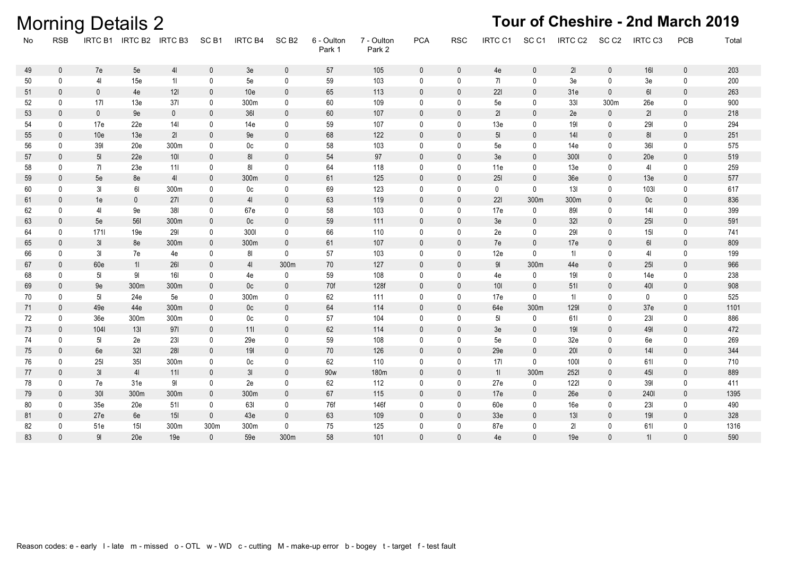|    |              | <b>Morning Details 2</b> |                         |                |                  |                 |                  |                      |                      |              |              |                 |                  |                 |                  | Tour of Cheshire - 2nd March 2019 |              |       |
|----|--------------|--------------------------|-------------------------|----------------|------------------|-----------------|------------------|----------------------|----------------------|--------------|--------------|-----------------|------------------|-----------------|------------------|-----------------------------------|--------------|-------|
| No | <b>RSB</b>   |                          | IRTC B1 IRTC B2 IRTC B3 |                | SC <sub>B1</sub> | <b>IRTC B4</b>  | SC <sub>B2</sub> | 6 - Oulton<br>Park 1 | 7 - Oulton<br>Park 2 | <b>PCA</b>   | <b>RSC</b>   | IRTC C1         | SC <sub>C1</sub> | IRTC C2         | SC <sub>C2</sub> | IRTC C3                           | PCB          | Total |
| 49 | $\mathbf 0$  | 7e                       | 5e                      | 4 <sub>l</sub> | $\mathbf{0}$     | 3e              | $\mathbf 0$      | 57                   | 105                  | $\mathbf 0$  | $\mathbf 0$  | 4e              | $\mathbf 0$      | 21              | $\mathbf 0$      | <b>16I</b>                        | $\mathbf 0$  | 203   |
| 50 | $\mathbf 0$  | 4 <sub>l</sub>           | 15e                     | 11             | $\mathbf 0$      | 5e              | $\mathbf 0$      | 59                   | 103                  | $\mathbf 0$  | $\mathbf 0$  | 71              | 0                | 3e              | 0                | 3e                                | $\mathbf 0$  | 200   |
| 51 | $\mathbf 0$  | $\mathbf 0$              | 4e                      | 121            | $\mathbf{0}$     | 10 <sub>e</sub> | $\mathbf{0}$     | 65                   | 113                  | $\mathbf{0}$ | $\mathbf{0}$ | 221             | $\mathbf{0}$     | 31e             | $\mathbf 0$      | 61                                | $\Omega$     | 263   |
| 52 | $\mathbf{0}$ | 171                      | 13e                     | 371            | $\Omega$         | 300m            | 0                | 60                   | 109                  | $\mathbf{0}$ | $\mathbf 0$  | 5e              | $\mathbf{0}$     | 331             | 300m             | 26e                               | $\Omega$     | 900   |
| 53 | $\mathbf{0}$ | $\pmb{0}$                | 9e                      | $\mathbf{0}$   | $\mathbf{0}$     | 361             | $\mathbf{0}$     | 60                   | 107                  | $\mathbf{0}$ | $\mathbf{0}$ | 21              | $\mathbf{0}$     | 2e              | $\mathbf{0}$     | 21                                | $\mathbf{0}$ | 218   |
| 54 | 0            | 17e                      | 22e                     | 141            | 0                | 14e             | 0                | 59                   | 107                  | 0            | 0            | 13e             | 0                | 191             | 0                | 291                               | $\mathbf{0}$ | 294   |
| 55 | $\mathbf{0}$ | 10e                      | 13e                     | 21             | $\mathbf{0}$     | 9e              | $\mathbf{0}$     | 68                   | 122                  | $\mathbf{0}$ | $\mathbf{0}$ | 5 <sub>l</sub>  | $\theta$         | 14 <sup>1</sup> | $\mathbf 0$      | 81                                | $\mathbf{0}$ | 251   |
| 56 | 0            | 391                      | 20e                     | 300m           | 0                | 0c              | 0                | 58                   | 103                  | $\mathbf 0$  | 0            | 5e              | 0                | 14e             | 0                | 361                               | $\mathbf{0}$ | 575   |
| 57 | $\mathbf{0}$ | 5 <sub>l</sub>           | 22e                     | $10I$          | $\mathbf{0}$     | 81              | $\mathbf{0}$     | 54                   | 97                   | $\mathbf{0}$ | $\mathbf{0}$ | 3e              | $\mathbf{0}$     | 3001            | 0                | 20e                               | $\mathbf 0$  | 519   |
| 58 | 0            | 71                       | 23e                     | 111            | $\mathbf 0$      | 81              | $\mathbf 0$      | 64                   | 118                  | $\mathbf 0$  | $\mathbf 0$  | 11e             | 0                | 13e             | 0                | 41                                | 0            | 259   |
| 59 | $\mathbf{0}$ | 5e                       | 8e                      | 4 <sub>l</sub> | $\mathbf{0}$     | 300m            | $\mathbf{0}$     | 61                   | 125                  | $\mathbf{0}$ | $\mathbf{0}$ | 251             | $\mathbf{0}$     | 36e             | $\mathbf{0}$     | 13e                               | $\mathbf{0}$ | 577   |
| 60 | 0            | 3 <sub>l</sub>           | 61                      | 300m           | $\mathbf 0$      | 0c              | $\mathbf 0$      | 69                   | 123                  | $\mathbf 0$  | $\mathbf 0$  | 0               | $\mathbf 0$      | 13I             | 0                | 1031                              | $\mathbf 0$  | 617   |
| 61 | $\mathbf{0}$ | 1e                       | $\mathbf 0$             | 271            | $\mathbf{0}$     | 41              | $\mathbf{0}$     | 63                   | 119                  | $\mathbf{0}$ | $\mathbf{0}$ | 221             | 300m             | 300m            | $\mathbf{0}$     | 0 <sub>c</sub>                    | $\mathbf{0}$ | 836   |
| 62 | 0            | 41                       | 9e                      | 381            | $\mathbf 0$      | 67e             | $\mathbf{0}$     | 58                   | 103                  | $\mathbf{0}$ | 0            | 17e             | $\mathbf 0$      | 891             | 0                | 14 <sub>l</sub>                   | $\mathbf{0}$ | 399   |
| 63 | $\mathbf 0$  | 5e                       | 561                     | 300m           | $\mathbf{0}$     | 0 <sub>c</sub>  | $\Omega$         | 59                   | 111                  | $\mathbf{0}$ | $\mathbf{0}$ | 3e              | $\mathbf{0}$     | 321             | $\mathbf{0}$     | 251                               | $\mathbf{0}$ | 591   |
| 64 | 0            | 1711                     | 19e                     | 291            | 0                | 300             | 0                | 66                   | 110                  | $\mathbf 0$  | 0            | 2e              | 0                | 291             | 0                | 15I                               | $\mathbf{0}$ | 741   |
| 65 | $\mathbf{0}$ | 3I                       | 8e                      | 300m           | $\mathbf{0}$     | 300m            | $\mathbf{0}$     | 61                   | 107                  | $\mathbf{0}$ | $\mathbf{0}$ | 7e              | $\theta$         | 17e             | $\mathbf 0$      | 61                                | $\mathbf{0}$ | 809   |
| 66 | 0            | 3 <sub>l</sub>           | 7e                      | 4e             | 0                | 81              | 0                | 57                   | 103                  | $\mathbf 0$  | 0            | 12e             | 0                | 11              | 0                | 41                                | $\mathbf{0}$ | 199   |
| 67 | $\mathbf 0$  | 60e                      | 11                      | <b>261</b>     | $\mathbf 0$      | 4 <sub>l</sub>  | 300m             | 70                   | 127                  | $\mathbf 0$  | 0            | 91              | 300m             | 44e             | $\mathbf 0$      | <b>25I</b>                        | $\mathbf 0$  | 966   |
| 68 | 0            | 5 <sub>l</sub>           | $9\mathsf{l}$           | 16I            | $\Omega$         | 4e              | 0                | 59                   | 108                  | 0            | 0            | 4e              | 0                | 19I             | 0                | 14e                               | 0            | 238   |
| 69 | $\mathbf{0}$ | 9e                       | 300m                    | 300m           | $\mathbf{0}$     | 0 <sub>c</sub>  | $\mathbf{0}$     | 70f                  | 128f                 | $\mathbf{0}$ | $\mathbf{0}$ | 101             | $\mathbf{0}$     | 511             | $\mathbf 0$      | 401                               | $\mathbf{0}$ | 908   |
| 70 | $\mathbf{0}$ | 5 <sub>l</sub>           | 24e                     | 5e             | $\Omega$         | 300m            | $\mathbf{0}$     | 62                   | 111                  | $\mathbf 0$  | 0            | 17e             | $\mathbf{0}$     | 11              | 0                | 0                                 | $\mathbf{0}$ | 525   |
| 71 | $\mathbf{0}$ | 49e                      | 44e                     | 300m           | $\mathbf{0}$     | 0 <sub>c</sub>  | $\mathbf{0}$     | 64                   | 114                  | $\mathbf{0}$ | $\mathbf{0}$ | 64e             | 300m             | 1291            | $\mathbf{0}$     | 37 <sub>e</sub>                   | $\mathbf{0}$ | 1101  |
| 72 | 0            | 36 <sub>e</sub>          | 300m                    | 300m           | $\Omega$         | 0c              | 0                | 57                   | 104                  | $\mathbf{0}$ | 0            | 5 <sub>l</sub>  | $\mathbf 0$      | 611             | 0                | 231                               | $\mathbf{0}$ | 886   |
| 73 | $\mathbf{0}$ | 1041                     | 13I                     | 971            | $\mathbf{0}$     | 111             | $\Omega$         | 62                   | 114                  | $\mathbf{0}$ | $\Omega$     | 3e              | $\mathbf{0}$     | 19I             | $\mathbf{0}$     | 491                               | $\Omega$     | 472   |
| 74 | 0            | 51                       | 2e                      | 231            | 0                | 29e             | 0                | 59                   | 108                  | $\mathbf 0$  | 0            | 5e              | 0                | 32e             | 0                | 6e                                | $\mathbf{0}$ | 269   |
| 75 | $\mathbf{0}$ | 6e                       | 32I                     | 281            | $\mathbf{0}$     | 191             | $\mathbf{0}$     | 70                   | 126                  | $\mathbf{0}$ | $\mathbf{0}$ | 29e             | $\theta$         | 201             | 0                | 141                               | $\mathbf{0}$ | 344   |
| 76 | 0            | 251                      | 35I                     | 300m           | 0                | 0c              | 0                | 62                   | 110                  | $\mathbf{0}$ | 0            | 171             | 0                | 1001            | 0                | 611                               | 0            | 710   |
| 77 | 0            | 3I                       | 4 <sub>l</sub>          | 111            | $\mathbf 0$      | 3I              | $\mathbf{0}$     | 90 <sub>w</sub>      | 180m                 | $\mathbf 0$  | 0            | 11              | 300m             | 2521            | $\mathbf 0$      | <b>45I</b>                        | $\mathbf 0$  | 889   |
| 78 | 0            | 7e                       | 31e                     | 91             | $\mathbf 0$      | 2e              | 0                | 62                   | 112                  | $\mathbf 0$  | $\mathbf 0$  | 27e             | 0                | 1221            | 0                | 391                               | $\mathbf 0$  | 411   |
| 79 | $\mathbf 0$  | 30I                      | 300m                    | 300m           | $\mathbf{0}$     | 300m            | $\mathbf{0}$     | 67                   | 115                  | $\mathbf{0}$ | $\mathbf{0}$ | 17e             | $\mathbf{0}$     | 26e             | $\mathbf 0$      | 2401                              | $\mathbf{0}$ | 1395  |
| 80 | 0            | 35e                      | 20e                     | 511            | 0                | 631             | 0                | 76f                  | 146f                 | $\mathbf{0}$ | $\mathbf 0$  | 60e             | 0                | 16e             | 0                | 231                               | $\mathbf{0}$ | 490   |
| 81 | $\mathbf{0}$ | 27e                      | 6e                      | 15I            | $\mathbf{0}$     | 43e             | $\mathbf{0}$     | 63                   | 109                  | $\mathbf{0}$ | $\mathbf{0}$ | 33 <sub>e</sub> | $\mathbf{0}$     | 13I             | $\mathbf{0}$     | 191                               | $\mathbf{0}$ | 328   |
| 82 | $\mathbf 0$  | 51e                      | 15I                     | 300m           | 300m             | 300m            | $\mathbf 0$      | 75                   | 125                  | $\mathbf{0}$ | $\mathbf{0}$ | 87e             | $\mathbf{0}$     | 21              | 0                | 611                               | 0            | 1316  |
| 83 | $\Omega$     | 91                       | 20e                     | 19e            | $\Omega$         | 59e             | 300m             | 58                   | 101                  | $\Omega$     | $\Omega$     | 4e              | $\Omega$         | 19e             | $\Omega$         | 11                                | $\Omega$     | 590   |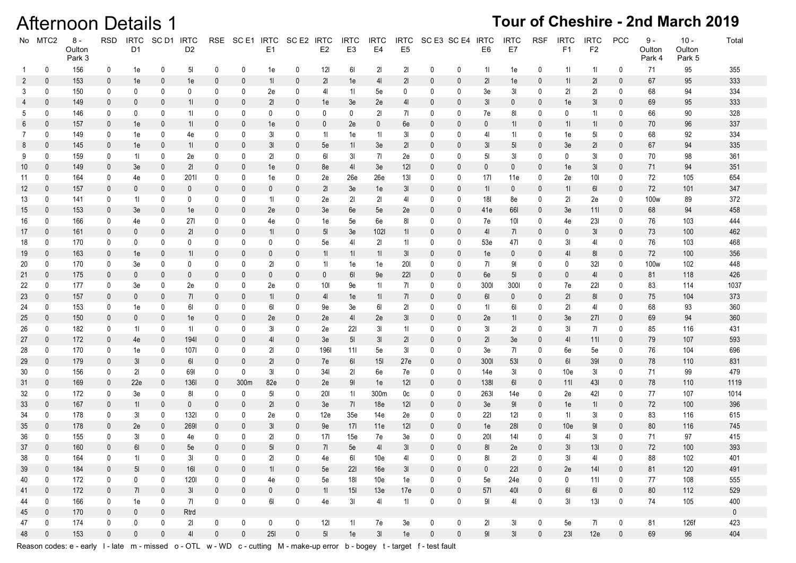### Afternoon Details 1 **Tour of Cheshire - 2nd March 2019**

|              | No MTC2          | $8\,$ -<br>Oulton<br>Park 3 | <b>RSD</b>       | <b>IRTC</b><br>D <sub>1</sub> | SC D1 IRTC       | D <sub>2</sub>   |                  | RSE SCE1 IRTC | E1                       | SC E2 IRTC       | E <sub>2</sub>       | <b>IRTC</b><br>E <sub>3</sub> | <b>IRTC</b><br>E4 | <b>IRTC</b><br>E <sub>5</sub> | SC E3 SC E4 IRTC |              | E <sub>6</sub> | <b>IRTC</b><br>E7 | <b>RSF</b>   | <b>IRTC</b><br>F1 | <b>IRTC</b><br>F <sub>2</sub> | PCC              | $9 -$<br>Oulton<br>Park 4 | $10 -$<br>Oulton<br>Park 5 | Total       |
|--------------|------------------|-----------------------------|------------------|-------------------------------|------------------|------------------|------------------|---------------|--------------------------|------------------|----------------------|-------------------------------|-------------------|-------------------------------|------------------|--------------|----------------|-------------------|--------------|-------------------|-------------------------------|------------------|---------------------------|----------------------------|-------------|
| $\mathbf{1}$ | 0                | 156                         | 0                | 1e                            | 0                | 5 <sub>l</sub>   | 0                | 0             | 1e                       | 0                | 121                  | 61                            | 21                | 21                            | 0                | 0            | 11             | 1e                | 0            | 11                | 11                            | 0                | 71                        | 95                         | 355         |
| 2            | $\mathbf 0$      | 153                         | $\mathbf 0$      | 1e                            | 0                | 1e               | 0                | 0             | 11                       | $\mathbf 0$      | 21                   | 1e                            | 4 <sub>l</sub>    | 21                            | 0                | 0            | 21             | 1e                | $\pmb{0}$    | 11                | 21                            | $\pmb{0}$        | 67                        | 95                         | 333         |
| 3            | 0                | 150                         | 0                | 0                             | 0                | 0                | 0                | 0             | 2e                       | 0                | 41                   | 11                            | 5e                | 0                             | 0                | 0            | 3e             | 31                | 0            | 21                | 21                            | 0                | 68                        | 94                         | 334         |
| 4            | $\mathbf{0}$     | 149                         | 0                | $\mathbf{0}$                  | 0                | 11               | 0                | 0             | 21                       | $\mathbf 0$      | 1e                   | 3e                            | 2e                | 41                            | 0                | $\mathbf{0}$ | 3 <sub>l</sub> | 0                 | 0            | 1e                | 3 <sub>l</sub>                | 0                | 69                        | 95                         | 333         |
| 5            | 0                | 146                         | 0                | 0                             | 0                | 11               | 0                | 0             | 0                        | 0                | 0                    | 0                             | 21                | 71                            |                  | 0            | 7e             | 81                | 0            | 0                 | 11                            | 0                | 66                        | 90                         | 328         |
| 6            | $\mathbf{0}$     | 157                         | $\mathbf 0$      | 1e                            | 0                | 11               | $\bf{0}$         | $\bf{0}$      | 1e                       | 0                | $\mathbf{0}$         | 2e                            | $\mathbf{0}$      | 6e                            | 0                | 0            | 0              | 11                | $\mathbf 0$  | 11                | 11                            | 0                | 70                        | 96                         | 337         |
| 7            | 0                | 149                         | 0                | 1e                            | 0                | 4e               | 0                | 0             | 31                       | 0                | 11                   | 1e                            | 11                | 31                            | 0                | 0            | 41             | 11                | 0            | 1e                | 5 <sub>l</sub>                | 0                | 68                        | 92                         | 334         |
| 8            | $\mathbf 0$      | 145                         | 0                | 1e                            | 0                | 11               | $\bf{0}$         | 0             | 3 <sub>l</sub>           | $\boldsymbol{0}$ | 5e                   | 11                            | 3e                | 21                            | 0                | 0            | 3I             | 5 <sub>l</sub>    | 0            | 3e                | 21                            | 0                | 67                        | 94                         | 335         |
| 9            | 0                | 159                         | 0                | 11                            | 0                | 2e               | 0                | 0             | 21                       | 0                | 61                   | 31                            | 71                | 2e                            | 0                | 0            | 5 <sub>l</sub> | 31                | 0            | 0                 | 31                            | 0                | 70                        | 98                         | 361         |
| 10           | $\mathbf 0$      | 149                         | $\mathbf 0$      | 3e                            | 0                | 21               | 0                | $\bf{0}$      | 1e                       | 0                | 8e                   | 41                            | 3e                | 121                           | $\boldsymbol{0}$ | 0            | 0              | 0                 | 0            | 1e                | 3I                            | 0                | 71                        | 94                         | 351         |
| 11           | 0                | 164                         | 0                | 4e                            | 0                | 201              | 0                | 0             | 1e                       | 0                | 2e                   | 26e                           | 26e               | 13I                           | 0                | 0            | 171            | 11e               | 0            | 2e                | 101                           | 0                | 72                        | 105                        | 654         |
| 12           | $\mathbf 0$      | 157                         | $\mathbf 0$      | 0                             | 0                | $\boldsymbol{0}$ | 0                | 0             | $\bf{0}$                 | $\boldsymbol{0}$ | 21                   | 3e                            | 1e                | 31                            | $\boldsymbol{0}$ | 0            | 11             | $\mathbf 0$       | 0            | 11                | 61                            | 0                | 72                        | 101                        | 347         |
| 13           | 0<br>$\mathbf 0$ | 141<br>153                  | 0                | 11                            | 0                | 0                | 0                | 0             | 11                       | 0<br>$\mathbf 0$ | 2e                   | 21                            | 21                | 41                            | 0                | 0            | 181            | 8e<br>661         | 0            | 21                | 2e                            | 0<br>$\mathbf 0$ | 100 <sub>w</sub>          | 89<br>94                   | 372<br>458  |
| 15           | 0                | 166                         | $\mathbf 0$<br>0 | 3e                            | 0<br>0           | 1e<br>271        | 0<br>0           | 0<br>0        | 2e                       | 0                | 3e                   | 6e                            | 5e<br>6e          | 2e<br>81                      | 0<br>0           | 0<br>0       | 41e<br>7e      | 10I               | 0<br>0       | 3e                | 111<br>231                    | 0                | 68<br>76                  | 103                        | 444         |
| 16<br>17     | $\mathbf 0$      | 161                         | $\mathbf 0$      | 4e<br>0                       | 0                | 21               | 0                | $\mathbf{0}$  | 4e<br>11                 | $\mathbf 0$      | 1e<br>5 <sub>l</sub> | 5e<br>3e                      | 1021              | 11                            | 0                | 0            | 41             | 71                | 0            | 4e<br>0           | 3I                            | 0                | 73                        | 100                        | 462         |
| 18           | 0                | 170                         | 0                | 0                             | 0                | 0                | 0                | 0             | 0                        | 0                | 5e                   | 41                            | 21                | 11                            | 0                | 0            | 53e            | 471               | 0            | 31                | 41                            | 0                | 76                        | 103                        | 468         |
| 19           | $\mathbf 0$      | 163                         | $\mathbf 0$      | 1e                            | $\boldsymbol{0}$ | 11               | 0                | 0             | 0                        | 0                | 11                   | 11                            | 11                | 3I                            | 0                | 0            | 1e             | $\boldsymbol{0}$  | $\mathbf 0$  | 41                | 81                            | $\mathbf 0$      | 72                        | 100                        | 356         |
| 20           | 0                | 170                         | 0                | 3e                            | 0                | 0                | 0                | 0             | 21                       | 0                | 11                   | 1e                            | 1e                | 201                           | 0                | 0            | 71             | 91                | 0            | 0                 | 32I                           | 0                | 100 <sub>w</sub>          | 102                        | 448         |
| 21           | $\mathbf 0$      | 175                         | 0                | 0                             | 0                | 0                | 0                | 0             | 0                        | 0                | 0                    | 61                            | 9e                | 221                           | 0                | $\mathbf 0$  | 6e             | 5 <sub>l</sub>    | 0            | 0                 | 41                            | $\mathbf 0$      | 81                        | 118                        | 426         |
| 22           | 0                | 177                         | 0                | 3e                            | 0                | 2e               | 0                | 0             | 2e                       | 0                | 101                  | 9e                            | 11                | 71                            | 0                | 0            | 3001           | 300               | 0            | 7e                | 221                           | 0                | 83                        | 114                        | 1037        |
| 23           | $\mathbf 0$      | 157                         | $\boldsymbol{0}$ | 0                             | 0                | 71               | $\boldsymbol{0}$ | 0             | 11                       | $\boldsymbol{0}$ | 41                   | 1e                            | 11                | 71                            | $\boldsymbol{0}$ | $\mathbf 0$  | 61             | $\mathbf 0$       | $\mathbf 0$  | 21                | 81                            | 0                | 75                        | 104                        | 373         |
| 24           | 0                | 153                         | 0                | 1e                            | 0                | 61               | 0                | 0             | 61                       | 0                | 9e                   | 3e                            | 61                | 21                            | 0                | 0            | 11             | 61                | 0            | 21                | 41                            | 0                | 68                        | 93                         | 360         |
| 25           | $\mathbf 0$      | 150                         | $\mathbf 0$      | $\mathbf{0}$                  | 0                | 1e               | 0                | $\mathbf{0}$  | 2e                       | 0                | 2e                   | 41                            | 2e                | 31                            | 0                | 0            | 2e             | 11                | 0            | 3e                | <b>271</b>                    | $\mathbf 0$      | 69                        | 94                         | 360         |
| 26           | 0                | 182                         | 0                | 11                            | 0                | 11               | 0                | 0             | 31                       | 0                | 2e                   | <b>221</b>                    | 3 <sub>l</sub>    | 11                            |                  | 0            | 31             | 21                | 0            | 31                | 71                            | 0                | 85                        | 116                        | 431         |
| 27           | $\mathbf 0$      | 172                         | $\mathbf 0$      | 4e                            | 0                | 1941             | 0                | $\bf{0}$      | 41                       | $\mathbf 0$      | 3e                   | 5 <sub>l</sub>                | 3 <sub>l</sub>    | 21                            | 0                | 0            | 21             | 3e                | 0            | 41                | 111                           | $\mathbf 0$      | 79                        | 107                        | 593         |
| 28           | 0                | 170                         | 0                | 1e                            | 0                | 1071             | 0                | 0             | $\overline{2}$           | 0                | 196I                 | 111                           | 5e                | 31                            | 0                | 0            | 3e             | 71                | 0            | 6e                | 5e                            | 0                | 76                        | 104                        | 696         |
| 29           | $\mathbf 0$      | 179                         | 0                | 3I                            | $\boldsymbol{0}$ | 61               | 0                | $\mathbf{0}$  | 21                       | $\mathbf 0$      | 7e                   | 61                            | 15 <sub>l</sub>   | 27e                           | 0                | 0            | 3001           | 531               | 0            | 61                | <b>391</b>                    | $\mathbf 0$      | 78                        | 110                        | 831         |
| 30           | 0                | 156                         | 0                | 21                            | 0                | 691              | 0                | 0             | 31                       | 0                | 341                  | 21                            | 6e                | 7e                            | 0                | 0            | 14e            | 31                | 0            | 10 <sub>e</sub>   | 31                            | 0                | 71                        | 99                         | 479         |
| 31           | $\mathbf 0$      | 169                         | $\mathbf 0$      | 22e                           | $\boldsymbol{0}$ | <b>1361</b>      | 0                | 300m          | 82e                      | $\mathbf 0$      | 2e                   | 9 <sub>l</sub>                | 1e                | 121                           | 0                | 0            | 1381           | 61                | 0            | 111               | 431                           | $\mathbf 0$      | 78                        | 110                        | 1119        |
| 32           | 0                | 172                         | 0                | 3e                            | 0                | 81               | 0                | 0             | 5 <sub>l</sub>           | 0                | 201                  | 11                            | 300m              | 0c                            |                  | 0            | 2631           | 14e               | 0            | 2e                | 421                           | 0                | 77                        | 107                        | 1014        |
| 33           | $\mathbf 0$      | 167                         | $\boldsymbol{0}$ | 11                            | 0                | $\boldsymbol{0}$ | 0                | 0             | 21                       | 0                | 3e                   | 71                            | 18 <sub>e</sub>   | 121                           | $\boldsymbol{0}$ | 0            | 3e             | 91                | 0            | 1e                | 11                            | 0                | 72                        | 100                        | 396         |
| 34           | 0                | 178                         | 0                | 31                            | 0                | 1321             | 0                | 0             | 2e                       | 0                | 12e                  | 35 <sub>e</sub>               | 14e               | 2e                            | 0                | 0            | <b>221</b>     | 121               | 0            | 11                | 31                            | 0                | 83                        | 116                        | 615         |
| 35           | $\mathbf 0$      | 178                         | $\mathbf 0$      | 2e                            | 0                | 2691             | 0                | 0             | 3 <sub>l</sub>           | 0                | 9e                   | 17 <sup>1</sup>               | 11e               | 121                           | $\boldsymbol{0}$ | 0            | 1e             | <b>28I</b>        | $\mathbf 0$  | 10 <sub>e</sub>   | 9 <sub>l</sub>                | $\mathbf 0$      | 80                        | 116                        | 745         |
| 36           | 0                | 155                         | 0                | 3I                            | 0                | 4e               | 0                | 0             | 21                       | 0                | 171                  | 15e                           | 7e                | 3e                            | 0                | 0            | 201            | 141               | 0            | 41                | 3I                            | 0                | 71                        | 97                         | 415         |
| 37           | $\mathbf{0}$     | 160                         | $\mathbf{0}$     | 61                            | $\mathbf{0}$     | 5e               | $\mathbf{0}$     | 0             | 5 <sub>l</sub>           | $\pmb{0}$        | 71                   | 5e                            | 4 <sub>l</sub>    | 3 <sub>l</sub>                | $\mathbf{0}$     | $\pmb{0}$    | 8 <sub>l</sub> | 2e                | $\mathbf{0}$ | 3 <sub>l</sub>    | 13I                           | $\mathbf{0}$     | 72                        | 100                        | 393         |
| 38           | <sup>n</sup>     | 164                         | $\Omega$         | 11                            | $\mathbf{0}$     | 3I               | $\Omega$         | $\Omega$      | $\overline{\mathcal{U}}$ | $\Omega$         | 4e                   | 61                            | 10 <sub>e</sub>   | 41                            | $\cap$           | $\mathbf{0}$ | 81             | 21                | $\Omega$     | 3 <sub>l</sub>    | 41                            | 0                | 88                        | 102                        | 401         |
| 39           | $\mathbf{0}$     | 184                         | $\mathbf 0$      | 5 <sub>l</sub>                | $\mathbf 0$      | 16I              | $\mathbf{0}$     | $\mathbf 0$   | 11                       | $\mathbf 0$      | 5e                   | 221                           | 16e               | 3 <sub>l</sub>                | 0                | $\mathbf{0}$ | $\mathbf{0}$   | 221               | $\mathbf 0$  | 2e                | 141                           | $\mathbf 0$      | 81                        | 120                        | 491         |
| 40           | $\mathbf{0}$     | 172                         | 0                | 0                             | 0                | 1201             | 0                | $\mathbf 0$   | 4e                       | 0                | 5e                   | 18I                           | 10e               | 1e                            | 0                | 0            | 5e             | 24e               | 0            | 0                 | 111                           | 0                | 77                        | 108                        | 555         |
| 41           | $\mathbf 0$      | 172                         | $\mathbf{0}$     | 71                            | $\mathbf 0$      | 3 <sub>l</sub>   | $\mathbf 0$      | $\mathbf 0$   | 0                        | $\mathbf 0$      | 11                   | 15I                           | 13 <sub>e</sub>   | 17e                           | 0                | $\mathbf{0}$ | 571            | 40I               | $\mathbf 0$  | 61                | 61                            | $\mathbf 0$      | 80                        | 112                        | 529         |
| 44           | 0                | 166                         | 0                | 1e                            | 0                | 71               | $\mathbf 0$      | $\mathbf 0$   | 61                       | 0                | 4e                   | 3I                            | 41                | 11                            | $\mathbf 0$      | 0            | 91             | 41                | 0            | 31                | 13I                           | $\mathbf 0$      | 74                        | 105                        | 400         |
| 45           | $\mathbf{0}$     | 170                         | $\mathbf 0$      | 0                             | $\mathbf 0$      | Rtrd             |                  |               |                          |                  |                      |                               |                   |                               |                  |              |                |                   |              |                   |                               |                  |                           |                            | $\mathbf 0$ |
| 47           | $\mathbf 0$      | 174                         | 0                | 0                             | 0                | 21               | 0                | 0             | $\mathbf 0$              | 0                | 121                  | 11                            | 7e                | 3e                            | 0                | 0            | 21             | 31                | $\mathbf 0$  | 5e                | 71                            | $\mathbf 0$      | 81                        | 126f                       | 423         |
| 48           | $\mathbf{0}$     | 153                         | $\mathbf{0}$     | $\mathbf 0$                   | $\mathbf{0}$     | 4 <sup>1</sup>   | $\mathbf 0$      | $\mathbf 0$   | 251                      | $\mathbf{0}$     | 5 <sub>l</sub>       | 1e                            | 3I                | 1e                            | $\mathbf 0$      | $\mathbf{0}$ | 9 <sub>l</sub> | 31                | $\mathbf{0}$ | 231               | 12e                           | $\mathbf 0$      | 69                        | 96                         | 404         |

Reason codes: e - early I - late m - missed o - OTL w - WD c - cutting M - make-up error b - bogey t - target f - test fault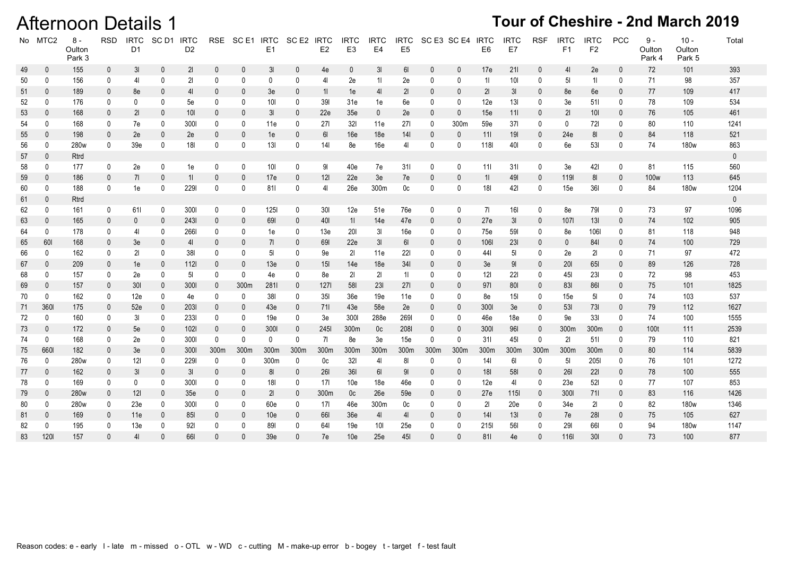### **Afternoon Details 1**

|    | No MTC2      | $8 -$<br>Oulton<br>Park 3 | <b>RSD</b>   | <b>IRTC</b><br>D <sub>1</sub> | SC <sub>D1</sub> | <b>IRTC</b><br>D <sub>2</sub> |              | RSE SCE1 IRTC | E1              | SC E2 IRTC   | E <sub>2</sub>  | <b>IRTC</b><br>E <sub>3</sub> | <b>IRTC</b><br>E <sub>4</sub> | <b>IRTC</b><br>E <sub>5</sub> |              | SC E3 SC E4 IRTC | E <sub>6</sub>  | <b>IRTC</b><br>E7 | <b>RSF</b>   | <b>IRTC</b><br>F1 | <b>IRTC</b><br>F <sub>2</sub> | <b>PCC</b>   | $9 -$<br>Oulton<br>Park 4 | $10 -$<br>Oulton<br>Park 5 | Total       |
|----|--------------|---------------------------|--------------|-------------------------------|------------------|-------------------------------|--------------|---------------|-----------------|--------------|-----------------|-------------------------------|-------------------------------|-------------------------------|--------------|------------------|-----------------|-------------------|--------------|-------------------|-------------------------------|--------------|---------------------------|----------------------------|-------------|
| 49 | $\mathbf 0$  | 155                       | $\mathbf 0$  | 3 <sub>l</sub>                | $\mathbf 0$      | 21                            | $\mathbf 0$  | 0             | 3I              | $\mathbf 0$  | 4e              | $\mathbf{0}$                  | 3 <sub>l</sub>                | 61                            | $\mathbf{0}$ | $\mathbf 0$      | 17e             | 211               | 0            | 4 <sup>1</sup>    | 2e                            | $\mathbf 0$  | 72                        | 101                        | 393         |
| 50 | $\mathbf 0$  | 156                       | 0            | 41                            | 0                | 21                            | $\mathbf 0$  | $\mathbf{0}$  | $\mathbf{0}$    | 0            | 4 <sub>l</sub>  | 2e                            | 11                            | 2e                            | $\mathbf{0}$ | 0                | 11              | 10I               | 0            | 5 <sub>l</sub>    | 11                            | $\mathbf 0$  | 71                        | 98                         | 357         |
| 51 | $\mathbf 0$  | 189                       | $\mathbf{0}$ | 8e                            | $\mathbf 0$      | 4 <sub>l</sub>                | 0            | 0             | 3e              | $\mathbf 0$  | 11              | 1e                            | 4 <sub>l</sub>                | 21                            | $\mathbf{0}$ | $\mathbf 0$      | 21              | 3 <sub>l</sub>    | 0            | 8e                | 6e                            | $\mathbf{0}$ | 77                        | 109                        | 417         |
| 52 | 0            | 176                       | 0            | 0                             | $\mathbf 0$      | 5e                            | 0            | 0             | 10              | 0            | 391             | 31e                           | 1e                            | 6e                            | 0            | 0                | 12e             | 13I               | 0            | 3e                | 511                           | 0            | 78                        | 109                        | 534         |
| 53 | $\mathbf 0$  | 168                       | $\mathbf{0}$ | 21                            | $\mathbf 0$      | 101                           | $\mathbf 0$  | $\mathbf{0}$  | 3I              | $\mathbf 0$  | 22e             | 35 <sub>e</sub>               | $\mathbf 0$                   | 2e                            | $\mathbf{0}$ | $\pmb{0}$        | 15e             | 111               | 0            | 21                | 10 <sub>l</sub>               | $\mathbf{0}$ | 76                        | 105                        | 461         |
| 54 | 0            | 168                       | 0            | 7e                            | 0                | 300                           | 0            | 0             | 11e             | 0            | 271             | 321                           | 11e                           | 271                           | 0            | 300m             | 59e             | 371               | 0            | 0                 | 721                           | 0            | 80                        | 110                        | 1241        |
| 55 | $\mathbf 0$  | 198                       | $\mathbf{0}$ | 2e                            | $\mathbf 0$      | 2e                            | $\mathbf 0$  | $\mathbf{0}$  | 1e              | $\pmb{0}$    | $6\mathsf{l}$   | 16e                           | 18e                           | 141                           | $\mathbf 0$  | $\mathbf 0$      | 111             | 19I               | 0            | 24e               | 81                            | 0            | 84                        | 118                        | 521         |
| 56 | 0            | 280w                      | 0            | 39 <sub>e</sub>               | 0                | <b>18I</b>                    | $\mathbf 0$  | $\mathbf{0}$  | 13I             | 0            | 141             | 8e                            | 16e                           | 4 <sub>l</sub>                | $\mathbf 0$  | 0                | 118             | 401               | 0            | 6e                | 531                           | 0            | 74                        | 180 <sub>w</sub>           | 863         |
| 57 | $\mathbf 0$  | Rtrd                      |              |                               |                  |                               |              |               |                 |              |                 |                               |                               |                               |              |                  |                 |                   |              |                   |                               |              |                           |                            | $\mathbf 0$ |
| 58 | $\mathbf 0$  | 177                       | 0            | 2e                            | 0                | 1e                            | 0            | 0             | 10I             | $\mathbf 0$  | 91              | 40e                           | 7e                            | 311                           | $\mathbf 0$  | 0                | 111             | 311               | 0            | 3e                | 421                           | 0            | 81                        | 115                        | 560         |
| 59 | $\mathbf 0$  | 186                       | $\mathbf{0}$ | 71                            | $\mathbf 0$      | 11                            | $\mathbf 0$  | $\mathbf{0}$  | 17e             | $\mathbf 0$  | 121             | 22e                           | 3e                            | 7e                            | $\mathbf 0$  | $\mathbf 0$      | 11              | 491               | 0            | 119               | 81                            | $\mathbf{0}$ | 100w                      | 113                        | 645         |
| 60 | 0            | 188                       | $\mathbf 0$  | 1e                            | 0                | 2291                          | 0            | 0             | 811             | $\pmb{0}$    | 4 <sub>l</sub>  | 26e                           | 300m                          | 0c                            | $\pmb{0}$    | 0                | 18I             | 421               | 0            | 15e               | 361                           | 0            | 84                        | 180w                       | 1204        |
| 61 | $\mathbf 0$  | Rtrd                      |              |                               |                  |                               |              |               |                 |              |                 |                               |                               |                               |              |                  |                 |                   |              |                   |                               |              |                           |                            | $\mathbf 0$ |
| 62 | 0            | 161                       | 0            | 611                           | 0                | 3001                          | 0            | 0             | 1251            | $\mathsf{0}$ | 30I             | 12e                           | 51e                           | 76e                           | 0            | 0                | 71              | <b>16I</b>        | 0            | 8e                | 791                           | 0            | 73                        | 97                         | 1096        |
| 63 | $\mathbf{0}$ | 165                       | $\mathbf{0}$ | 0                             | $\mathbf 0$      | 2431                          | $\mathbf{0}$ | 0             | 691             | $\mathbf 0$  | 401             | 11                            | 14e                           | 47e                           | $\mathbf 0$  | $\mathbf 0$      | 27e             | 3 <sub>l</sub>    | $\mathbf 0$  | 1071              | 13I                           | $\mathbf{0}$ | 74                        | 102                        | 905         |
| 64 | $\mathbf 0$  | 178                       | 0            | 41                            | 0                | 2661                          | $\mathbf 0$  | 0             | 1e              | 0            | 13e             | 201                           | 3 <sub>l</sub>                | 16e                           | 0            | 0                | 75e             | 591               | 0            | 8e                | 1061                          | 0            | 81                        | 118                        | 948         |
| 65 | 601          | 168                       | $\mathbf{0}$ | 3e                            | $\mathbf 0$      | 4 <sub>l</sub>                | $\mathbf{0}$ | $\mathbf{0}$  | 71              | $\mathbf 0$  | 691             | 22e                           | 3 <sub>l</sub>                | 61                            | $\mathbf 0$  | $\mathbf 0$      | 1061            | 231               | 0            | $\mathbf 0$       | 841                           | 0            | 74                        | 100                        | 729         |
| 66 | $\mathbf 0$  | 162                       | 0            | 21                            | 0                | 381                           | $\mathbf 0$  | $\mathbf{0}$  | 5 <sub>l</sub>  | 0            | 9e              | 21                            | 11e                           | 221                           | 0            | 0                | 441             | 5 <sub>l</sub>    | 0            | 2e                | 21                            | 0            | 71                        | 97                         | 472         |
| 67 | $\mathbf 0$  | 209                       | $\mathbf{0}$ | 1e                            | 0                | 1121                          | $\mathbf{0}$ | $\mathbf{0}$  | 13e             | $\mathbf 0$  | 15 <sub>l</sub> | 14e                           | 18 <sub>e</sub>               | 341                           | $\mathbf 0$  | 0                | 3e              | 9 <sub>l</sub>    | $\mathbf 0$  | 201               | 651                           | $\mathbf{0}$ | 89                        | 126                        | 728         |
| 68 | $\mathbf 0$  | 157                       | 0            | 2e                            | 0                | 5 <sub>l</sub>                | $\mathbf 0$  | 0             | 4e              | 0            | 8e              | 21                            | 21                            | 11                            | 0            | 0                | 121             | 221               | 0            | 45                | 231                           | 0            | 72                        | 98                         | 453         |
| 69 | $\mathbf{0}$ | 157                       | $\mathbf{0}$ | 301                           | $\mathbf 0$      | 3001                          | $\mathbf 0$  | 300m          | 2811            | $\mathbf 0$  | 1271            | 581                           | 231                           | 271                           | $\mathbf{0}$ | 0                | 971             | 801               | 0            | 831               | 861                           | $\mathbf 0$  | 75                        | 101                        | 1825        |
| 70 | $\mathbf 0$  | 162                       | 0            | 12e                           | 0                | 4e                            | 0            | 0             | 381             | 0            | <b>35I</b>      | 36e                           | 19e                           | 11e                           | 0            | 0                | 8e              | 15I               | 0            | 15e               | 51                            | 0            | 74                        | 103                        | 537         |
| 71 | 360          | 175                       | $\mathbf{0}$ | 52e                           | 0                | 2031                          | $\mathbf{0}$ | $\mathbf{0}$  | 43e             | $\mathbf 0$  | 711             | 43e                           | 58e                           | 2e                            | $\mathbf{0}$ | $\mathbf 0$      | 3001            | 3e                | $\mathbf 0$  | 531               | 731                           | $\mathbf 0$  | 79                        | 112                        | 1627        |
| 72 | $\mathbf 0$  | 160                       | 0            | 31                            | -0               | 2331                          | 0            | 0             | 19e             | 0            | 3e              | 3001                          | 288e                          | 2691                          | 0            | 0                | 46e             | 18e               | 0            | 9e                | 331                           | 0            | 74                        | 100                        | 1555        |
| 73 | $\mathbf 0$  | 172                       | $\mathbf 0$  | 5e                            | 0                | 1021                          | $\mathbf 0$  | $\mathbf{0}$  | 3001            | $\mathbf 0$  | 245             | 300m                          | 0 <sub>c</sub>                | 2081                          | $\mathbf 0$  | $\pmb{0}$        | 3001            | 961               | $\pmb{0}$    | 300m              | 300m                          | $\mathbf 0$  | 100t                      | 111                        | 2539        |
| 74 | $\mathbf{0}$ | 168                       | 0            | 2e                            | 0                | 300                           | $\mathbf{0}$ | $\Omega$      | $\Omega$        | $\mathbf 0$  | 71              | 8e                            | 3e                            | 15e                           | $\mathbf 0$  | $\mathbf{0}$     | 311             | 451               | $\mathbf 0$  | 21                | 511                           | 0            | 79                        | 110                        | 821         |
| 75 | 6601         | 182                       | $\mathbf{0}$ | 3e                            | 0                | 3001                          | 300m         | 300m          | 300m            | 300m         | 300m            | 300m                          | 300m                          | 300m                          | 300m         | 300m             | 300m            | 300m              | 300m         | 300m              | 300m                          | $\mathbf 0$  | 80                        | 114                        | 5839        |
| 76 | $\mathbf 0$  | 280w                      | 0            | 121                           | 0                | 2291                          | 0            | $\mathbf{0}$  | 300m            | $\mathbf 0$  | 0c              | 321                           | 41                            | 81                            | 0            | 0                | 14 <sub>l</sub> | 61                | 0            | 5 <sub>l</sub>    | 2051                          | 0            | 76                        | 101                        | 1272        |
| 77 | $\mathbf 0$  | 162                       | $\mathbf{0}$ | 3 <sub>l</sub>                | 0                | 3 <sub>l</sub>                | $\mathbf{0}$ | $\mathbf{0}$  | 81              | $\mathbf 0$  | 261             | 361                           | 61                            | 91                            | $\mathbf 0$  | $\mathbf 0$      | 181             | <b>58I</b>        | $\mathbf 0$  | 261               | 221                           | $\mathbf 0$  | 78                        | 100                        | 555         |
| 78 | $\mathbf 0$  | 169                       | 0            | 0                             |                  | 300                           | $\mathbf{0}$ | 0             | 181             | $\mathbf 0$  | 17 <sup>1</sup> | 10 <sub>e</sub>               | 18 <sub>e</sub>               | 46e                           | 0            | 0                | 12e             | 41                | 0            | 23e               | 521                           | 0            | 77                        | 107                        | 853         |
| 79 | $\mathbf{0}$ | 280 <sub>w</sub>          | $\mathbf{0}$ | 121                           | $\overline{0}$   | 35 <sub>e</sub>               | $\mathbf{0}$ | $\mathbf{0}$  | 21              | $\mathbf 0$  | 300m            | 0 <sub>c</sub>                | 26e                           | 59e                           | $\mathbf{0}$ | $\mathbf 0$      | 27e             | 115               | $\mathbf 0$  | 3001              | 711                           | $\mathbf 0$  | 83                        | 116                        | 1426        |
| 80 | $\mathbf 0$  | 280w                      | 0            | 23e                           |                  | 3001                          | $\mathbf{0}$ | 0             | 60e             | 0            | 17 <sup>1</sup> | 46e                           | 300m                          | 0c                            | 0            | 0                | 21              | 20e               | 0            | 34e               | 21                            | 0            | 82                        | 180 <sub>w</sub>           | 1346        |
| 81 | $\mathbf 0$  | 169                       | $\mathbf 0$  | 11e                           | 0                | 851                           | $\mathbf{0}$ | $\theta$      | 10 <sub>e</sub> | $\mathbf 0$  | 661             | 36 <sub>e</sub>               | 4 <sub>l</sub>                | 4 <sub>l</sub>                | 0            | $\mathbf 0$      | 141             | 13I               | $\mathbf 0$  | 7e                | 281                           | $\mathbf 0$  | 75                        | 105                        | 627         |
| 82 | $\mathbf{0}$ | 195                       | $\mathbf{0}$ | 13e                           | $\mathbf 0$      | 921                           | $\mathbf{0}$ |               | 891             | 0            | 641             | 19e                           | 101                           | 25e                           | $\mathbf{0}$ | 0                | 215             | 561               | 0            | 291               | 661                           | $\mathbf{0}$ | 94                        | 180 <sub>w</sub>           | 1147        |
| 83 | 1201         | 157                       | $\Omega$     | 41                            | $\theta$         | 661                           | $\Omega$     | $\Omega$      | 39 <sub>e</sub> | $\mathbf{0}$ | 7e              | 10 <sub>e</sub>               | 25e                           | 451                           | $\mathbf{0}$ | $\Omega$         | 811             | 4e                | $\mathbf{0}$ | 116               | 301                           | $\Omega$     | 73                        | 100                        | 877         |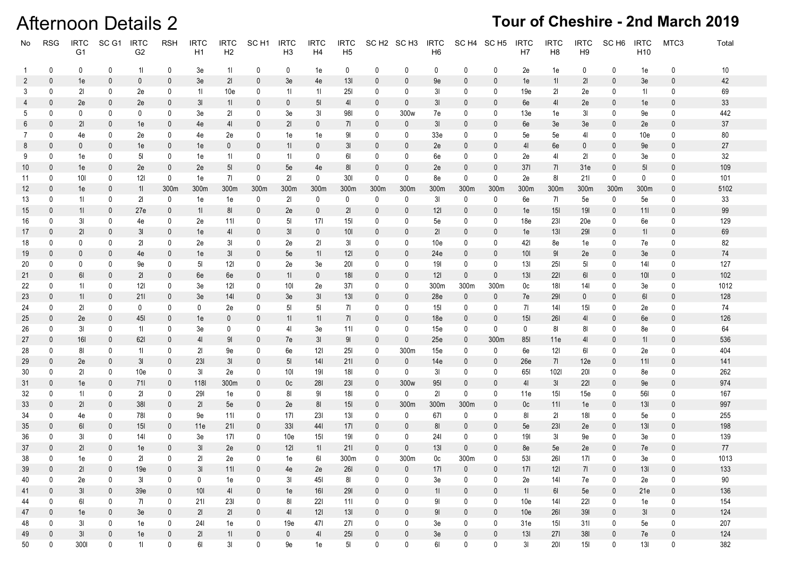### Afternoon Details 2

| No             | <b>RSG</b>   | <b>IRTC</b><br>G <sub>1</sub> | SC <sub>G1</sub> | <b>IRTC</b><br>G <sub>2</sub> | <b>RSH</b>        | <b>IRTC</b><br>H1 | <b>IRTC</b><br>H2 | SC <sub>H1</sub>  | <b>IRTC</b><br>H3 | <b>IRTC</b><br>H4 | <b>IRTC</b><br>H5 |              | SCH <sub>2</sub> SCH <sub>3</sub> | <b>IRTC</b><br>H <sub>6</sub> |              | SC H4 SC H5         | <b>IRTC</b><br>H <sub>7</sub> | <b>IRTC</b><br>H <sub>8</sub> | <b>IRTC</b><br>H <sub>9</sub> | SC H <sub>6</sub> | <b>IRTC</b><br>H <sub>10</sub> | MTC3             | Total     |
|----------------|--------------|-------------------------------|------------------|-------------------------------|-------------------|-------------------|-------------------|-------------------|-------------------|-------------------|-------------------|--------------|-----------------------------------|-------------------------------|--------------|---------------------|-------------------------------|-------------------------------|-------------------------------|-------------------|--------------------------------|------------------|-----------|
| $\overline{1}$ | 0            | 0                             | 0                | 11                            | 0                 | 3e                | 11                | 0                 | 0                 | 1e                | 0                 | 0            | 0                                 | 0                             | 0            | 0                   | 2e                            | 1e                            | 0                             | 0                 | 1e                             | 0                | 10        |
| 2              | $\mathbf{0}$ | 1e                            | 0                | $\mathbf 0$                   | $\mathbf 0$       | 3e                | 21                | $\mathbf 0$       | 3e                | 4e                | 13I               | 0            | 0                                 | 9e                            | $\mathbf{0}$ | $\mathbf{0}$        | 1e                            | 11                            | 21                            | $\mathbf 0$       | 3e                             | 0                | 42        |
| 3              | 0            | 21                            | 0                | 2e                            | 0                 | 11                | 10e               | 0                 | 11                | 11                | <b>25I</b>        | 0            | 0                                 | 31                            | 0            | 0                   | 19e                           | 21                            | 2e                            | 0                 | 11                             | 0                | 69        |
| 4              | 0            | 2e                            | $\mathbf 0$      | 2e                            | $\bf{0}$          | 31                | 11                | $\mathbf 0$       | $\bf{0}$          | 5 <sub>l</sub>    | 41                | $\theta$     | 0                                 | 31                            | $\bf{0}$     | 0                   | 6e                            | 41                            | 2e                            | $\mathbf{0}$      | 1e                             | 0                | 33        |
| 5              | 0            | 0                             | 0                | 0                             | 0                 | 3e                | 21                | $\mathbf 0$       | 3e                | 31                | 981               | 0            | 300 <sub>w</sub>                  | 7e                            | 0            | 0                   | 13e                           | 1e                            | 31                            | 0                 | 9e                             | 0                | 442       |
| 6              | $\mathbf{0}$ | 21                            | $\mathbf{0}$     | 1e                            | $\mathbf{0}$      | 4e                | 41                | $\mathbf{0}$      | 21                | $\mathbf{0}$      | 71                | 0            | 0                                 | 31                            | 0            | 0                   | 6e                            | 3e                            | 3e                            | $\mathbf{0}$      | 2e                             | $\mathbf{0}$     | 37        |
| $\overline{7}$ | 0            | 4e                            | 0                | 2e                            | 0                 | 4e                | 2e                | 0                 | 1e                | 1e                | 91                | 0            | 0                                 | 33e                           | 0            | 0                   | 5e                            | 5e                            | 41                            | 0                 | 10e                            | 0                | 80        |
| 8              | $\mathbf{0}$ | $\mathbf{0}$                  | $\mathbf{0}$     | 1e                            | $\mathbf 0$       | 1e                | $\mathbf{0}$      | $\mathbf{0}$      | 11                | $\mathbf{0}$      | 31                | 0            | 0                                 | 2e                            | 0            | 0                   | 41                            | 6e                            | $\mathbf 0$                   | $\mathbf{0}$      | 9e                             | 0                | 27        |
| 9              | 0            | 1e                            | 0                | 51                            | 0                 | 1e                | 11                | 0                 | 11                | $\mathbf 0$       | 61                | 0            | 0                                 | 6e                            | 0            | $\mathbf 0$         | 2e                            | 41                            | 21                            | 0                 | 3e                             | 0                | 32        |
| 10             | $\mathbf{0}$ | 1e                            | $\mathbf 0$      | 2e                            | $\mathbf{0}$      | 2e                | 5 <sub>l</sub>    | $\boldsymbol{0}$  | 5e                | 4e                | 81                | 0            | 0                                 | 2e                            | 0            | $\boldsymbol{0}$    | 371                           | 71                            | 31e                           | $\mathbf 0$       | 5 <sub>l</sub>                 | 0                | 109       |
| 11             | 0            | 101                           | $\mathbf 0$      | 121                           | 0                 | 1e                | 71                | 0                 | 21                | 0                 | 301               | 0            | 0                                 | 8e                            | 0            | 0                   | 2e                            | 81                            | 211                           | 0                 | 0                              | 0                | 101       |
| 12             | $\mathbf{0}$ | 1e                            | $\mathbf 0$      | 11                            | 300m              | 300m              | 300m              | 300m              | 300m              | 300m              | 300m              | 300m         | 300m                              | 300m                          | 300m         | 300m                | 300m                          | 300m                          | 300m                          | 300m              | 300m                           | 0                | 5102      |
| 13             | 0            | 11                            | 0                | 21                            | 0                 | 1e                | 1e                | $\mathbf 0$       | 21                | 0                 | 0                 | 0            | 0                                 | 31                            | $\mathbf 0$  | $\mathbf 0$         | 6e                            | -71                           | 5e                            | 0                 | 5e                             | 0                | 33        |
| 15             | $\mathbf 0$  | 11                            | 0                | 27e                           | $\mathbf 0$       | 11                | 81                | $\mathbf 0$       | 2e                | $\mathbf{0}$      | 21                | 0            | 0                                 | 121                           | 0            | 0                   | 1e                            | 15 <sub>l</sub>               | <b>19I</b>                    | $\mathbf 0$       | 111                            | 0                | 99        |
| 16             | $\mathbf 0$  | 31                            | 0                | 4e                            | 0                 | 2e                | 11                | 0                 | 51                | 171               | 15 <sub>l</sub>   | 0            | 0                                 | 5e                            | 0            | 0                   | 18e                           | 231                           | 20e                           | 0                 | 6e                             | 0                | 129       |
| 17             | $\mathbf{0}$ | 21                            | $\mathbf{0}$     | 31                            | $\mathbf 0$       | 1e                | 41                | $\mathbf 0$       | 3 <sub>l</sub>    | $\mathbf 0$       | 10I               | 0            | 0                                 | 21                            | 0            | 0                   | 1e                            | 131                           | <b>291</b>                    | $\mathbf 0$       | 11                             | $\mathbf{0}$     | 69        |
| 18             | 0            | 0                             | 0                | 21                            | 0                 | 2e                | 31                | 0                 | 2e                | 21                | 31                | 0            | 0                                 | 10e                           | 0            | 0                   | 421                           | 8e                            | 1e                            | 0                 | 7e                             | 0                | 82        |
| 19             | $\mathbf{0}$ | $\mathbf{0}$                  | $\overline{0}$   | 4e                            | $\mathbf{0}$      | 1e                | 31                | $\mathbf{0}$      | 5e                | 11                | 121               | 0            | 0                                 | 24e                           | 0            | $\mathbf{0}$        | 10I                           | 91                            | 2e                            | $\mathbf{0}$      | 3e                             | 0                | 74        |
| 20             | 0            | 0                             | 0                | 9e                            | 0                 | 51                | 121               | $\mathbf 0$       | 2e                | 3e                | <b>20I</b>        | 0            | 0                                 | 191                           | 0            | $\mathbf 0$         | 131                           | <b>251</b>                    | 51                            | 0                 | 141                            | 0                | 127       |
| 21             | $\mathbf 0$  | 61                            | 0                | 21                            | $\mathbf{0}$      | 6e                | 6e                | $\mathbf{0}$      | 11                | $\mathbf{0}$      | 18I               | $\mathbf{0}$ | 0                                 | 121                           | $\mathbf{0}$ | $\mathbf{0}$        | 13I                           | <b>221</b>                    | 61                            | $\mathbf 0$       | 10 <sub>l</sub>                | 0                | 102       |
| 22             | 0            | 11                            | 0                | 121                           | 0                 | 3e                | 121               | 0                 | <b>10I</b>        | 2e                | 371               | 0            | 0                                 | 300m                          | 300m         | 300m                | 0c                            | 181                           | 141                           | 0                 | 3e                             | 0                | 1012      |
| 23             | $\mathbf{0}$ | 11                            | $\mathbf 0$      | 211                           | $\mathbf 0$       | 3e                | 141               | $\mathbf 0$       | 3e                | 31                | 13I               | 0            | 0                                 | 28e                           | $\mathbf 0$  | $\mathbf 0$         | 7e                            | <b>291</b>                    | 0                             | $\mathbf 0$       | 61                             | 0                | 128       |
| 24             | 0            | 21                            | 0                | 0                             | 0                 | 0                 | 2e                | 0                 | 51                | 51                | 71                | 0            | 0                                 | 15I                           | 0            | 0                   | 71                            | 14I                           | <b>15I</b>                    | 0                 | 2e                             | 0                | 74        |
| 25             | 0<br>0       | 2e                            | 0                | 45I                           | 0<br>0            | 1e                | $\bf{0}$          | $\boldsymbol{0}$  | 11                | 11                | 71                | 0            | 0                                 | 18e                           | 0            | 0                   | 15I                           | <b>261</b>                    | 41                            | $\mathbf{0}$      | 6e                             | 0<br>0           | 126       |
| 26             | $\mathbf{0}$ | 31                            | 0                | 11                            |                   | 3e                | 0                 | $\mathbf 0$       | 41                | 3e                | 11                | 0            | 0<br>$\mathbf{0}$                 | 15e                           | 0            | $\mathbf 0$         | 0                             | 81                            | 81                            | 0                 | 8e                             | 0                | 64<br>536 |
| 27<br>28       | 0            | 16I<br>81                     | 0<br>0           | 621<br>11                     | $\mathbf{0}$<br>0 | 41<br>21          | 91<br>9e          | $\mathbf{0}$<br>0 | 7e<br>6e          | 31<br>121         | 91<br><b>25I</b>  | 0<br>0       | 300m                              | 25e                           | 0<br>0       | 300m<br>$\mathbf 0$ | 85I<br>6e                     | 11e<br>121                    | 41<br>61                      | $\mathbf{0}$<br>0 | 11<br>2e                       | 0                | 404       |
| 29             | 0            | 2e                            | $\overline{0}$   | 31                            | $\mathbf 0$       | <b>231</b>        | 31                | $\mathbf{0}$      | 5 <sup>1</sup>    | 14I               | 21                | $\mathbf{0}$ | $\mathbf{0}$                      | 15e<br>14e                    | 0            | $\mathbf 0$         | 26e                           | 71                            | 12e                           | $\mathbf{0}$      | 11                             | $\boldsymbol{0}$ | 141       |
| 30             | 0            | 21                            | 0                | 10e                           | 0                 | 31                | 2e                | 0                 | <b>10I</b>        | 191               | 181               | 0            | 0                                 | 31                            | 0            | $\mathbf 0$         | 65I                           | 1021                          | <b>201</b>                    | 0                 | 8e                             | 0                | 262       |
| 31             | $\mathbf{0}$ | 1e                            | $\overline{0}$   | 711                           | $\mathbf{0}$      | <b>118I</b>       | 300m              | $\mathbf{0}$      | 0c                | <b>281</b>        | <b>231</b>        | $\mathbf{0}$ | 300 <sub>w</sub>                  | <b>951</b>                    | 0            | 0                   | 41                            | 3I                            | <b>221</b>                    | $\mathbf 0$       | 9e                             | 0                | 974       |
| 32             | 0            | 11                            | 0                | 21                            | 0                 | 291               | 1e                | 0                 | 81                | 91                | 181               | 0            | $\mathbf 0$                       | 21                            | $\mathbf 0$  | $\mathbf 0$         | 11e                           | 15I                           | 15e                           | 0                 | 561                            | 0                | 167       |
| 33             | $\mathbf{0}$ | 21                            | 0                | 381                           | $\mathbf 0$       | 21                | 5e                | $\mathbf 0$       | 2e                | 81                | 15I               | 0            | 300m                              | 300 <sub>m</sub>              | 300m         | 0                   | 0c                            | 11                            | 1e                            | $\mathbf 0$       | 13I                            | 0                | 997       |
| 34             | 0            | 4e                            | 0                | 78I                           | 0                 | 9e                | 111               | 0                 | 171               | <b>231</b>        | 131               | 0            | 0                                 | 671                           | 0            | 0                   | 81                            | 21                            | 18I                           | 0                 | 5e                             | 0                | 255       |
| 35             | $\mathbf 0$  | 61                            | $\mathbf 0$      | 15I                           | $\mathbf{0}$      | 11e               | 211               | $\mathbf 0$       | 33I               | 441               | 171               | 0            | 0                                 | 81                            | 0            | 0                   | 5e                            | <b>231</b>                    | 2e                            | $\mathbf 0$       | 13I                            | 0                | 198       |
| 36             | 0            | 31                            | 0                | 141                           | 0                 | 3e                | 171               | $\mathbf 0$       | 10e               | 15I               | 191               | 0            | 0                                 | 24I                           | 0            | 0                   | 191                           | 31                            | 9e                            | 0                 | 3e                             | 0                | 139       |
| 37             | $\mathbf{0}$ | 21                            | $\mathbf{0}$     | 1e                            | $\mathbf 0$       | 3 <sub>l</sub>    | 2e                | $\mathbf 0$       | 121               | 11                | 211               | 0            | 0                                 | 13I                           | $\mathbf{0}$ | $\mathbf{0}$        | 8e                            | 5e                            | 2e                            | 0                 | 7e                             | $\mathbf{0}$     | $77\,$    |
| 38             | $\Omega$     | 1e                            | 0                | 21                            | $\Omega$          | 21                | 2e                | 0                 | 1e                | 61                | 300m              | 0            | 300m                              | 0c                            | 300m         | 0                   | 531                           | <b>261</b>                    | 171                           | 0                 | 3e                             | U                | 1013      |
| 39             | $\mathbf{0}$ | 21                            | $\mathbf 0$      | 19e                           | $\bf{0}$          | 31                | 111               | $\mathbf 0$       | 4e                | 2e                | <b>261</b>        | 0            | 0                                 | 17 <sup>1</sup>               | 0            | $\mathbf 0$         | 171                           | 121                           | 71                            | 0                 | 13I                            | $\mathbf 0$      | 133       |
| 40             | 0            | 2e                            | $\mathbf 0$      | 31                            | 0                 | 0                 | 1e                | $\mathsf{0}$      | 31                | 451               | 81                | 0            | 0                                 | 3e                            | 0            | 0                   | 2e                            | 141                           | 7e                            | 0                 | 2e                             | 0                | 90        |
| 41             | $\mathbf 0$  | $3\mathsf{l}$                 | $\mathbf 0$      | 39e                           | $\mathbf 0$       | 101               | 41                | $\mathbf 0$       | 1e                | 16I               | 291               | $\mathbf{0}$ | 0                                 | 11                            | $\mathbf 0$  | $\mathbf 0$         | 11                            | 61                            | 5e                            | 0                 | 21e                            | $\mathbf 0$      | 136       |
| 44             | 0            | 61                            | $\mathbf 0$      | 71                            | 0                 | 211               | 231               | $\mathsf{0}$      | 81                | 221               | 111               | 0            | 0                                 | 91                            | 0            | 0                   | 10e                           | 141                           | 221                           | 0                 | 1e                             | $\mathbf 0$      | 154       |
| 47             | $\mathbf 0$  | 1e                            | $\mathbf 0$      | 3e                            | $\mathbf 0$       | 21                | 21                | $\mathbf 0$       | 41                | 121               | 13I               | 0            | $\mathbf{0}$                      | 91                            | $\mathbf 0$  | $\mathbf 0$         | 10 <sub>e</sub>               | 261                           | 391                           | 0                 | 3I                             | $\mathbf 0$      | 124       |
| 48             | 0            | 3 <sub>l</sub>                | 0                | 1e                            | 0                 | 241               | 1e                | $\mathsf{0}$      | 19e               | 471               | 271               | 0            | 0                                 | 3e                            | 0            | 0                   | 31e                           | 15I                           | 311                           | 0                 | 5e                             | $\mathbf 0$      | 207       |
| 49             | $\mathbf 0$  | 3I                            | $\mathbf 0$      | 1e                            | 0                 | 21                | 11                | $\mathbf 0$       | $\mathbf 0$       | 41                | 251               | $\mathbf 0$  | 0                                 | 3e                            | $\mathbf{0}$ | $\mathbf 0$         | 13I                           | <b>271</b>                    | 381                           | 0                 | 7e                             | $\pmb{0}$        | 124       |
| 50             | 0            | 3001                          | 0                | 11                            | 0                 | 61                | 3I                | $\mathsf{0}$      | 9e                | 1e                | 5 <sub>l</sub>    | 0            | 0                                 | 61                            | 0            | 0                   | 31                            | 201                           | 15I                           | 0                 | 13I                            | 0                | 382       |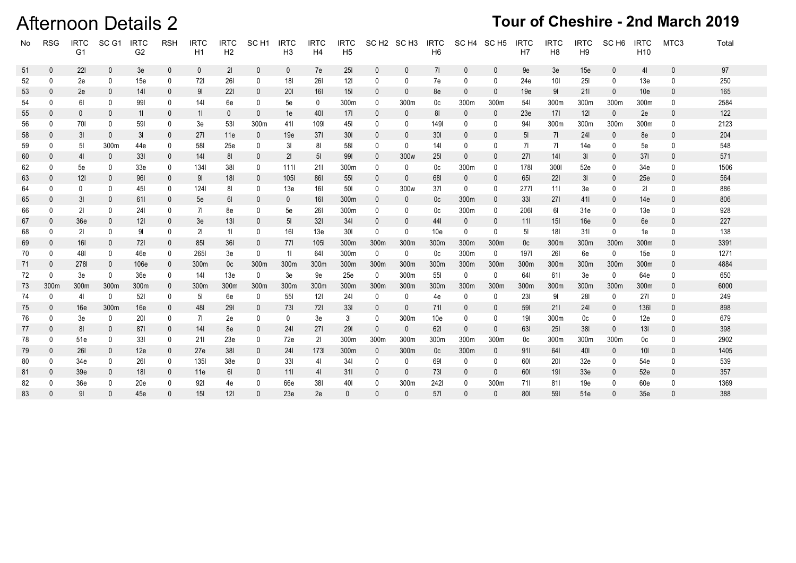### **Afternoon Details 2**

| No | <b>RSG</b>   | <b>IRTC</b><br>G <sub>1</sub> | SC <sub>G1</sub> | <b>IRTC</b><br>G <sub>2</sub> | <b>RSH</b>   | <b>IRTC</b><br>H1 | <b>IRTC</b><br>H <sub>2</sub> | SC <sub>H1</sub> | <b>IRTC</b><br>H <sub>3</sub> | <b>IRTC</b><br>H4 | <b>IRTC</b><br>H <sub>5</sub> |              | SC H <sub>2</sub> SC H <sub>3</sub> | <b>IRTC</b><br>H <sub>6</sub> | SC H4 SC H5  |              | <b>IRTC</b><br>H <sub>7</sub> | <b>IRTC</b><br>H <sub>8</sub> | <b>IRTC</b><br>H <sub>9</sub> | SC <sub>H6</sub> | <b>IRTC</b><br>H <sub>10</sub> | MTC3         | Total |
|----|--------------|-------------------------------|------------------|-------------------------------|--------------|-------------------|-------------------------------|------------------|-------------------------------|-------------------|-------------------------------|--------------|-------------------------------------|-------------------------------|--------------|--------------|-------------------------------|-------------------------------|-------------------------------|------------------|--------------------------------|--------------|-------|
| 51 | $\mathbf{0}$ | 221                           | $\mathbf 0$      | 3e                            | $\mathbf 0$  | $\mathbf 0$       | 21                            | $\mathbf 0$      | $\mathbf{0}$                  | 7e                | 251                           | $\mathbf{0}$ | 0                                   | 71                            | $\mathbf{0}$ | 0            | 9e                            | 3e                            | 15e                           | $\mathbf 0$      | 4 <sub>l</sub>                 | $\mathbf{0}$ | 97    |
| 52 | 0            | 2e                            | 0                | 15e                           | 0            | 721               | <b>261</b>                    | 0                | <b>18I</b>                    | 261               | 121                           | 0            | 0                                   | 7e                            | 0            | 0            | 24e                           | 10I                           | <b>25I</b>                    | 0                | 13e                            | 0            | 250   |
| 53 | 0            | 2e                            | 0                | 141                           | 0            | 91                | <b>221</b>                    | 0                | <b>201</b>                    | 161               | 15 <sub>l</sub>               | 0            | 0                                   | 8e                            | $\mathbf{0}$ | $\Omega$     | 19e                           | 91                            | 211                           | $\mathbf{0}$     | 10 <sub>e</sub>                | 0            | 165   |
| 54 | 0            | 61                            | 0                | 991                           | 0            | 141               | 6e                            | 0                | 5e                            | 0                 | 300m                          | 0            | 300m                                | 0c                            | 300m         | 300m         | 541                           | 300m                          | 300m                          | 300m             | 300m                           | 0            | 2584  |
| 55 | 0            | $\mathbf 0$                   | $\mathbf 0$      | 11                            | $\mathbf 0$  | 11                | $\mathbf 0$                   | $\mathbf 0$      | 1e                            | 401               | 17 <sup>1</sup>               | 0            | 0                                   | 81                            | $\mathbf{0}$ | $\mathbf{0}$ | 23e                           | 171                           | 121                           | $\mathbf 0$      | 2e                             | 0            | 122   |
| 56 | 0            | 701                           | 0                | 591                           | 0            | 3e                | 531                           | 300m             | 411                           | 1091              | 45I                           | 0            | 0                                   | 1491                          | 0            | 0            | 941                           | 300m                          | 300m                          | 300m             | 300m                           | 0            | 2123  |
| 58 | 0            | 3I                            | 0                | 3I                            | $\mathbf 0$  | 271               | 11e                           | $\overline{0}$   | 19e                           | 371               | 301                           | 0            | 0                                   | <b>301</b>                    | 0            | 0            | 5 <sub>l</sub>                | 71                            | 241                           | 0                | 8e                             | 0            | 204   |
| 59 | 0            | 51                            | 300m             | 44e                           | 0            | 581               | 25e                           | 0                | 31                            | 81                | 581                           | 0            | 0                                   | 141                           | 0            | 0            | 71                            | 71                            | 14e                           | 0                | 5e                             | 0            | 548   |
| 60 | 0            | 4 <sub>l</sub>                | $\mathbf 0$      | 33I                           | $\mathbf 0$  | 141               | 81                            | $\mathbf 0$      | 21                            | 5 <sub>l</sub>    | 991                           | $\mathbf{0}$ | 300 <sub>w</sub>                    | <b>25I</b>                    | $\mathbf{0}$ | $\Omega$     | 271                           | 141                           | 3I                            | $\mathbf{0}$     | 371                            | 0            | 571   |
| 62 | 0            | 5e                            | 0                | 33 <sub>e</sub>               | 0            | 1341              | 381                           | 0                | 1111                          | 211               | 300m                          | 0            | 0                                   | 0c                            | 300m         | 0            | 1781                          | 3001                          | 52e                           | 0                | 34e                            | 0            | 1506  |
| 63 | 0            | 121                           | $\boldsymbol{0}$ | <b>961</b>                    | 0            | 91                | 181                           | 0                | 1051                          | 861               | <b>55I</b>                    | 0            | 0                                   | 681                           | 0            | $\mathbf{0}$ | 651                           | <b>221</b>                    | 31                            | $\mathbf{0}$     | 25e                            | 0            | 564   |
| 64 | 0            | 0                             | 0                | 451                           | 0            | 1241              | 81                            | 0                | 13e                           | 161               | 501                           | 0            | 300 <sub>w</sub>                    | 37 <sub>l</sub>               | $\mathbf 0$  | 0            | 2771                          | 111                           | 3e                            | $\mathbf 0$      | 21                             | 0            | 886   |
| 65 | 0            | 3I                            | $\mathbf 0$      | 611                           | 0            | 5e                | 61                            | 0                | $\mathbf{0}$                  | <b>16I</b>        | 300m                          | 0            | 0                                   | 0c                            | 300m         | $\mathbf 0$  | 33I                           | 27 I                          | 411                           | $\mathbf{0}$     | 14e                            | 0            | 806   |
| 66 | 0            | 21                            | 0                | 241                           | 0            | 71                | 8e                            | 0                | 5e                            | <b>261</b>        | 300m                          | 0            | 0                                   | 0c                            | 300m         | 0            | 2061                          | 61                            | 31e                           | 0                | 13e                            | 0            | 928   |
| 67 | $\mathbf{0}$ | 36 <sub>e</sub>               | $\mathbf{0}$     | 121                           | $\mathbf{0}$ | 3e                | 13I                           | $\Omega$         | 5 <sub>l</sub>                | 321               | 341                           | 0            |                                     | 441                           | $\mathbf{0}$ | $\Omega$     | 111                           | 15 <sub>l</sub>               | 16e                           | $\mathbf{0}$     | 6e                             | $\mathbf{0}$ | 227   |
| 68 | 0            | 21                            | 0                | 91                            | 0            | 21                | 11                            | 0                | <b>16I</b>                    | 13e               | <b>30I</b>                    | 0            | 0                                   | 10e                           | 0            | 0            | 51                            | 181                           | 311                           | 0                | 1e                             | 0            | 138   |
| 69 | 0            | 161                           | $\mathbf{0}$     | 721                           | 0            | 851               | <b>361</b>                    | $\mathbf 0$      | 771                           | 1051              | 300m                          | 300m         | 300m                                | 300m                          | 300m         | 300m         | 0 <sup>c</sup>                | 300m                          | 300m                          | 300m             | 300m                           | 0            | 3391  |
| 70 | 0            | 481                           | 0                | 46e                           | 0            | 2651              | 3e                            | $\mathbf 0$      | 11                            | 641               | 300m                          | $\mathbf 0$  | 0                                   | 0c                            | 300m         | $\mathbf 0$  | 1971                          | <b>261</b>                    | 6e                            | $\mathbf 0$      | 15e                            | 0            | 1271  |
| 71 | 0            | 2781                          | $\mathbf 0$      | 106e                          | 0            | 300m              | 0c                            | 300m             | 300m                          | 300m              | 300m                          | 300m         | 300m                                | 300m                          | 300m         | 300m         | 300m                          | 300m                          | 300m                          | 300m             | 300m                           | $\mathbf{0}$ | 4884  |
| 72 | 0            | 3e                            | 0                | 36e                           | 0            | 141               | 13e                           | 0                | 3e                            | 9е                | 25e                           | 0            | 300m                                | <b>551</b>                    | 0            | 0            | 641                           | 611                           | 3e                            | 0                | 64e                            | 0            | 650   |
| 73 | 300m         | 300m                          | 300m             | 300m                          | $\mathbf{0}$ | 300m              | 300m                          | 300m             | 300m                          | 300m              | 300m                          | 300m         | 300m                                | 300m                          | 300m         | 300m         | 300m                          | 300m                          | 300m                          | 300m             | 300m                           | $\mathbf{0}$ | 6000  |
| 74 | 0            | 41                            | 0                | 521                           | 0            | 51                | 6e                            | 0                | <b>551</b>                    | 121               | 241                           | $\mathbf{0}$ | 0                                   | 4e                            | $\mathbf{0}$ | 0            | <b>231</b>                    | 91                            | <b>281</b>                    | 0                | <b>271</b>                     | 0            | 249   |
| 75 | 0            | 16e                           | 300m             | 16e                           | 0            | 481               | 291                           | $\mathbf{0}$     | 731                           | 721               | 33I                           | 0            | $\mathbf{0}$                        | 711                           | $\mathbf{0}$ | $\mathbf{0}$ | 591                           | 211                           | 241                           | $\mathbf{0}$     | 1361                           | $\mathbf{0}$ | 898   |
| 76 | 0            | 3e                            | 0                | 201                           | 0            | 71                | 2e                            | 0                | $\bf{0}$                      | 3e                | 31                            | 0            | 300m                                | 10e                           | 0            | 0            | 191                           | 300m                          | 0c                            | 0                | 12e                            | 0            | 679   |
| 77 | 0            | 81                            | $\mathbf 0$      | 871                           | $\mathbf{0}$ | 141               | 8e                            | $\mathbf{0}$     | 241                           | 271               | 291                           | $\mathbf{0}$ | $\mathbf{0}$                        | 621                           | $\mathbf{0}$ | $\mathbf 0$  | 631                           | <b>251</b>                    | 381                           | $\mathbf 0$      | 13I                            | 0            | 398   |
| 78 | 0            | 51e                           | 0                | 33I                           | 0            | 211               | 23e                           | 0                | 72e                           | 21                | 300m                          | 300m         | 300m                                | 300m                          | 300m         | 300m         | 0c                            | 300m                          | 300m                          | 300m             | 0c                             | 0            | 2902  |
| 79 | $\bf{0}$     | 261                           | $\mathbf 0$      | 12e                           | $\bf{0}$     | 27e               | 381                           | $\mathbf{0}$     | 241                           | 1731              | 300m                          | $\mathbf 0$  | 300m                                | 0 <sup>c</sup>                | 300m         | $\mathbf 0$  | 911                           | 641                           | <b>40I</b>                    | $\mathbf 0$      | 101                            | $\mathbf{0}$ | 1405  |
| 80 | 0            | 34e                           | 0                | 261                           | 0            | 1351              | 38 <sub>e</sub>               | 0                | 331                           | 41                | 341                           | 0            | 0                                   | 691                           | 0            | 0            | 601                           | <b>201</b>                    | 32e                           | 0                | 54e                            | 0            | 539   |
| 81 | 0            | 39 <sub>e</sub>               | $\mathbf 0$      | 181                           | $\mathbf 0$  | 11e               | 61                            | $\mathbf 0$      | 111                           | 41                | 311                           | 0            | 0                                   | 731                           | $\mathbf{0}$ | $\mathbf 0$  | 601                           | 191                           | 33 <sub>e</sub>               | $\mathbf{0}$     | 52e                            | 0            | 357   |
| 82 |              | 36e                           | 0                | 20e                           | 0            | 921               | 4e                            | 0                | 66e                           | 381               | 401                           | 0            | 300m                                | 2421                          | 0            | 300m         | 711                           | 811                           | 19e                           | $\mathbf 0$      | 60e                            | 0            | 1369  |
| 83 |              | 91                            | $\Omega$         | 45e                           | $\Omega$     | 15 <sub>l</sub>   | 12 <sub>l</sub>               | $\Omega$         | 23e                           | 2e                | 0                             | $\Omega$     | $\Omega$                            | 571                           | $\Omega$     | $\mathbf{0}$ | 801                           | 591                           | 51e                           | $\Omega$         | 35 <sub>e</sub>                | ŋ            | 388   |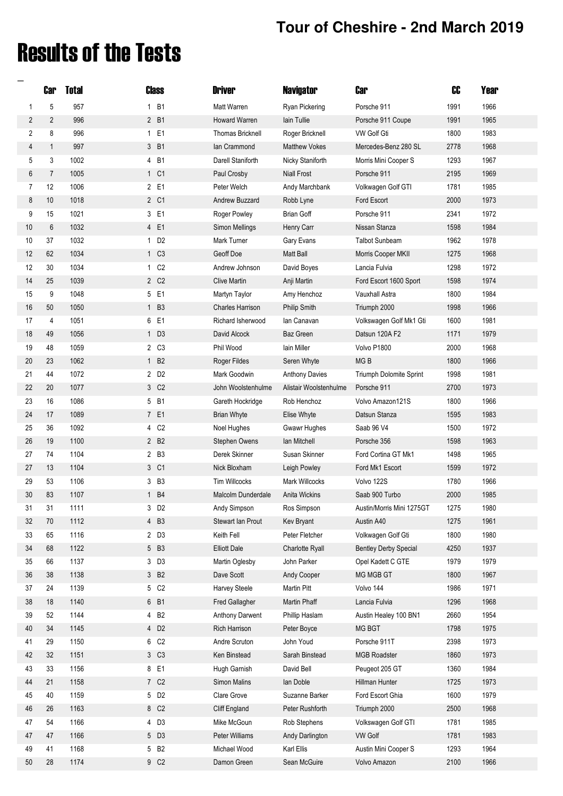## Results of the Tests

**\_**

|                | <b>Car</b>     | <b>Total</b> | Class                    | <b>Driver</b>                  | <b>Navigator</b>              | <b>Car</b>                       | c <b>c</b>   | Year         |
|----------------|----------------|--------------|--------------------------|--------------------------------|-------------------------------|----------------------------------|--------------|--------------|
| 1              | 5              | 957          | 1 B1                     | Matt Warren                    | <b>Ryan Pickering</b>         | Porsche 911                      | 1991         | 1966         |
| $\overline{2}$ | $\overline{2}$ | 996          | 2 B1                     | Howard Warren                  | lain Tullie                   | Porsche 911 Coupe                | 1991         | 1965         |
| 2              | 8              | 996          | 1 E1                     | <b>Thomas Bricknell</b>        | Roger Bricknell               | <b>VW Golf Gti</b>               | 1800         | 1983         |
| 4              | $\mathbf{1}$   | 997          | 3 B1                     | lan Crammond                   | <b>Matthew Vokes</b>          | Mercedes-Benz 280 SL             | 2778         | 1968         |
| 5              | 3              | 1002         | 4 B1                     | Darell Staniforth              | Nicky Staniforth              | Morris Mini Cooper S             | 1293         | 1967         |
| 6              | $\overline{7}$ | 1005         | 1 C1                     | Paul Crosby                    | <b>Niall Frost</b>            | Porsche 911                      | 2195         | 1969         |
| 7              | 12             | 1006         | 2 E1                     | Peter Welch                    | Andy Marchbank                | Volkwagen Golf GTI               | 1781         | 1985         |
| 8              | 10             | 1018         | 2 C1                     | Andrew Buzzard                 | Robb Lyne                     | Ford Escort                      | 2000         | 1973         |
| 9              | 15             | 1021         | 3 E1                     | Roger Powley                   | <b>Brian Goff</b>             | Porsche 911                      | 2341         | 1972         |
| 10             | 6              | 1032         | 4 E1                     | Simon Mellings                 | Henry Carr                    | Nissan Stanza                    | 1598         | 1984         |
| 10             | 37             | 1032         | 1 D <sub>2</sub>         | Mark Turner                    | Gary Evans                    | <b>Talbot Sunbeam</b>            | 1962         | 1978         |
| 12             | 62             | 1034         | 1 C <sub>3</sub>         | Geoff Doe                      | <b>Matt Ball</b>              | Morris Cooper MKII               | 1275         | 1968         |
| 12             | 30             | 1034         | 1 C <sub>2</sub>         | Andrew Johnson                 | David Boyes                   | Lancia Fulvia                    | 1298         | 1972         |
| 14             | 25             | 1039         | 2 C <sub>2</sub>         | <b>Clive Martin</b>            | Anji Martin                   | Ford Escort 1600 Sport           | 1598         | 1974         |
| 15             | 9              | 1048         | 5 E1                     | Martyn Taylor                  | Amy Henchoz                   | <b>Vauxhall Astra</b>            | 1800         | 1984         |
| 16             | $50\,$         | 1050         | 1 B3                     | <b>Charles Harrison</b>        | <b>Philip Smith</b>           | Triumph 2000                     | 1998         | 1966         |
| 17             | 4              | 1051         | 6 E1                     | Richard Isherwood              | lan Canavan                   | Volkswagen Golf Mk1 Gti          | 1600         | 1981         |
| 18             | 49             | 1056         | $1\quad D3$              | David Alcock                   | <b>Baz Green</b>              | Datsun 120A F2                   | 1171         | 1979         |
| 19             | 48             | 1059         | 2 C3                     | Phil Wood                      | lain Miller                   | Volvo P1800                      | 2000         | 1968         |
| 20             | 23             | 1062         | 1 B <sub>2</sub>         | Roger Fildes                   | Seren Whyte                   | MG <sub>B</sub>                  | 1800         | 1966         |
| 21             | 44             | 1072         | 2 D <sub>2</sub>         | Mark Goodwin                   | <b>Anthony Davies</b>         | Triumph Dolomite Sprint          | 1998         | 1981         |
| 22             | 20             | 1077         | 3 C <sub>2</sub>         | John Woolstenhulme             | Alistair Woolstenhulme        | Porsche 911                      | 2700         | 1973         |
| 23             | 16             | 1086         | 5 B1                     | Gareth Hockridge               | Rob Henchoz                   | Volvo Amazon121S                 | 1800         | 1966         |
| 24             | 17             | 1089         | 7 E1                     | <b>Brian Whyte</b>             | Elise Whyte                   | Datsun Stanza                    | 1595         | 1983         |
| 25             | 36             | 1092         | 4 C <sub>2</sub>         | Noel Hughes                    | <b>Gwawr Hughes</b>           | Saab 96 V4                       | 1500         | 1972         |
| 26             | 19             | 1100         | 2 B <sub>2</sub>         | Stephen Owens                  | Ian Mitchell                  | Porsche 356                      | 1598         | 1963         |
| 27             | 74             | 1104         | 2 B3                     | Derek Skinner                  | Susan Skinner                 | Ford Cortina GT Mk1              | 1498         | 1965         |
| 27             | 13             | 1104         | 3 C1                     | Nick Bloxham                   | Leigh Powley                  | Ford Mk1 Escort                  | 1599         | 1972         |
| 29             | 53             | 1106         | 3 B3                     | <b>Tim Willcocks</b>           | Mark Willcocks                | Volvo 122S                       | 1780         | 1966         |
| 30             | 83             | 1107         | 1 B4                     | Malcolm Dunderdale             | Anita Wickins                 | Saab 900 Turbo                   | 2000         | 1985         |
| 31             | 31             | 1111         | 3 D <sub>2</sub>         | Andy Simpson                   | Ros Simpson                   | Austin/Morris Mini 1275GT        | 1275         | 1980         |
| 32             | 70             | 1112         | 4 B3                     | Stewart Ian Prout              | Kev Bryant                    | Austin A40                       | 1275         | 1961         |
| 33             | 65             | 1116         | 2 D3                     | Keith Fell                     | Peter Fletcher                | Volkwagen Golf Gti               | 1800         | 1980         |
| 34             | 68             | 1122         | 5 B3                     | <b>Elliott Dale</b>            | Charlotte Ryall               | <b>Bentley Derby Special</b>     | 4250         | 1937         |
| 35             | 66             | 1137         | 3 D3                     | Martin Oglesby                 | John Parker                   | Opel Kadett C GTE                | 1979         | 1979         |
| 36             | 38             | 1138         | 3 B2                     | Dave Scott                     | Andy Cooper                   | MG MGB GT                        | 1800         | 1967         |
| 37             | 24             | 1139         | 5 C <sub>2</sub>         | Harvey Steele                  | Martin Pitt                   | Volvo 144                        | 1986         | 1971         |
| 38             | 18             | 1140         | 6 B1                     | Fred Gallagher                 | Martin Phaff                  | Lancia Fulvia                    | 1296         | 1968         |
| 39             | 52             | 1144         | 4 B <sub>2</sub>         | Anthony Darwent                | Phillip Haslam                | Austin Healey 100 BN1            | 2660         | 1954         |
| 40             | 34             | 1145         | 4 D <sub>2</sub>         | Rich Harrison                  | Peter Boyce                   | MG BGT                           | 1798         | 1975         |
| 41             | 29             | 1150         | 6 C <sub>2</sub>         | Andre Scruton                  | John Youd                     | Porsche 911T                     | 2398         | 1973         |
| 42             | 32             | 1151         | 3 C <sub>3</sub><br>8 E1 | Ken Binstead                   | Sarah Binstead                | <b>MGB Roadster</b>              | 1860         | 1973<br>1984 |
| 43<br>44       | 33<br>21       | 1156<br>1158 | 7 C <sub>2</sub>         | Hugh Garnish<br>Simon Malins   | David Bell<br>lan Doble       | Peugeot 205 GT<br>Hillman Hunter | 1360<br>1725 | 1973         |
| 45             | 40             | 1159         | 5 D <sub>2</sub>         | Clare Grove                    | Suzanne Barker                | Ford Escort Ghia                 | 1600         | 1979         |
| 46             |                | 1163         | 8 C <sub>2</sub>         | Cliff England                  | Peter Rushforth               | Triumph 2000                     | 2500         | 1968         |
| 47             | 26<br>54       | 1166         | 4 D3                     | Mike McGoun                    | Rob Stephens                  | Volkswagen Golf GTI              | 1781         | 1985         |
|                |                | 1166         | 5 D3                     |                                |                               | <b>VW Golf</b>                   | 1781         | 1983         |
| 47<br>49       | 47<br>41       | 1168         | 5 B <sub>2</sub>         | Peter Williams<br>Michael Wood | Andy Darlington<br>Karl Ellis | Austin Mini Cooper S             | 1293         | 1964         |
| 50             | 28             | 1174         | 9 C <sub>2</sub>         | Damon Green                    | Sean McGuire                  | Volvo Amazon                     | 2100         | 1966         |
|                |                |              |                          |                                |                               |                                  |              |              |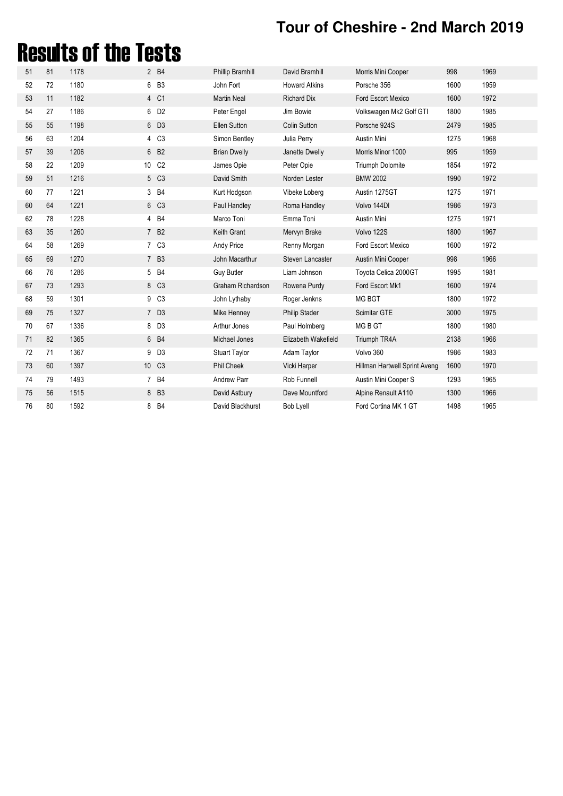## Results of the Tests

| 51 | 81 | 1178 |                 | 2 B4             | <b>Phillip Bramhill</b> | David Bramhill       | Morris Mini Cooper            | 998  | 1969 |
|----|----|------|-----------------|------------------|-------------------------|----------------------|-------------------------------|------|------|
| 52 | 72 | 1180 |                 | 6 B3             | John Fort               | <b>Howard Atkins</b> | Porsche 356                   | 1600 | 1959 |
| 53 | 11 | 1182 |                 | 4 C1             | <b>Martin Neal</b>      | <b>Richard Dix</b>   | Ford Escort Mexico            | 1600 | 1972 |
| 54 | 27 | 1186 |                 | 6 D <sub>2</sub> | Peter Engel             | Jim Bowie            | Volkswagen Mk2 Golf GTI       | 1800 | 1985 |
| 55 | 55 | 1198 |                 | 6 D3             | <b>Ellen Sutton</b>     | <b>Colin Sutton</b>  | Porsche 924S                  | 2479 | 1985 |
| 56 | 63 | 1204 |                 | 4 C <sub>3</sub> | Simon Bentley           | Julia Perry          | Austin Mini                   | 1275 | 1968 |
| 57 | 39 | 1206 |                 | 6 B <sub>2</sub> | <b>Brian Dwelly</b>     | Janette Dwelly       | Morris Minor 1000             | 995  | 1959 |
| 58 | 22 | 1209 | 10 <sup>°</sup> | C <sub>2</sub>   | James Opie              | Peter Opie           | <b>Triumph Dolomite</b>       | 1854 | 1972 |
| 59 | 51 | 1216 |                 | 5 C3             | David Smith             | Norden Lester        | <b>BMW 2002</b>               | 1990 | 1972 |
| 60 | 77 | 1221 |                 | 3 B4             | Kurt Hodgson            | Vibeke Loberg        | Austin 1275GT                 | 1275 | 1971 |
| 60 | 64 | 1221 |                 | 6 C3             | Paul Handley            | Roma Handley         | Volvo 144DI                   | 1986 | 1973 |
| 62 | 78 | 1228 |                 | 4 B4             | Marco Toni              | Emma Toni            | Austin Mini                   | 1275 | 1971 |
| 63 | 35 | 1260 |                 | 7 B <sub>2</sub> | <b>Keith Grant</b>      | Mervyn Brake         | Volvo 122S                    | 1800 | 1967 |
| 64 | 58 | 1269 |                 | 7 C3             | Andy Price              | Renny Morgan         | Ford Escort Mexico            | 1600 | 1972 |
| 65 | 69 | 1270 |                 | 7 B3             | John Macarthur          | Steven Lancaster     | Austin Mini Cooper            | 998  | 1966 |
| 66 | 76 | 1286 |                 | 5 B4             | <b>Guy Butler</b>       | Liam Johnson         | Toyota Celica 2000GT          | 1995 | 1981 |
| 67 | 73 | 1293 |                 | 8 C3             | Graham Richardson       | Rowena Purdy         | Ford Escort Mk1               | 1600 | 1974 |
| 68 | 59 | 1301 |                 | 9 C <sub>3</sub> | John Lythaby            | Roger Jenkns         | MG BGT                        | 1800 | 1972 |
| 69 | 75 | 1327 |                 | 7 D3             | Mike Henney             | <b>Philip Stader</b> | Scimitar GTE                  | 3000 | 1975 |
| 70 | 67 | 1336 |                 | 8 D3             | Arthur Jones            | Paul Holmberg        | MG B GT                       | 1800 | 1980 |
| 71 | 82 | 1365 |                 | 6 B4             | Michael Jones           | Elizabeth Wakefield  | Triumph TR4A                  | 2138 | 1966 |
| 72 | 71 | 1367 | 9               | D <sub>3</sub>   | <b>Stuart Taylor</b>    | Adam Taylor          | Volvo 360                     | 1986 | 1983 |
| 73 | 60 | 1397 |                 | 10 C3            | Phil Cheek              | Vicki Harper         | Hillman Hartwell Sprint Aveng | 1600 | 1970 |
| 74 | 79 | 1493 |                 | 7 B4             | <b>Andrew Parr</b>      | Rob Funnell          | Austin Mini Cooper S          | 1293 | 1965 |
| 75 | 56 | 1515 |                 | 8 B3             | David Astbury           | Dave Mountford       | Alpine Renault A110           | 1300 | 1966 |
| 76 | 80 | 1592 |                 | 8 B4             | David Blackhurst        | <b>Bob Lyell</b>     | Ford Cortina MK 1 GT          | 1498 | 1965 |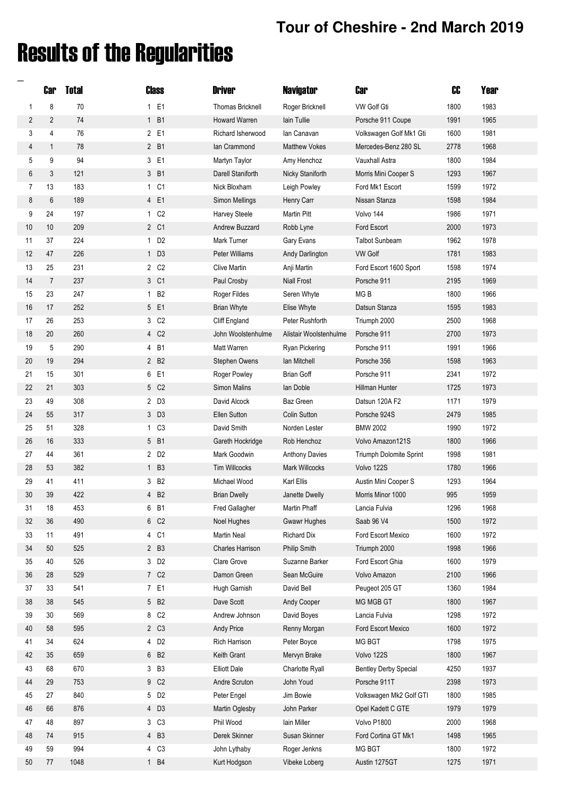# Results of the Regularities

**\_**

|                | <b>Car</b>     | <b>Total</b> | Class            | <b>Driver</b>           | <b>Navigator</b>       | <b>Car</b>                   | CC   | Year |
|----------------|----------------|--------------|------------------|-------------------------|------------------------|------------------------------|------|------|
| 1              | 8              | 70           | 1 E1             | <b>Thomas Bricknell</b> | Roger Bricknell        | <b>VW Golf Gti</b>           | 1800 | 1983 |
| $\overline{2}$ | $\overline{2}$ | 74           | 1 B1             | Howard Warren           | lain Tullie            | Porsche 911 Coupe            | 1991 | 1965 |
| 3              | 4              | 76           | 2 E1             | Richard Isherwood       | lan Canavan            | Volkswagen Golf Mk1 Gti      | 1600 | 1981 |
| 4              | $\mathbf{1}$   | 78           | 2 B1             | lan Crammond            | <b>Matthew Vokes</b>   | Mercedes-Benz 280 SL         | 2778 | 1968 |
| 5              | 9              | 94           | 3 E1             | Martyn Taylor           | Amy Henchoz            | Vauxhall Astra               | 1800 | 1984 |
| 6              | 3              | 121          | 3 B1             | Darell Staniforth       | Nicky Staniforth       | Morris Mini Cooper S         | 1293 | 1967 |
| 7              | 13             | 183          | 1 C1             | Nick Bloxham            | Leigh Powley           | Ford Mk1 Escort              | 1599 | 1972 |
| 8              | 6              | 189          | 4 E1             | Simon Mellings          | Henry Carr             | Nissan Stanza                | 1598 | 1984 |
| 9              | 24             | 197          | 1 C <sub>2</sub> | Harvey Steele           | Martin Pitt            | Volvo 144                    | 1986 | 1971 |
| 10             | 10             | 209          | 2 C1             | Andrew Buzzard          | Robb Lyne              | Ford Escort                  | 2000 | 1973 |
| 11             | 37             | 224          | 1 D <sub>2</sub> | Mark Turner             | Gary Evans             | <b>Talbot Sunbeam</b>        | 1962 | 1978 |
| 12             | 47             | 226          | $1\quad D3$      | Peter Williams          | Andy Darlington        | <b>VW Golf</b>               | 1781 | 1983 |
| 13             | 25             | 231          | 2 C <sub>2</sub> | <b>Clive Martin</b>     | Anji Martin            | Ford Escort 1600 Sport       | 1598 | 1974 |
| 14             | $\overline{7}$ | 237          | 3 C1             | Paul Crosby             | <b>Niall Frost</b>     | Porsche 911                  | 2195 | 1969 |
| 15             | 23             | 247          | 1 B <sub>2</sub> | Roger Fildes            | Seren Whyte            | MG <sub>B</sub>              | 1800 | 1966 |
| 16             | 17             | 252          | 5 E1             | <b>Brian Whyte</b>      | Elise Whyte            | Datsun Stanza                | 1595 | 1983 |
| 17             | 26             | 253          | 3 C <sub>2</sub> | Cliff England           | Peter Rushforth        | Triumph 2000                 | 2500 | 1968 |
| 18             | 20             | 260          | 4 C <sub>2</sub> | John Woolstenhulme      | Alistair Woolstenhulme | Porsche 911                  | 2700 | 1973 |
| 19             | 5              | 290          | 4 B1             | Matt Warren             | Ryan Pickering         | Porsche 911                  | 1991 | 1966 |
| 20             | 19             | 294          | 2 B <sub>2</sub> | Stephen Owens           | lan Mitchell           | Porsche 356                  | 1598 | 1963 |
| 21             | 15             | 301          | 6 E1             | Roger Powley            | <b>Brian Goff</b>      | Porsche 911                  | 2341 | 1972 |
| 22             | 21             | 303          | 5 C <sub>2</sub> | Simon Malins            | lan Doble              | Hillman Hunter               | 1725 | 1973 |
| 23             | 49             | 308          | 2 D3             | David Alcock            | Baz Green              | Datsun 120A F2               | 1171 | 1979 |
| 24             | 55             | 317          | 3 D3             | <b>Ellen Sutton</b>     | <b>Colin Sutton</b>    | Porsche 924S                 | 2479 | 1985 |
| 25             | 51             | 328          | 1 C <sub>3</sub> | David Smith             | Norden Lester          | <b>BMW 2002</b>              | 1990 | 1972 |
| 26             | 16             | 333          | 5 B1             | Gareth Hockridge        | Rob Henchoz            | Volvo Amazon121S             | 1800 | 1966 |
| 27             | 44             | 361          | 2 D <sub>2</sub> | Mark Goodwin            | <b>Anthony Davies</b>  | Triumph Dolomite Sprint      | 1998 | 1981 |
| 28             | 53             | 382          | 1 B3             | <b>Tim Willcocks</b>    | Mark Willcocks         | Volvo 122S                   | 1780 | 1966 |
| 29             | 41             | 411          | 3 B <sub>2</sub> | Michael Wood            | Karl Ellis             | Austin Mini Cooper S         | 1293 | 1964 |
| 30             | 39             | 422          | 4 B <sub>2</sub> | <b>Brian Dwelly</b>     | Janette Dwelly         | Morris Minor 1000            | 995  | 1959 |
| 31             | 18             | 453          | 6 B1             | Fred Gallagher          | Martin Phaff           | Lancia Fulvia                | 1296 | 1968 |
| 32             | 36             | 490          | 6 C <sub>2</sub> | Noel Hughes             | <b>Gwawr Hughes</b>    | Saab 96 V4                   | 1500 | 1972 |
| 33             | 11             | 491          | 4 C1             | Martin Neal             | Richard Dix            | Ford Escort Mexico           | 1600 | 1972 |
| 34             | 50             | 525          | 2 B3             | Charles Harrison        | Philip Smith           | Triumph 2000                 | 1998 | 1966 |
| 35             | 40             | 526          | 3 D <sub>2</sub> | Clare Grove             | Suzanne Barker         | Ford Escort Ghia             | 1600 | 1979 |
| 36             | 28             | 529          | 7 C <sub>2</sub> | Damon Green             | Sean McGuire           | Volvo Amazon                 | 2100 | 1966 |
| 37             | 33             | 541          | 7 E1             | Hugh Garnish            | David Bell             | Peugeot 205 GT               | 1360 | 1984 |
| 38             | 38             | 545          | 5 B <sub>2</sub> | Dave Scott              | Andy Cooper            | MG MGB GT                    | 1800 | 1967 |
| 39             | 30             | 569          | 8 C <sub>2</sub> | Andrew Johnson          | David Boyes            | Lancia Fulvia                | 1298 | 1972 |
| 40             | 58             | 595          | 2 C <sub>3</sub> | Andy Price              | Renny Morgan           | Ford Escort Mexico           | 1600 | 1972 |
| 41             | 34             | 624          | 4 D <sub>2</sub> | Rich Harrison           | Peter Boyce            | MG BGT                       | 1798 | 1975 |
| 42             | 35             | 659          | 6 B <sub>2</sub> | Keith Grant             | Mervyn Brake           | Volvo 122S                   | 1800 | 1967 |
| 43             | 68             | 670          | 3 B3             | <b>Elliott Dale</b>     | Charlotte Ryall        | <b>Bentley Derby Special</b> | 4250 | 1937 |
| 44             | 29             | 753          | 9 C <sub>2</sub> | Andre Scruton           | John Youd              | Porsche 911T                 | 2398 | 1973 |
| 45             | 27             | 840          | 5 D <sub>2</sub> | Peter Engel             | Jim Bowie              | Volkswagen Mk2 Golf GTI      | 1800 | 1985 |
| 46             | 66             | 876          | 4 D3             | Martin Oglesby          | John Parker            | Opel Kadett C GTE            | 1979 | 1979 |
| 47             | 48             | 897          | 3 C3             | Phil Wood               | Iain Miller            | Volvo P1800                  | 2000 | 1968 |
| 48             | 74             | 915          | 4 B3             | Derek Skinner           | Susan Skinner          | Ford Cortina GT Mk1          | 1498 | 1965 |
| 49             | 59             | 994          | 4 C <sub>3</sub> | John Lythaby            | Roger Jenkns           | MG BGT                       | 1800 | 1972 |
| 50             | 77             | 1048         | 1 B4             | Kurt Hodgson            | Vibeke Loberg          | Austin 1275GT                | 1275 | 1971 |
|                |                |              |                  |                         |                        |                              |      |      |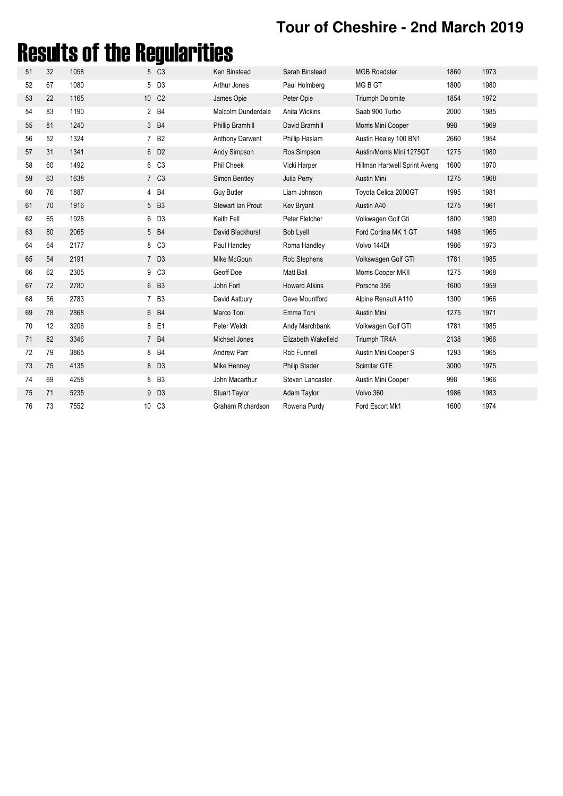# Results of the Regularities

| 51 | 32 | 1058 |    | 5 C3              | Ken Binstead           | Sarah Binstead       | <b>MGB Roadster</b>           | 1860 | 1973 |
|----|----|------|----|-------------------|------------------------|----------------------|-------------------------------|------|------|
| 52 | 67 | 1080 |    | 5 D3              | Arthur Jones           | Paul Holmberg        | MG B GT                       | 1800 | 1980 |
| 53 | 22 | 1165 |    | 10 C <sub>2</sub> | James Opie             | Peter Opie           | <b>Triumph Dolomite</b>       | 1854 | 1972 |
| 54 | 83 | 1190 |    | 2 B4              | Malcolm Dunderdale     | Anita Wickins        | Saab 900 Turbo                | 2000 | 1985 |
| 55 | 81 | 1240 |    | 3 B4              | Phillip Bramhill       | David Bramhill       | Morris Mini Cooper            | 998  | 1969 |
| 56 | 52 | 1324 |    | 7 B <sub>2</sub>  | <b>Anthony Darwent</b> | Phillip Haslam       | Austin Healey 100 BN1         | 2660 | 1954 |
| 57 | 31 | 1341 |    | 6 D <sub>2</sub>  | Andy Simpson           | Ros Simpson          | Austin/Morris Mini 1275GT     | 1275 | 1980 |
| 58 | 60 | 1492 |    | 6 C <sub>3</sub>  | Phil Cheek             | Vicki Harper         | Hillman Hartwell Sprint Aveng | 1600 | 1970 |
| 59 | 63 | 1638 |    | 7 C <sub>3</sub>  | Simon Bentley          | Julia Perry          | Austin Mini                   | 1275 | 1968 |
| 60 | 76 | 1887 |    | 4 B4              | <b>Guy Butler</b>      | Liam Johnson         | Toyota Celica 2000GT          | 1995 | 1981 |
| 61 | 70 | 1916 |    | 5 B3              | Stewart Ian Prout      | Kev Bryant           | Austin A40                    | 1275 | 1961 |
| 62 | 65 | 1928 | 6  | D <sub>3</sub>    | Keith Fell             | Peter Fletcher       | Volkwagen Golf Gti            | 1800 | 1980 |
| 63 | 80 | 2065 |    | 5 B4              | David Blackhurst       | <b>Bob Lyell</b>     | Ford Cortina MK 1 GT          | 1498 | 1965 |
| 64 | 64 | 2177 |    | 8 C <sub>3</sub>  | Paul Handley           | Roma Handley         | Volvo 144DI                   | 1986 | 1973 |
| 65 | 54 | 2191 |    | 7 D3              | Mike McGoun            | Rob Stephens         | Volkswagen Golf GTI           | 1781 | 1985 |
| 66 | 62 | 2305 |    | 9 C <sub>3</sub>  | Geoff Doe              | Matt Ball            | Morris Cooper MKII            | 1275 | 1968 |
| 67 | 72 | 2780 |    | 6 B3              | John Fort              | <b>Howard Atkins</b> | Porsche 356                   | 1600 | 1959 |
| 68 | 56 | 2783 |    | 7 B3              | David Astbury          | Dave Mountford       | Alpine Renault A110           | 1300 | 1966 |
| 69 | 78 | 2868 |    | 6 B4              | Marco Toni             | Emma Toni            | Austin Mini                   | 1275 | 1971 |
| 70 | 12 | 3206 |    | 8 E1              | Peter Welch            | Andy Marchbank       | Volkwagen Golf GTI            | 1781 | 1985 |
| 71 | 82 | 3346 |    | 7 B4              | Michael Jones          | Elizabeth Wakefield  | Triumph TR4A                  | 2138 | 1966 |
| 72 | 79 | 3865 |    | 8 B4              | <b>Andrew Parr</b>     | Rob Funnell          | Austin Mini Cooper S          | 1293 | 1965 |
| 73 | 75 | 4135 |    | 8 D3              | Mike Henney            | <b>Philip Stader</b> | Scimitar GTE                  | 3000 | 1975 |
| 74 | 69 | 4258 | 8  | B <sub>3</sub>    | John Macarthur         | Steven Lancaster     | Austin Mini Cooper            | 998  | 1966 |
| 75 | 71 | 5235 |    | 9 D <sub>3</sub>  | <b>Stuart Taylor</b>   | Adam Taylor          | Volvo 360                     | 1986 | 1983 |
| 76 | 73 | 7552 | 10 | C <sub>3</sub>    | Graham Richardson      | Rowena Purdy         | Ford Escort Mk1               | 1600 | 1974 |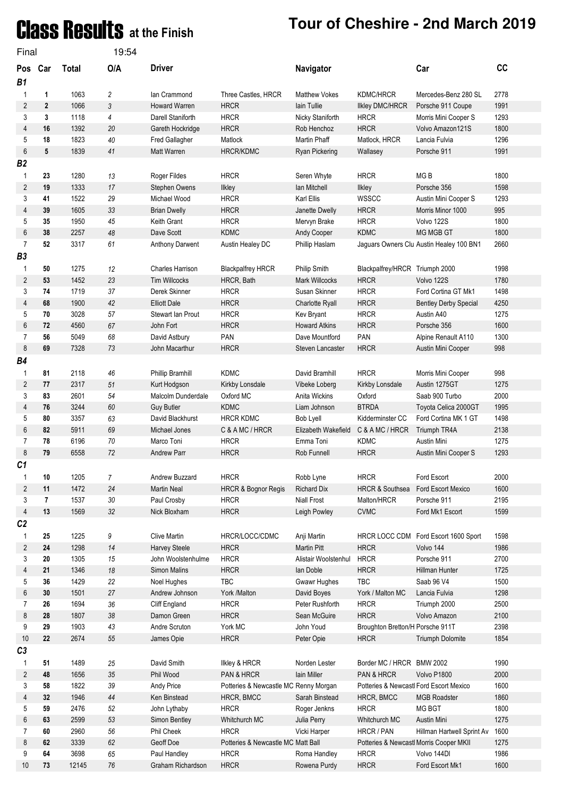# **Class Results** at the Finish Tour of Cheshire - 2nd March 2019

| Final                |              |              | 19:54  |                         |                                       |                        |                                         |                                          |      |
|----------------------|--------------|--------------|--------|-------------------------|---------------------------------------|------------------------|-----------------------------------------|------------------------------------------|------|
| Pos Car<br><b>B1</b> |              | <b>Total</b> | O/A    | <b>Driver</b>           |                                       | Navigator              |                                         | Car                                      | cc   |
| 1                    | 1            | 1063         | 2      | lan Crammond            | Three Castles, HRCR                   | <b>Matthew Vokes</b>   | <b>KDMC/HRCR</b>                        | Mercedes-Benz 280 SL                     | 2778 |
| 2                    | $\mathbf{2}$ | 1066         | 3      | Howard Warren           | <b>HRCR</b>                           | lain Tullie            | Ilkley DMC/HRCR                         | Porsche 911 Coupe                        | 1991 |
| 3                    | 3            | 1118         | 4      | Darell Staniforth       | <b>HRCR</b>                           | Nicky Staniforth       | <b>HRCR</b>                             | Morris Mini Cooper S                     | 1293 |
| 4                    | 16           | 1392         | 20     | Gareth Hockridge        | <b>HRCR</b>                           | Rob Henchoz            | <b>HRCR</b>                             | Volvo Amazon121S                         | 1800 |
| 5                    | 18           | 1823         | 40     | Fred Gallagher          | Matlock                               | Martin Phaff           | Matlock, HRCR                           | Lancia Fulvia                            | 1296 |
| 6                    | 5            | 1839         | 41     | Matt Warren             | <b>HRCR/KDMC</b>                      | Ryan Pickering         | Wallasey                                | Porsche 911                              | 1991 |
| <b>B2</b>            |              |              |        |                         |                                       |                        |                                         |                                          |      |
| 1                    | 23           | 1280         | 13     | Roger Fildes            | <b>HRCR</b>                           | Seren Whyte            | <b>HRCR</b>                             | MG <sub>B</sub>                          | 1800 |
| 2                    | 19           | 1333         | 17     | Stephen Owens           | Ilkley                                | lan Mitchell           | Ilkley                                  | Porsche 356                              | 1598 |
| 3                    | 41           | 1522         | 29     | Michael Wood            | <b>HRCR</b>                           | Karl Ellis             | <b>WSSCC</b>                            | Austin Mini Cooper S                     | 1293 |
| 4                    | 39           | 1605         | 33     | <b>Brian Dwelly</b>     | <b>HRCR</b>                           | Janette Dwelly         | <b>HRCR</b>                             | Morris Minor 1000                        | 995  |
| 5                    | 35           | 1950         | 45     | Keith Grant             | <b>HRCR</b>                           | Mervyn Brake           | <b>HRCR</b>                             | Volvo 122S                               | 1800 |
| 6                    | 38           | 2257         | 48     | Dave Scott              | <b>KDMC</b>                           | Andy Cooper            | <b>KDMC</b>                             | <b>MG MGB GT</b>                         | 1800 |
| $\overline{7}$       | 52           | 3317         | 61     | Anthony Darwent         | Austin Healey DC                      | Phillip Haslam         |                                         | Jaguars Owners Clu Austin Healey 100 BN1 | 2660 |
| B <sub>3</sub>       |              |              |        |                         |                                       |                        |                                         |                                          |      |
| 1                    | 50           | 1275         | 12     | <b>Charles Harrison</b> | <b>Blackpalfrey HRCR</b>              | Philip Smith           | Blackpalfrey/HRCR Triumph 2000          |                                          | 1998 |
| 2                    | 53           | 1452         | 23     | <b>Tim Willcocks</b>    | HRCR, Bath                            | <b>Mark Willcocks</b>  | <b>HRCR</b>                             | Volvo 122S                               | 1780 |
| 3                    | 74           | 1719         | 37     | Derek Skinner           | <b>HRCR</b>                           | Susan Skinner          | <b>HRCR</b>                             | Ford Cortina GT Mk1                      | 1498 |
| 4                    | 68           | 1900         | 42     | <b>Elliott Dale</b>     | <b>HRCR</b>                           | <b>Charlotte Ryall</b> | <b>HRCR</b>                             | <b>Bentley Derby Special</b>             | 4250 |
| 5                    | 70           | 3028         | 57     | Stewart Ian Prout       | <b>HRCR</b>                           | Kev Bryant             | <b>HRCR</b>                             | Austin A40                               | 1275 |
| 6                    | 72           | 4560         | 67     | John Fort               | <b>HRCR</b>                           | <b>Howard Atkins</b>   | <b>HRCR</b>                             | Porsche 356                              | 1600 |
| 7                    | 56           | 5049         | 68     | David Astbury           | PAN                                   | Dave Mountford         | PAN                                     | Alpine Renault A110                      | 1300 |
| 8                    | 69           | 7328         | 73     | John Macarthur          | <b>HRCR</b>                           | Steven Lancaster       | <b>HRCR</b>                             | Austin Mini Cooper                       | 998  |
| <b>B4</b>            |              |              |        |                         |                                       |                        |                                         |                                          |      |
| 1                    | 81           | 2118         | 46     | Phillip Bramhill        | <b>KDMC</b>                           | David Bramhill         | <b>HRCR</b>                             | Morris Mini Cooper                       | 998  |
| 2                    | 77           | 2317         | 51     | Kurt Hodgson            | Kirkby Lonsdale                       | Vibeke Loberg          | Kirkby Lonsdale                         | Austin 1275GT                            | 1275 |
| 3                    | 83           | 2601         | 54     | Malcolm Dunderdale      | Oxford MC                             | Anita Wickins          | Oxford                                  | Saab 900 Turbo                           | 2000 |
| 4                    | 76           | 3244         | 60     | <b>Guy Butler</b>       | <b>KDMC</b>                           | Liam Johnson           | <b>BTRDA</b>                            | Toyota Celica 2000GT                     | 1995 |
| 5                    | 80           | 3357         | 63     | David Blackhurst        | <b>HRCR KDMC</b>                      | <b>Bob Lyell</b>       | Kidderminster CC                        | Ford Cortina MK 1 GT                     | 1498 |
| 6                    | 82           | 5911         | 69     | Michael Jones           | C & A MC / HRCR                       | Elizabeth Wakefield    | C & A MC / HRCR                         | Triumph TR4A                             | 2138 |
| 7                    | 78           | 6196         | 70     | Marco Toni              | <b>HRCR</b>                           | Emma Toni              | <b>KDMC</b>                             | Austin Mini                              | 1275 |
| 8                    | 79           | 6558         | 72     | <b>Andrew Parr</b>      | <b>HRCR</b>                           | Rob Funnell            | <b>HRCR</b>                             | Austin Mini Cooper S                     | 1293 |
| C1                   |              |              |        |                         |                                       |                        |                                         |                                          |      |
| 1                    | 10           | 1205         | 7      | Andrew Buzzard          | <b>HRCR</b>                           | Robb Lyne              | <b>HRCR</b>                             | Ford Escort                              | 2000 |
| 2                    | 11           | 1472         | 24     | <b>Martin Neal</b>      | <b>HRCR &amp; Bognor Regis</b>        | <b>Richard Dix</b>     | <b>HRCR &amp; Southsea</b>              | Ford Escort Mexico                       | 1600 |
| 3                    | 7            | 1537         | $30\,$ | Paul Crosby             | <b>HRCR</b>                           | <b>Niall Frost</b>     | Malton/HRCR                             | Porsche 911                              | 2195 |
| 4                    | 13           | 1569         | 32     | Nick Bloxham            | <b>HRCR</b>                           | Leigh Powley           | <b>CVMC</b>                             | Ford Mk1 Escort                          | 1599 |
| C <sub>2</sub>       |              |              |        |                         |                                       |                        |                                         |                                          |      |
| 1                    | 25           | 1225         | 9      | <b>Clive Martin</b>     | HRCR/LOCC/CDMC                        | Anji Martin            | <b>HRCR LOCC CDM</b>                    | Ford Escort 1600 Sport                   | 1598 |
| 2                    | 24           | 1298         | 14     | Harvey Steele           | <b>HRCR</b>                           | <b>Martin Pitt</b>     | <b>HRCR</b>                             | Volvo 144                                | 1986 |
| 3                    | $20\,$       | 1305         | 15     | John Woolstenhulme      | <b>HRCR</b>                           | Alistair Woolstenhul   | <b>HRCR</b>                             | Porsche 911                              | 2700 |
| 4                    | 21           | 1346         | $18\,$ | Simon Malins            | <b>HRCR</b>                           | lan Doble              | <b>HRCR</b>                             | Hillman Hunter                           | 1725 |
| 5                    | 36           | 1429         | 22     | Noel Hughes             | TBC                                   | Gwawr Hughes           | <b>TBC</b>                              | Saab 96 V4                               | 1500 |
| 6                    | $30\,$       | 1501         | $27\,$ | Andrew Johnson          | York /Malton                          | David Boyes            | York / Malton MC                        | Lancia Fulvia                            | 1298 |
| 7                    | 26           | 1694         | 36     | Cliff England           | <b>HRCR</b>                           | Peter Rushforth        | <b>HRCR</b>                             | Triumph 2000                             | 2500 |
| 8                    | 28           | 1807         | $38\,$ | Damon Green             | <b>HRCR</b>                           | Sean McGuire           | <b>HRCR</b>                             | Volvo Amazon                             | 2100 |
| 9                    | 29           | 1903         | 43     | Andre Scruton           | York MC                               | John Youd              | Broughton Bretton/H Porsche 911T        |                                          | 2398 |
| 10<br>C <sub>3</sub> | 22           | 2674         | 55     | James Opie              | <b>HRCR</b>                           | Peter Opie             | <b>HRCR</b>                             | Triumph Dolomite                         | 1854 |
| 1                    | 51           | 1489         | 25     | David Smith             | <b>Ilkley &amp; HRCR</b>              | Norden Lester          | Border MC / HRCR BMW 2002               |                                          | 1990 |
| 2                    | 48           | 1656         | 35     | Phil Wood               | PAN & HRCR                            | lain Miller            | PAN & HRCR                              | Volvo P1800                              | 2000 |
| 3                    | 58           | 1822         | 39     | Andy Price              | Potteries & Newcastle MC Renny Morgan |                        | Potteries & Newcastl Ford Escort Mexico |                                          | 1600 |
| 4                    | 32           | 1946         | $44\,$ | Ken Binstead            | HRCR, BMCC                            | Sarah Binstead         | HRCR, BMCC                              | <b>MGB Roadster</b>                      | 1860 |
| 5                    | 59           | 2476         | 52     | John Lythaby            | <b>HRCR</b>                           | Roger Jenkns           | <b>HRCR</b>                             | MG BGT                                   | 1800 |
| 6                    | 63           | 2599         | 53     | Simon Bentley           | Whitchurch MC                         | Julia Perry            | Whitchurch MC                           | Austin Mini                              | 1275 |
| 7                    | 60           | 2960         | 56     | Phil Cheek              | <b>HRCR</b>                           | Vicki Harper           | HRCR / PAN                              | Hillman Hartwell Sprint Av               | 1600 |
| 8                    | 62           | 3339         | 62     | Geoff Doe               | Potteries & Newcastle MC Matt Ball    |                        | Potteries & Newcastl Morris Cooper MKII |                                          | 1275 |
| 9                    | 64           | 3698         | 65     | Paul Handley            | <b>HRCR</b>                           | Roma Handley           | <b>HRCR</b>                             | Volvo 144DI                              | 1986 |
| 10                   | 73           | 12145        | $76\,$ | Graham Richardson       | <b>HRCR</b>                           | Rowena Purdy           | <b>HRCR</b>                             | Ford Escort Mk1                          | 1600 |